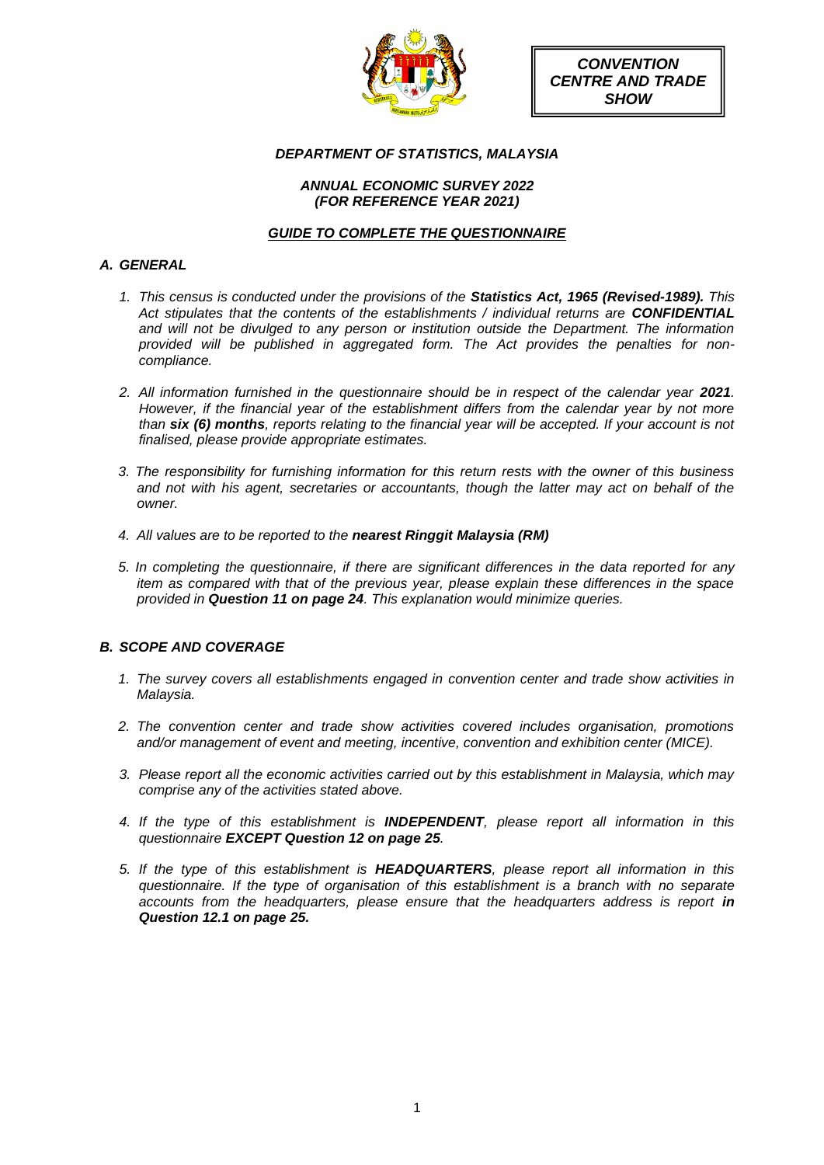

*CONVENTION CENTRE AND TRADE SHOW*

# *DEPARTMENT OF STATISTICS, MALAYSIA*

## *ANNUAL ECONOMIC SURVEY 2022 (FOR REFERENCE YEAR 2021)*

# *GUIDE TO COMPLETE THE QUESTIONNAIRE*

# *A. GENERAL*

- *1. This census is conducted under the provisions of the Statistics Act, 1965 (Revised-1989). This Act stipulates that the contents of the establishments / individual returns are CONFIDENTIAL and will not be divulged to any person or institution outside the Department. The information provided will be published in aggregated form. The Act provides the penalties for noncompliance.*
- 2. All information furnished in the questionnaire should be in respect of the calendar year 2021. *However, if the financial year of the establishment differs from the calendar year by not more than six (6) months, reports relating to the financial year will be accepted. If your account is not finalised, please provide appropriate estimates.*
- *3. The responsibility for furnishing information for this return rests with the owner of this business and not with his agent, secretaries or accountants, though the latter may act on behalf of the owner.*
- *4. All values are to be reported to the nearest Ringgit Malaysia (RM)*
- *5. In completing the questionnaire, if there are significant differences in the data reported for any item as compared with that of the previous year, please explain these differences in the space provided in Question 11 on page 24. This explanation would minimize queries.*

# *B. SCOPE AND COVERAGE*

- *1. The survey covers all establishments engaged in convention center and trade show activities in Malaysia.*
- *2. The convention center and trade show activities covered includes organisation, promotions and/or management of event and meeting, incentive, convention and exhibition center (MICE).*
- *3. Please report all the economic activities carried out by this establishment in Malaysia, which may comprise any of the activities stated above.*
- *4. If the type of this establishment is INDEPENDENT, please report all information in this questionnaire EXCEPT Question 12 on page 25.*
- *5. If the type of this establishment is HEADQUARTERS, please report all information in this questionnaire. If the type of organisation of this establishment is a branch with no separate accounts from the headquarters, please ensure that the headquarters address is report in Question 12.1 on page 25.*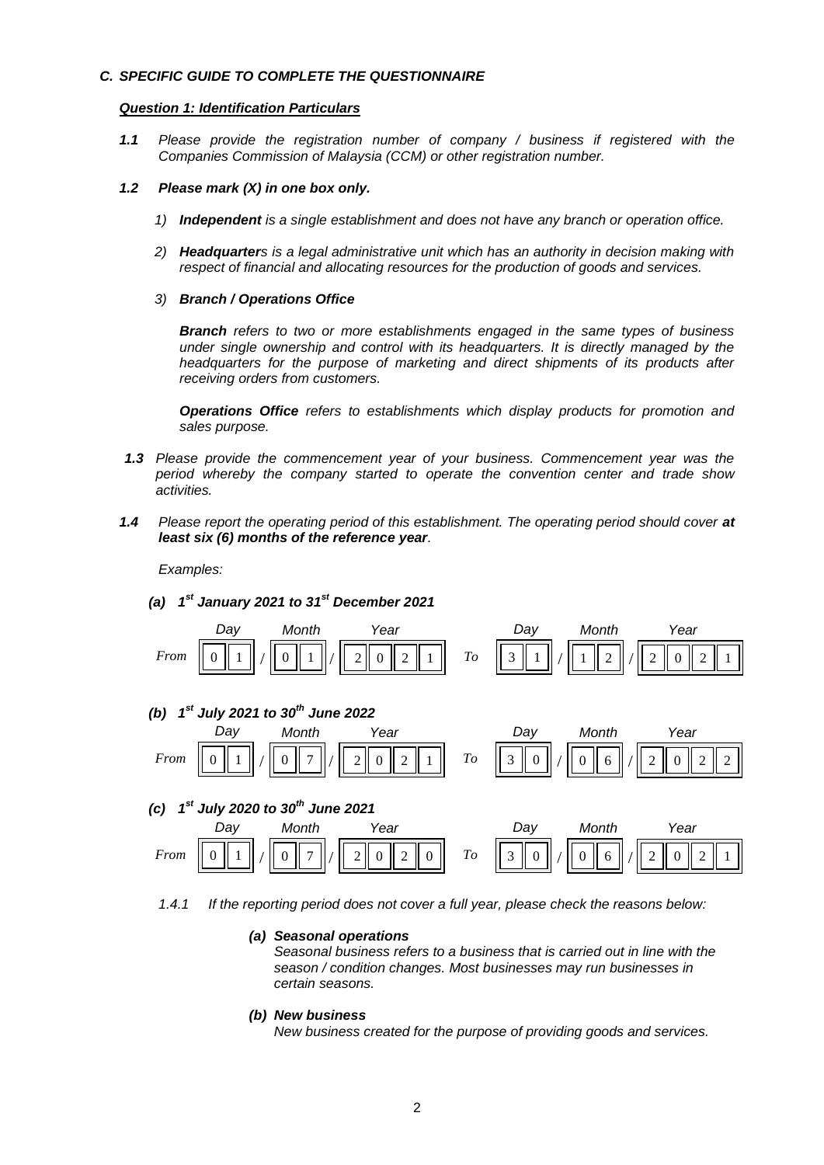## *C. SPECIFIC GUIDE TO COMPLETE THE QUESTIONNAIRE*

### *Question 1: Identification Particulars*

*1.1 Please provide the registration number of company / business if registered with the Companies Commission of Malaysia (CCM) or other registration number.*

### *1.2 Please mark (X) in one box only.*

- *1) Independent is a single establishment and does not have any branch or operation office.*
- *2) Headquarters is a legal administrative unit which has an authority in decision making with respect of financial and allocating resources for the production of goods and services.*
- *3) Branch / Operations Office*

*Branch refers to two or more establishments engaged in the same types of business under single ownership and control with its headquarters. It is directly managed by the headquarters for the purpose of marketing and direct shipments of its products after receiving orders from customers.*

*Operations Office refers to establishments which display products for promotion and sales purpose.*

- *1.3 Please provide the commencement year of your business. Commencement year was the period whereby the company started to operate the convention center and trade show activities.*
- 1.4 *Please report the operating period of this establishment. The operating period should cover at least six (6) months of the reference year.*

*Examples:*

*(a) 1 st January 2021 to 31st December 2021*



*1.4.1 If the reporting period does not cover a full year, please check the reasons below:* 

## *(a) Seasonal operations*

*Seasonal business refers to a business that is carried out in line with the season / condition changes. Most businesses may run businesses in certain seasons.*

#### *(b) New business*

*New business created for the purpose of providing goods and services.*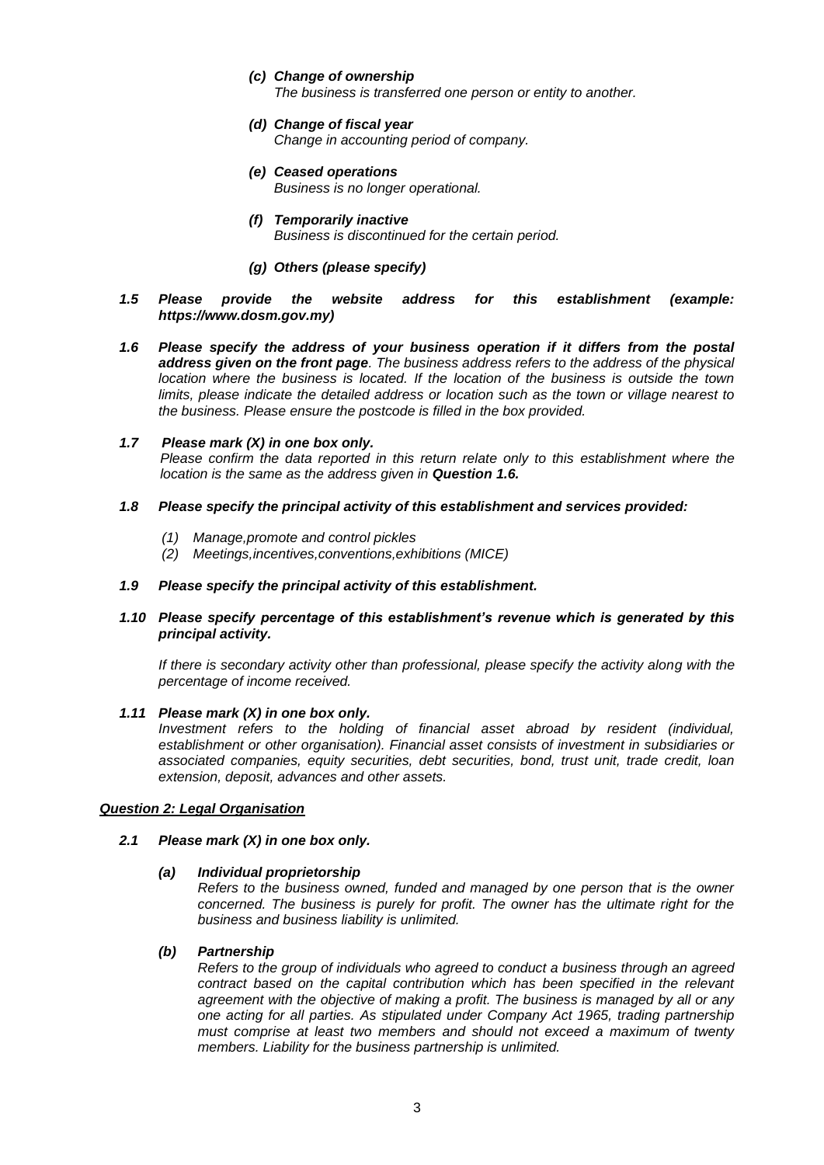- *(c) Change of ownership The business is transferred one person or entity to another.*
- *(d) Change of fiscal year Change in accounting period of company.*
- *(e) Ceased operations Business is no longer operational.*
- *(f) Temporarily inactive Business is discontinued for the certain period.*
- *(g) Others (please specify)*
- *1.5 Please provide the website address for this establishment (example: https://www.dosm.gov.my)*
- *1.6 Please specify the address of your business operation if it differs from the postal address given on the front page. The business address refers to the address of the physical location where the business is located. If the location of the business is outside the town limits, please indicate the detailed address or location such as the town or village nearest to the business. Please ensure the postcode is filled in the box provided.*

## *1.7 Please mark (X) in one box only.*

*Please confirm the data reported in this return relate only to this establishment where the location is the same as the address given in Question 1.6.*

## *1.8 Please specify the principal activity of this establishment and services provided:*

- *(1) Manage,promote and control pickles*
- *(2) Meetings,incentives,conventions,exhibitions (MICE)*

## *1.9 Please specify the principal activity of this establishment.*

## *1.10 Please specify percentage of this establishment's revenue which is generated by this principal activity.*

*If there is secondary activity other than professional, please specify the activity along with the percentage of income received.*

## *1.11 Please mark (X) in one box only.*

*Investment refers to the holding of financial asset abroad by resident (individual, establishment or other organisation). Financial asset consists of investment in subsidiaries or associated companies, equity securities, debt securities, bond, trust unit, trade credit, loan extension, deposit, advances and other assets.*

## *Question 2: Legal Organisation*

## *2.1 Please mark (X) in one box only.*

## *(a) Individual proprietorship*

*Refers to the business owned, funded and managed by one person that is the owner concerned. The business is purely for profit. The owner has the ultimate right for the business and business liability is unlimited.*

## *(b) Partnership*

*Refers to the group of individuals who agreed to conduct a business through an agreed contract based on the capital contribution which has been specified in the relevant agreement with the objective of making a profit. The business is managed by all or any one acting for all parties. As stipulated under Company Act 1965, trading partnership must comprise at least two members and should not exceed a maximum of twenty members. Liability for the business partnership is unlimited.*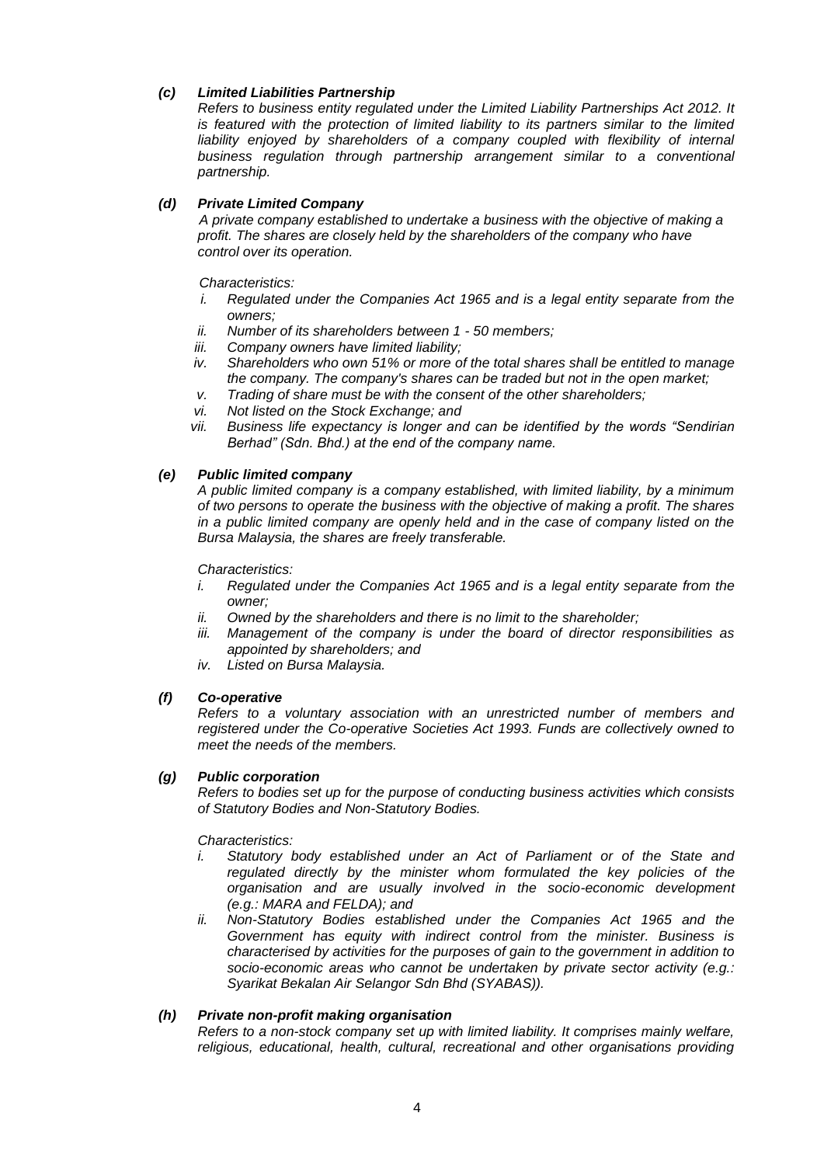# *(c) Limited Liabilities Partnership*

*Refers to business entity regulated under the Limited Liability Partnerships Act 2012. It*  is featured with the protection of limited liability to its partners similar to the limited liability enjoyed by shareholders of a company coupled with flexibility of internal *business regulation through partnership arrangement similar to a conventional partnership.*

# *(d) Private Limited Company*

*A private company established to undertake a business with the objective of making a profit. The shares are closely held by the shareholders of the company who have control over its operation.*

## *Characteristics:*

- *i. Regulated under the Companies Act 1965 and is a legal entity separate from the owners;*
- *ii. Number of its shareholders between 1 - 50 members;*
- *iii. Company owners have limited liability;*
- *iv. Shareholders who own 51% or more of the total shares shall be entitled to manage the company. The company's shares can be traded but not in the open market;*
- *v. Trading of share must be with the consent of the other shareholders;*
- *vi. Not listed on the Stock Exchange; and*
- *vii. Business life expectancy is longer and can be identified by the words "Sendirian Berhad" (Sdn. Bhd.) at the end of the company name.*

## *(e) Public limited company*

*A public limited company is a company established, with limited liability, by a minimum of two persons to operate the business with the objective of making a profit. The shares in a public limited company are openly held and in the case of company listed on the Bursa Malaysia, the shares are freely transferable.* 

*Characteristics:*

- *i. Regulated under the Companies Act 1965 and is a legal entity separate from the owner;*
- *ii. Owned by the shareholders and there is no limit to the shareholder;*
- *iii. Management of the company is under the board of director responsibilities as appointed by shareholders; and*
- *iv. Listed on Bursa Malaysia.*

## *(f) Co-operative*

*Refers to a voluntary association with an unrestricted number of members and registered under the Co-operative Societies Act 1993. Funds are collectively owned to meet the needs of the members.*

## *(g) Public corporation*

*Refers to bodies set up for the purpose of conducting business activities which consists of Statutory Bodies and Non-Statutory Bodies.*

*Characteristics:*

- *i.* Statutory body established under an Act of Parliament or of the State and regulated directly by the minister whom formulated the key policies of the *organisation and are usually involved in the socio-economic development (e.g.: MARA and FELDA); and*
- *ii. Non-Statutory Bodies established under the Companies Act 1965 and the Government has equity with indirect control from the minister. Business is characterised by activities for the purposes of gain to the government in addition to socio-economic areas who cannot be undertaken by private sector activity (e.g.: Syarikat Bekalan Air Selangor Sdn Bhd (SYABAS)).*

## *(h) Private non-profit making organisation*

*Refers to a non-stock company set up with limited liability. It comprises mainly welfare, religious, educational, health, cultural, recreational and other organisations providing*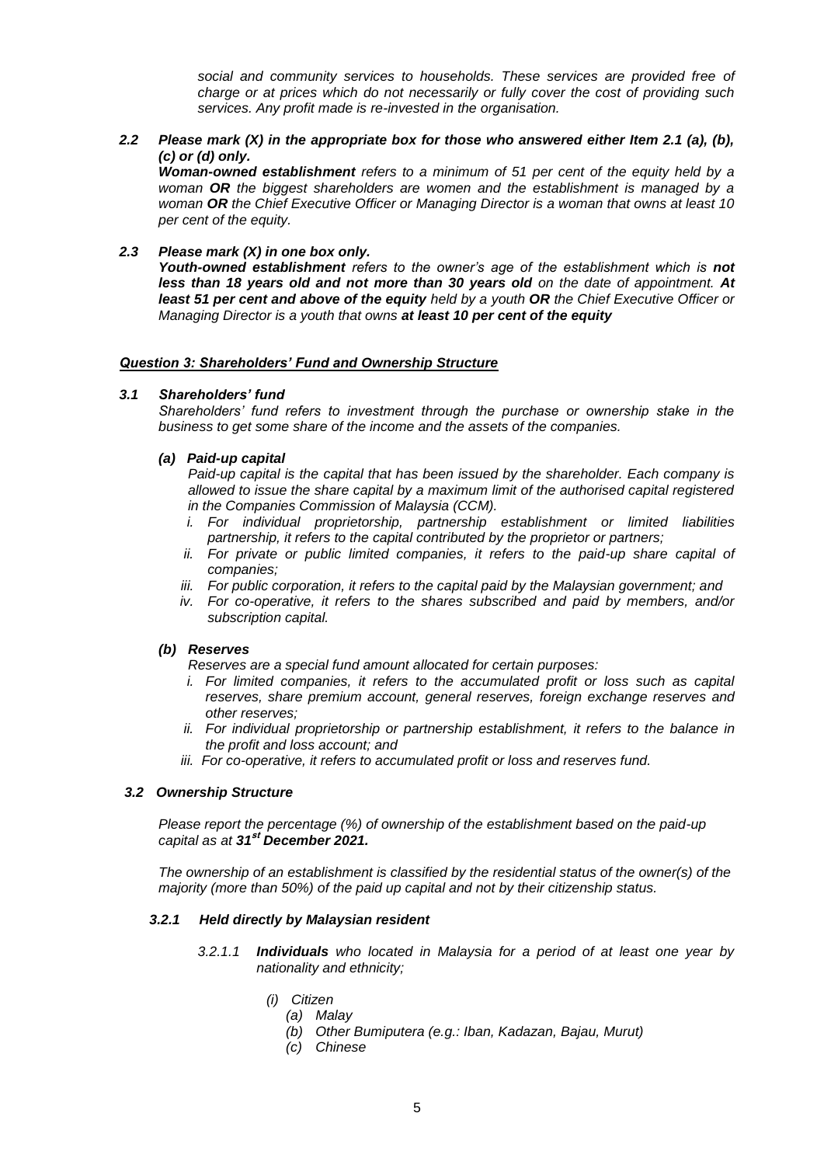*social and community services to households. These services are provided free of charge or at prices which do not necessarily or fully cover the cost of providing such services. Any profit made is re-invested in the organisation.*

*2.2 Please mark (X) in the appropriate box for those who answered either Item 2.1 (a), (b), (c) or (d) only.*

*Woman-owned establishment refers to a minimum of 51 per cent of the equity held by a woman OR the biggest shareholders are women and the establishment is managed by a woman OR the Chief Executive Officer or Managing Director is a woman that owns at least 10 per cent of the equity.*

*2.3 Please mark (X) in one box only.*

*Youth-owned establishment refers to the owner's age of the establishment which is not less than 18 years old and not more than 30 years old on the date of appointment. At least 51 per cent and above of the equity held by a youth OR the Chief Executive Officer or Managing Director is a youth that owns at least 10 per cent of the equity*

## *Question 3: Shareholders' Fund and Ownership Structure*

## *3.1 Shareholders' fund*

*Shareholders' fund refers to investment through the purchase or ownership stake in the business to get some share of the income and the assets of the companies.*

## *(a) Paid-up capital*

*Paid-up capital is the capital that has been issued by the shareholder. Each company is allowed to issue the share capital by a maximum limit of the authorised capital registered in the Companies Commission of Malaysia (CCM).*

- *i. For individual proprietorship, partnership establishment or limited liabilities partnership, it refers to the capital contributed by the proprietor or partners;*
- ii. For private or public limited companies, it refers to the paid-up share capital of *companies;*
- *iii. For public corporation, it refers to the capital paid by the Malaysian government; and*
- *iv. For co-operative, it refers to the shares subscribed and paid by members, and/or subscription capital.*

## *(b) Reserves*

*Reserves are a special fund amount allocated for certain purposes:*

- *i.* For limited companies, it refers to the accumulated profit or loss such as capital *reserves, share premium account, general reserves, foreign exchange reserves and other reserves;*
- *ii. For individual proprietorship or partnership establishment, it refers to the balance in the profit and loss account; and*
- *iii. For co-operative, it refers to accumulated profit or loss and reserves fund.*

## *3.2 Ownership Structure*

*Please report the percentage (%) of ownership of the establishment based on the paid-up capital as at 31***st** *December 2021.*

*The ownership of an establishment is classified by the residential status of the owner(s) of the majority (more than 50%) of the paid up capital and not by their citizenship status.*

## *3.2.1 Held directly by Malaysian resident*

- *3.2.1.1 Individuals who located in Malaysia for a period of at least one year by nationality and ethnicity;*
	- *(i) Citizen*
		- *(a) Malay*
		- *(b) Other Bumiputera (e.g.: Iban, Kadazan, Bajau, Murut)*
		- *(c) Chinese*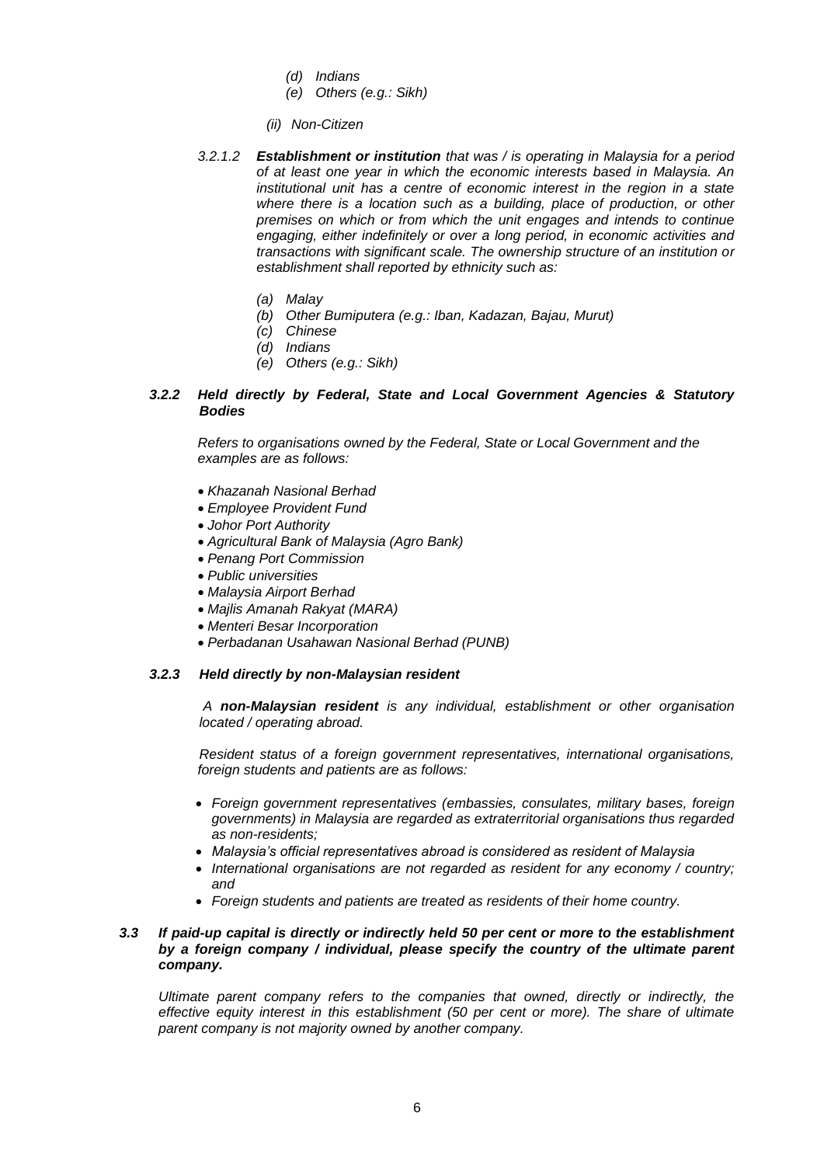- *(d) Indians*
- *(e) Others (e.g.: Sikh)*
- *(ii) Non-Citizen*
- *3.2.1.2 Establishment or institution that was / is operating in Malaysia for a period of at least one year in which the economic interests based in Malaysia. An institutional unit has a centre of economic interest in the region in a state where there is a location such as a building, place of production, or other premises on which or from which the unit engages and intends to continue engaging, either indefinitely or over a long period, in economic activities and transactions with significant scale. The ownership structure of an institution or establishment shall reported by ethnicity such as:*
	- *(a) Malay*
	- *(b) Other Bumiputera (e.g.: Iban, Kadazan, Bajau, Murut)*
	- *(c) Chinese*
	- *(d) Indians*
	- *(e) Others (e.g.: Sikh)*

## *3.2.2 Held directly by Federal, State and Local Government Agencies & Statutory Bodies*

 *Refers to organisations owned by the Federal, State or Local Government and the examples are as follows:*

- *Khazanah Nasional Berhad*
- *Employee Provident Fund*
- *Johor Port Authority*
- *Agricultural Bank of Malaysia (Agro Bank)*
- *Penang Port Commission*
- *Public universities*
- *Malaysia Airport Berhad*
- *Majlis Amanah Rakyat (MARA)*
- *Menteri Besar Incorporation*
- *Perbadanan Usahawan Nasional Berhad (PUNB)*

## *3.2.3 Held directly by non-Malaysian resident*

*A non-Malaysian resident is any individual, establishment or other organisation located / operating abroad.* 

*Resident status of a foreign government representatives, international organisations, foreign students and patients are as follows:*

- *Foreign government representatives (embassies, consulates, military bases, foreign governments) in Malaysia are regarded as extraterritorial organisations thus regarded as non-residents;*
- *Malaysia's official representatives abroad is considered as resident of Malaysia*
- *International organisations are not regarded as resident for any economy / country; and*
- *Foreign students and patients are treated as residents of their home country.*

## *3.3 If paid-up capital is directly or indirectly held 50 per cent or more to the establishment by a foreign company / individual, please specify the country of the ultimate parent company.*

*Ultimate parent company refers to the companies that owned, directly or indirectly, the effective equity interest in this establishment (50 per cent or more). The share of ultimate parent company is not majority owned by another company.*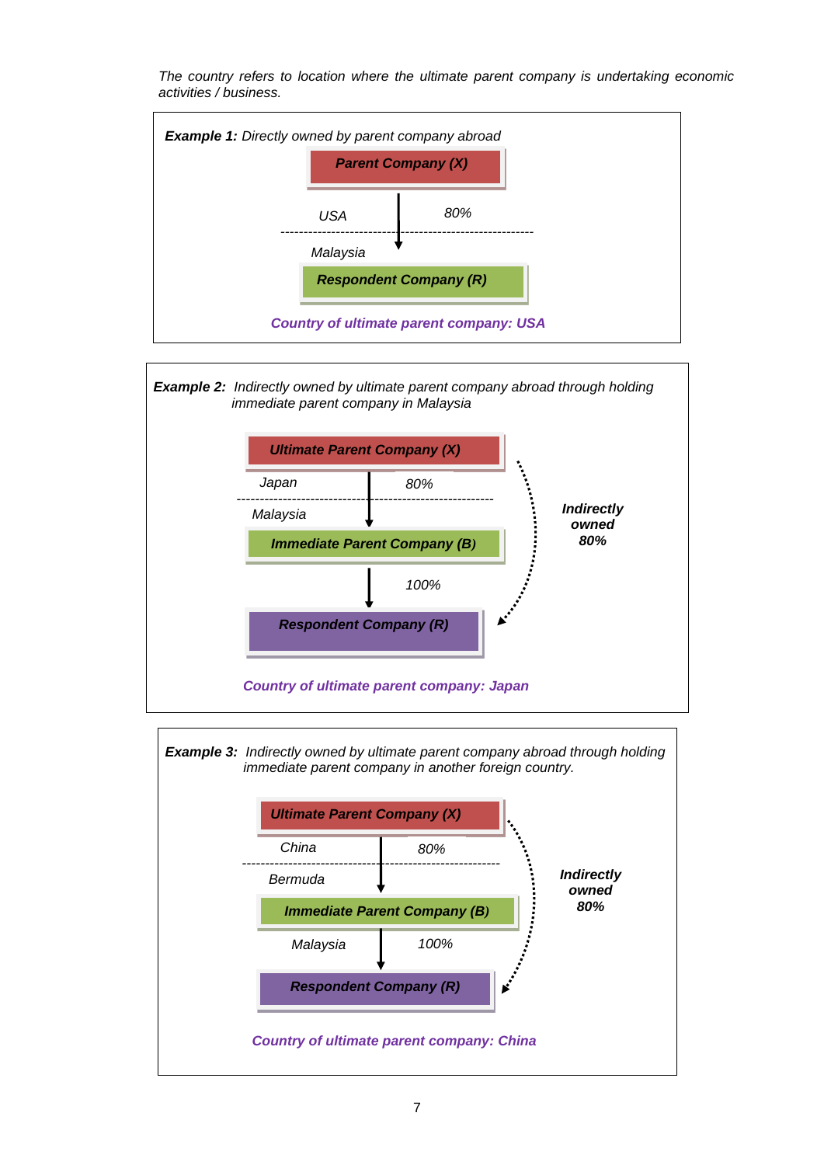*The country refers to location where the ultimate parent company is undertaking economic activities / business.*







*Example 3: Indirectly owned by ultimate parent company abroad through holding immediate parent company in another foreign country.*

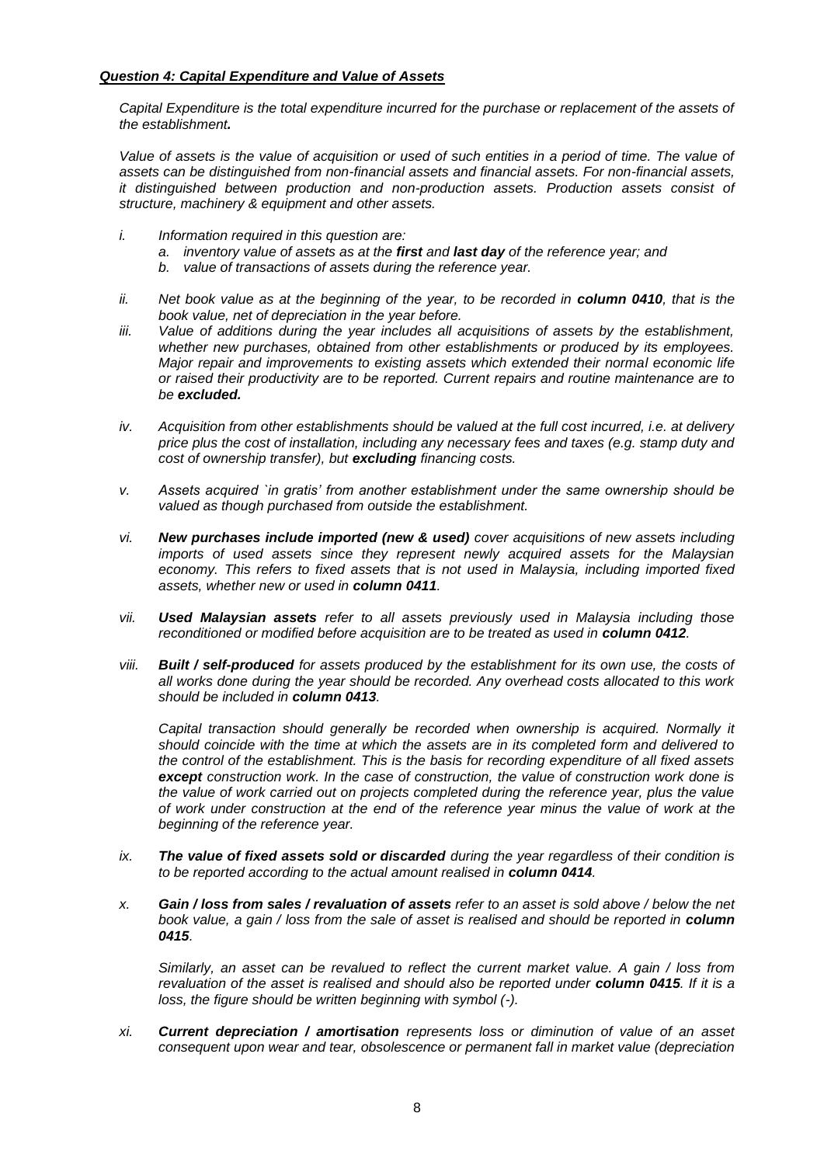## *Question 4: Capital Expenditure and Value of Assets*

*Capital Expenditure is the total expenditure incurred for the purchase or replacement of the assets of the establishment.* 

Value of assets is the value of acquisition or used of such entities in a period of time. The value of *assets can be distinguished from non-financial assets and financial assets. For non-financial assets, it distinguished between production and non-production assets. Production assets consist of structure, machinery & equipment and other assets.*

- *i. Information required in this question are:*
	- *a. inventory value of assets as at the first and last day of the reference year; and*
	- *b. value of transactions of assets during the reference year.*
- *ii.* Net book value as at the beginning of the year, to be recorded in **column 0410**, that is the *book value, net of depreciation in the year before.*
- *iii. Value of additions during the year includes all acquisitions of assets by the establishment, whether new purchases, obtained from other establishments or produced by its employees. Major repair and improvements to existing assets which extended their normal economic life or raised their productivity are to be reported. Current repairs and routine maintenance are to be excluded.*
- *iv. Acquisition from other establishments should be valued at the full cost incurred, i.e. at delivery price plus the cost of installation, including any necessary fees and taxes (e.g. stamp duty and cost of ownership transfer), but excluding financing costs.*
- *v. Assets acquired `in gratis' from another establishment under the same ownership should be valued as though purchased from outside the establishment.*
- *vi. New purchases include imported (new & used) cover acquisitions of new assets including imports of used assets since they represent newly acquired assets for the Malaysian economy. This refers to fixed assets that is not used in Malaysia, including imported fixed assets, whether new or used in column 0411.*
- *vii. Used Malaysian assets refer to all assets previously used in Malaysia including those reconditioned or modified before acquisition are to be treated as used in <i>column 0412*.
- *viii. Built / self-produced for assets produced by the establishment for its own use, the costs of all works done during the year should be recorded. Any overhead costs allocated to this work should be included in column 0413.*

*Capital transaction should generally be recorded when ownership is acquired. Normally it should coincide with the time at which the assets are in its completed form and delivered to the control of the establishment. This is the basis for recording expenditure of all fixed assets except construction work. In the case of construction, the value of construction work done is the value of work carried out on projects completed during the reference year, plus the value of work under construction at the end of the reference year minus the value of work at the beginning of the reference year.*

- *ix. The value of fixed assets sold or discarded during the year regardless of their condition is to be reported according to the actual amount realised in column 0414.*
- *x. Gain / loss from sales / revaluation of assets refer to an asset is sold above / below the net book value, a gain / loss from the sale of asset is realised and should be reported in column 0415.*

*Similarly, an asset can be revalued to reflect the current market value. A gain / loss from revaluation of the asset is realised and should also be reported under column 0415. If it is a loss, the figure should be written beginning with symbol (-).*

*xi. Current depreciation / amortisation represents loss or diminution of value of an asset consequent upon wear and tear, obsolescence or permanent fall in market value (depreciation*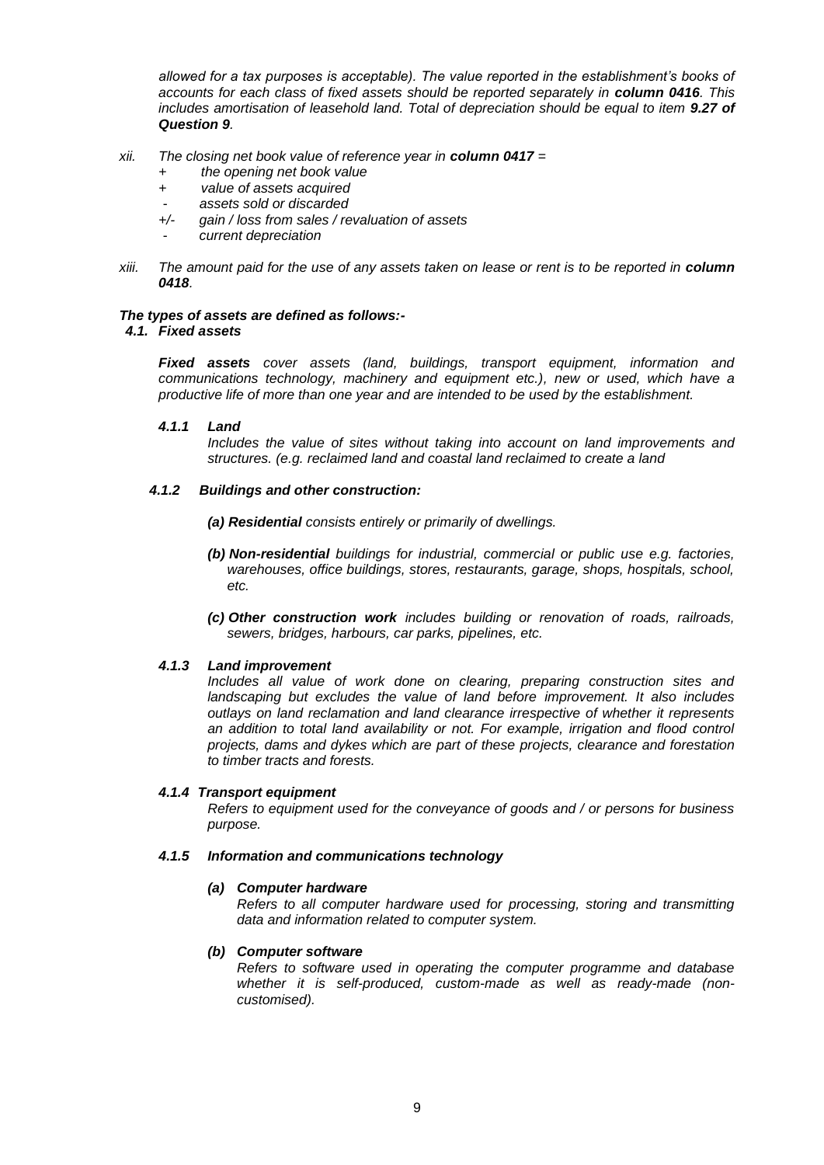*allowed for a tax purposes is acceptable). The value reported in the establishment's books of accounts for each class of fixed assets should be reported separately in <i>column 0416*. This *includes amortisation of leasehold land. Total of depreciation should be equal to item 9.27 of Question 9.*

- *xii. The closing net book value of reference year in column 0417 =* 
	- *+ the opening net book value*
	- *+ value of assets acquired*
	- - *assets sold or discarded*
	- *+/- gain / loss from sales / revaluation of assets*
	- - *current depreciation*
- *xiii.* The amount paid for the use of any assets taken on lease or rent is to be reported in *column 0418.*

## *The types of assets are defined as follows:-*

## *4.1. Fixed assets*

*Fixed assets cover assets (land, buildings, transport equipment, information and communications technology, machinery and equipment etc.), new or used, which have a productive life of more than one year and are intended to be used by the establishment.*

## *4.1.1 Land*

*Includes the value of sites without taking into account on land improvements and structures. (e.g. reclaimed land and coastal land reclaimed to create a land*

## *4.1.2 Buildings and other construction:*

*(a) Residential consists entirely or primarily of dwellings.*

- *(b) Non-residential buildings for industrial, commercial or public use e.g. factories, warehouses, office buildings, stores, restaurants, garage, shops, hospitals, school, etc.*
- *(c) Other construction work includes building or renovation of roads, railroads, sewers, bridges, harbours, car parks, pipelines, etc.*

## *4.1.3 Land improvement*

*Includes all value of work done on clearing, preparing construction sites and landscaping but excludes the value of land before improvement. It also includes outlays on land reclamation and land clearance irrespective of whether it represents an addition to total land availability or not. For example, irrigation and flood control projects, dams and dykes which are part of these projects, clearance and forestation to timber tracts and forests.*

## *4.1.4 Transport equipment*

*Refers to equipment used for the conveyance of goods and / or persons for business purpose.*

## *4.1.5 Information and communications technology*

## *(a) Computer hardware*

*Refers to all computer hardware used for processing, storing and transmitting data and information related to computer system.*

## *(b) Computer software*

*Refers to software used in operating the computer programme and database whether it is self-produced, custom-made as well as ready-made (noncustomised).*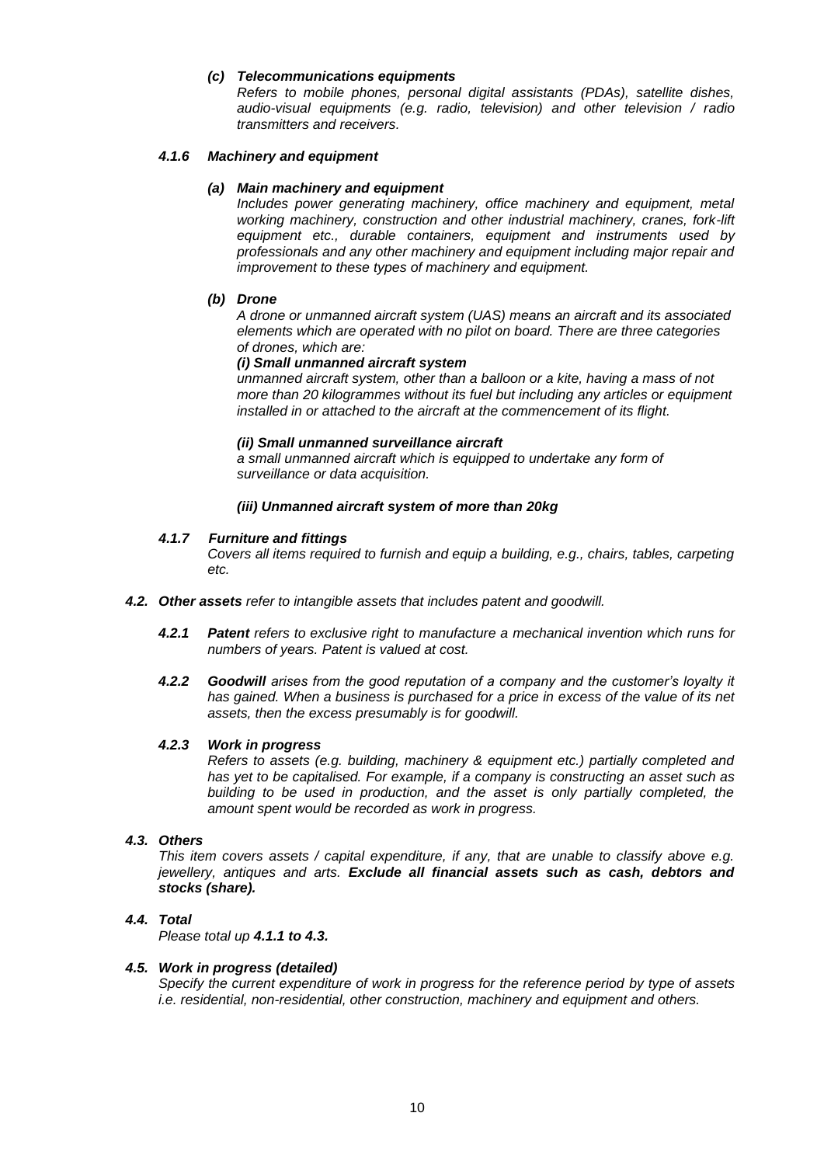## *(c) Telecommunications equipments*

*Refers to mobile phones, personal digital assistants (PDAs), satellite dishes, audio-visual equipments (e.g. radio, television) and other television / radio transmitters and receivers.*

## *4.1.6 Machinery and equipment*

## *(a) Main machinery and equipment*

*Includes power generating machinery, office machinery and equipment, metal working machinery, construction and other industrial machinery, cranes, fork-lift equipment etc., durable containers, equipment and instruments used by professionals and any other machinery and equipment including major repair and improvement to these types of machinery and equipment.*

#### *(b) Drone*

*A drone or unmanned aircraft system (UAS) means an aircraft and its associated elements which are operated with no pilot on board. There are three categories of drones, which are:*

## *(i) Small unmanned aircraft system*

*unmanned aircraft system, other than a balloon or a kite, having a mass of not more than 20 kilogrammes without its fuel but including any articles or equipment installed in or attached to the aircraft at the commencement of its flight.*

#### *(ii) Small unmanned surveillance aircraft*

*a small unmanned aircraft which is equipped to undertake any form of surveillance or data acquisition.*

## *(iii) Unmanned aircraft system of more than 20kg*

## *4.1.7 Furniture and fittings*

*Covers all items required to furnish and equip a building, e.g., chairs, tables, carpeting etc.*

- *4.2. Other assets refer to intangible assets that includes patent and goodwill.*
	- *4.2.1 Patent refers to exclusive right to manufacture a mechanical invention which runs for numbers of years. Patent is valued at cost.*
	- *4.2.2 Goodwill arises from the good reputation of a company and the customer's loyalty it has gained. When a business is purchased for a price in excess of the value of its net assets, then the excess presumably is for goodwill.*

#### *4.2.3 Work in progress*

*Refers to assets (e.g. building, machinery & equipment etc.) partially completed and has yet to be capitalised. For example, if a company is constructing an asset such as building to be used in production, and the asset is only partially completed, the amount spent would be recorded as work in progress.*

## *4.3. Others*

*This item covers assets / capital expenditure, if any, that are unable to classify above e.g. jewellery, antiques and arts. Exclude all financial assets such as cash, debtors and stocks (share).*

## *4.4. Total*

*Please total up 4.1.1 to 4.3.*

#### *4.5. Work in progress (detailed)*

*Specify the current expenditure of work in progress for the reference period by type of assets i.e. residential, non-residential, other construction, machinery and equipment and others.*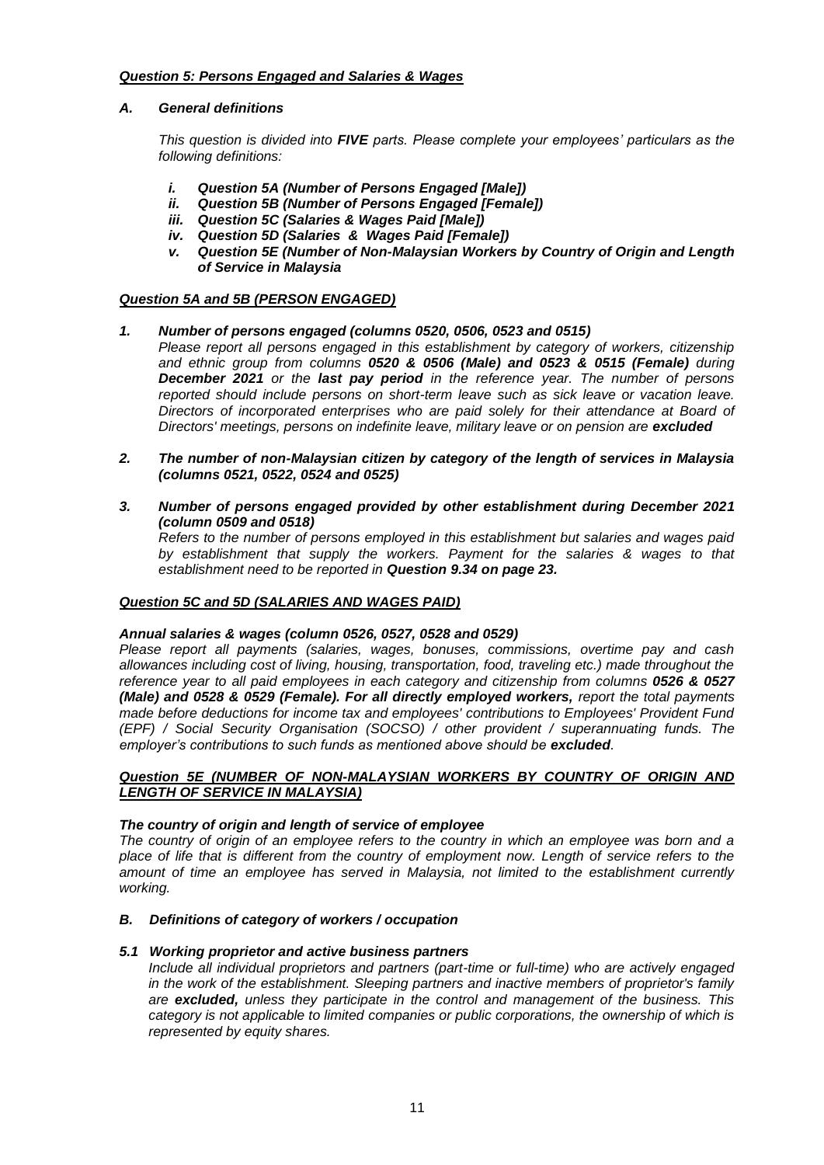# *Question 5: Persons Engaged and Salaries & Wages*

## *A. General definitions*

*This question is divided into FIVE parts. Please complete your employees' particulars as the following definitions:*

- *i. Question 5A (Number of Persons Engaged [Male])*
- *ii. Question 5B (Number of Persons Engaged [Female])*
- *iii. Question 5C (Salaries & Wages Paid [Male])*
- *iv. Question 5D (Salaries & Wages Paid [Female])*
- *v. Question 5E (Number of Non-Malaysian Workers by Country of Origin and Length of Service in Malaysia*

## *Question 5A and 5B (PERSON ENGAGED)*

- *1. Number of persons engaged (columns 0520, 0506, 0523 and 0515)*
	- *Please report all persons engaged in this establishment by category of workers, citizenship and ethnic group from columns 0520 & 0506 (Male) and 0523 & 0515 (Female) during December 2021 or the last pay period in the reference year. The number of persons reported should include persons on short-term leave such as sick leave or vacation leave. Directors of incorporated enterprises who are paid solely for their attendance at Board of Directors' meetings, persons on indefinite leave, military leave or on pension are excluded*
- *2. The number of non-Malaysian citizen by category of the length of services in Malaysia (columns 0521, 0522, 0524 and 0525)*
- *3. Number of persons engaged provided by other establishment during December 2021 (column 0509 and 0518)*

*Refers to the number of persons employed in this establishment but salaries and wages paid by establishment that supply the workers. Payment for the salaries & wages to that establishment need to be reported in Question 9.34 on page 23.*

## *Question 5C and 5D (SALARIES AND WAGES PAID)*

## *Annual salaries & wages (column 0526, 0527, 0528 and 0529)*

*Please report all payments (salaries, wages, bonuses, commissions, overtime pay and cash allowances including cost of living, housing, transportation, food, traveling etc.) made throughout the reference year to all paid employees in each category and citizenship from columns 0526 & 0527 (Male) and 0528 & 0529 (Female). For all directly employed workers, report the total payments made before deductions for income tax and employees' contributions to Employees' Provident Fund (EPF) / Social Security Organisation (SOCSO) / other provident / superannuating funds. The employer's contributions to such funds as mentioned above should be excluded.*

## *Question 5E (NUMBER OF NON-MALAYSIAN WORKERS BY COUNTRY OF ORIGIN AND LENGTH OF SERVICE IN MALAYSIA)*

## *The country of origin and length of service of employee*

*The country of origin of an employee refers to the country in which an employee was born and a*  place of life that is different from the country of employment now. Length of service refers to the *amount of time an employee has served in Malaysia, not limited to the establishment currently working.*

## *B. Definitions of category of workers / occupation*

## *5.1 Working proprietor and active business partners*

*Include all individual proprietors and partners (part-time or full-time) who are actively engaged in the work of the establishment. Sleeping partners and inactive members of proprietor's family are excluded, unless they participate in the control and management of the business. This category is not applicable to limited companies or public corporations, the ownership of which is represented by equity shares.*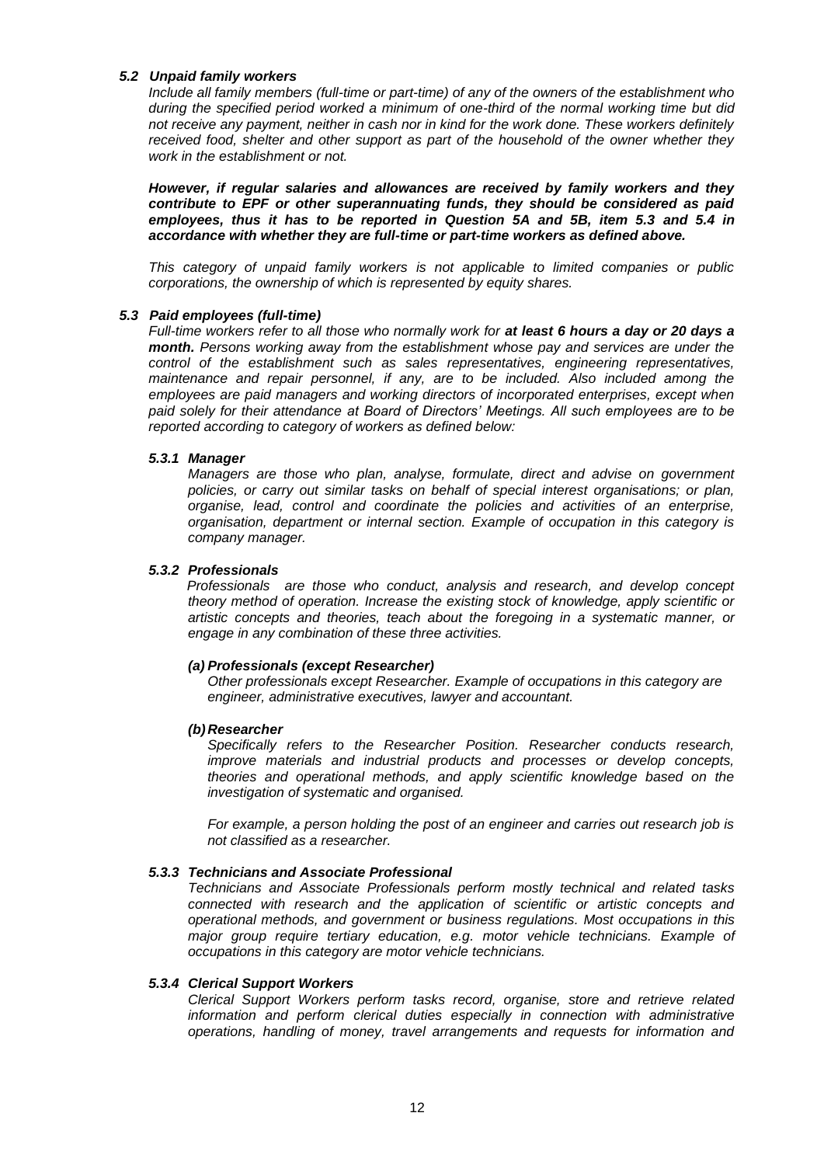## *5.2 Unpaid family workers*

*Include all family members (full-time or part-time) of any of the owners of the establishment who during the specified period worked a minimum of one-third of the normal working time but did not receive any payment, neither in cash nor in kind for the work done. These workers definitely received food, shelter and other support as part of the household of the owner whether they work in the establishment or not.*

*However, if regular salaries and allowances are received by family workers and they contribute to EPF or other superannuating funds, they should be considered as paid employees, thus it has to be reported in Question 5A and 5B, item 5.3 and 5.4 in accordance with whether they are full-time or part-time workers as defined above.*

*This category of unpaid family workers is not applicable to limited companies or public corporations, the ownership of which is represented by equity shares.*

#### *5.3 Paid employees (full-time)*

*Full-time workers refer to all those who normally work for at least 6 hours a day or 20 days a month. Persons working away from the establishment whose pay and services are under the control of the establishment such as sales representatives, engineering representatives, maintenance and repair personnel, if any, are to be included. Also included among the employees are paid managers and working directors of incorporated enterprises, except when paid solely for their attendance at Board of Directors' Meetings. All such employees are to be reported according to category of workers as defined below:*

#### *5.3.1 Manager*

*Managers are those who plan, analyse, formulate, direct and advise on government policies, or carry out similar tasks on behalf of special interest organisations; or plan, organise, lead, control and coordinate the policies and activities of an enterprise, organisation, department or internal section. Example of occupation in this category is company manager.*

## *5.3.2 Professionals*

 *Professionals are those who conduct, analysis and research, and develop concept theory method of operation. Increase the existing stock of knowledge, apply scientific or artistic concepts and theories, teach about the foregoing in a systematic manner, or engage in any combination of these three activities.*

#### *(a) Professionals (except Researcher)*

*Other professionals except Researcher. Example of occupations in this category are engineer, administrative executives, lawyer and accountant.*

#### *(b)Researcher*

*Specifically refers to the Researcher Position. Researcher conducts research, improve materials and industrial products and processes or develop concepts, theories and operational methods, and apply scientific knowledge based on the investigation of systematic and organised.*

*For example, a person holding the post of an engineer and carries out research job is not classified as a researcher.* 

#### *5.3.3 Technicians and Associate Professional*

*Technicians and Associate Professionals perform mostly technical and related tasks connected with research and the application of scientific or artistic concepts and operational methods, and government or business regulations. Most occupations in this major group require tertiary education, e.g. motor vehicle technicians. Example of occupations in this category are motor vehicle technicians.*

#### *5.3.4 Clerical Support Workers*

*Clerical Support Workers perform tasks record, organise, store and retrieve related information and perform clerical duties especially in connection with administrative operations, handling of money, travel arrangements and requests for information and*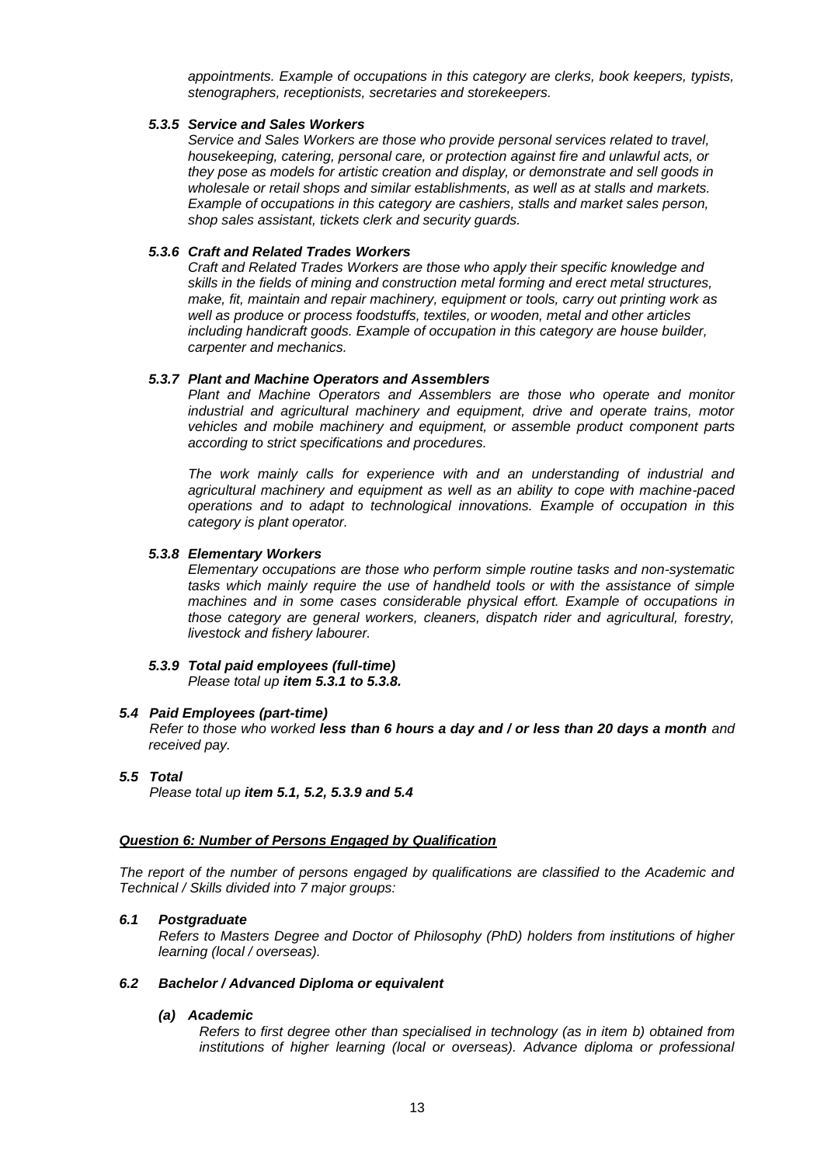*appointments. Example of occupations in this category are clerks, book keepers, typists, stenographers, receptionists, secretaries and storekeepers.*

## *5.3.5 Service and Sales Workers*

*Service and Sales Workers are those who provide personal services related to travel, housekeeping, catering, personal care, or protection against fire and unlawful acts, or they pose as models for artistic creation and display, or demonstrate and sell goods in wholesale or retail shops and similar establishments, as well as at stalls and markets. Example of occupations in this category are cashiers, stalls and market sales person, shop sales assistant, tickets clerk and security guards.*

## *5.3.6 Craft and Related Trades Workers*

*Craft and Related Trades Workers are those who apply their specific knowledge and skills in the fields of mining and construction metal forming and erect metal structures, make, fit, maintain and repair machinery, equipment or tools, carry out printing work as well as produce or process foodstuffs, textiles, or wooden, metal and other articles including handicraft goods. Example of occupation in this category are house builder, carpenter and mechanics.* 

#### *5.3.7 Plant and Machine Operators and Assemblers*

*Plant and Machine Operators and Assemblers are those who operate and monitor industrial and agricultural machinery and equipment, drive and operate trains, motor vehicles and mobile machinery and equipment, or assemble product component parts according to strict specifications and procedures.* 

*The work mainly calls for experience with and an understanding of industrial and agricultural machinery and equipment as well as an ability to cope with machine-paced operations and to adapt to technological innovations. Example of occupation in this category is plant operator.*

#### *5.3.8 Elementary Workers*

*Elementary occupations are those who perform simple routine tasks and non-systematic tasks which mainly require the use of handheld tools or with the assistance of simple machines and in some cases considerable physical effort. Example of occupations in those category are general workers, cleaners, dispatch rider and agricultural, forestry, livestock and fishery labourer.*

#### *5.3.9 Total paid employees (full-time) Please total up item 5.3.1 to 5.3.8.*

#### *5.4 Paid Employees (part-time)*

*Refer to those who worked less than 6 hours a day and / or less than 20 days a month and received pay.*

## *5.5 Total*

*Please total up item 5.1, 5.2, 5.3.9 and 5.4*

### *Question 6: Number of Persons Engaged by Qualification*

*The report of the number of persons engaged by qualifications are classified to the Academic and Technical / Skills divided into 7 major groups:*

#### *6.1 Postgraduate*

*Refers to Masters Degree and Doctor of Philosophy (PhD) holders from institutions of higher learning (local / overseas).*

#### *6.2 Bachelor / Advanced Diploma or equivalent*

#### *(a) Academic*

*Refers to first degree other than specialised in technology (as in item b) obtained from*  institutions of higher learning (local or overseas). Advance diploma or professional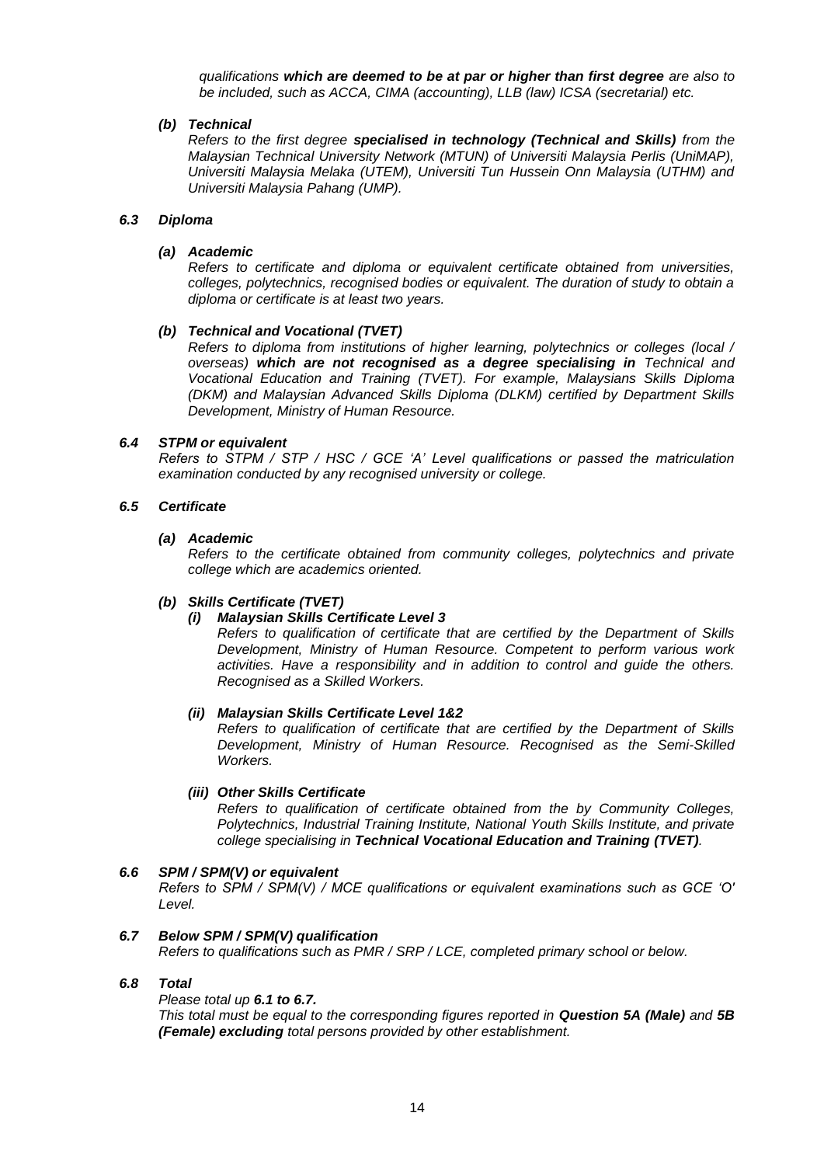*qualifications which are deemed to be at par or higher than first degree are also to be included, such as ACCA, CIMA (accounting), LLB (law) ICSA (secretarial) etc.*

## *(b) Technical*

*Refers to the first degree specialised in technology (Technical and Skills) from the Malaysian Technical University Network (MTUN) of Universiti Malaysia Perlis (UniMAP), Universiti Malaysia Melaka (UTEM), Universiti Tun Hussein Onn Malaysia (UTHM) and Universiti Malaysia Pahang (UMP).*

## *6.3 Diploma*

## *(a) Academic*

*Refers to certificate and diploma or equivalent certificate obtained from universities, colleges, polytechnics, recognised bodies or equivalent. The duration of study to obtain a diploma or certificate is at least two years.*

## *(b) Technical and Vocational (TVET)*

*Refers to diploma from institutions of higher learning, polytechnics or colleges (local / overseas) which are not recognised as a degree specialising in Technical and Vocational Education and Training (TVET). For example, Malaysians Skills Diploma (DKM) and Malaysian Advanced Skills Diploma (DLKM) certified by Department Skills Development, Ministry of Human Resource.*

## *6.4 STPM or equivalent*

*Refers to STPM / STP / HSC / GCE 'A' Level qualifications or passed the matriculation examination conducted by any recognised university or college.*

## *6.5 Certificate*

## *(a) Academic*

*Refers to the certificate obtained from community colleges, polytechnics and private college which are academics oriented.*

## *(b) Skills Certificate (TVET)*

# *(i) Malaysian Skills Certificate Level 3*

*Refers to qualification of certificate that are certified by the Department of Skills Development, Ministry of Human Resource. Competent to perform various work activities. Have a responsibility and in addition to control and guide the others. Recognised as a Skilled Workers.*

## *(ii) Malaysian Skills Certificate Level 1&2*

*Refers to qualification of certificate that are certified by the Department of Skills Development, Ministry of Human Resource. Recognised as the Semi-Skilled Workers.*

## *(iii) Other Skills Certificate*

*Refers to qualification of certificate obtained from the by Community Colleges, Polytechnics, Industrial Training Institute, National Youth Skills Institute, and private college specialising in Technical Vocational Education and Training (TVET).*

## *6.6 SPM / SPM(V) or equivalent*

*Refers to SPM / SPM(V) / MCE qualifications or equivalent examinations such as GCE 'O' Level.*

## *6.7 Below SPM / SPM(V) qualification*

*Refers to qualifications such as PMR / SRP / LCE, completed primary school or below.* 

## *6.8 Total*

*Please total up 6.1 to 6.7.* 

*This total must be equal to the corresponding figures reported in Question 5A (Male) and 5B (Female) excluding total persons provided by other establishment.*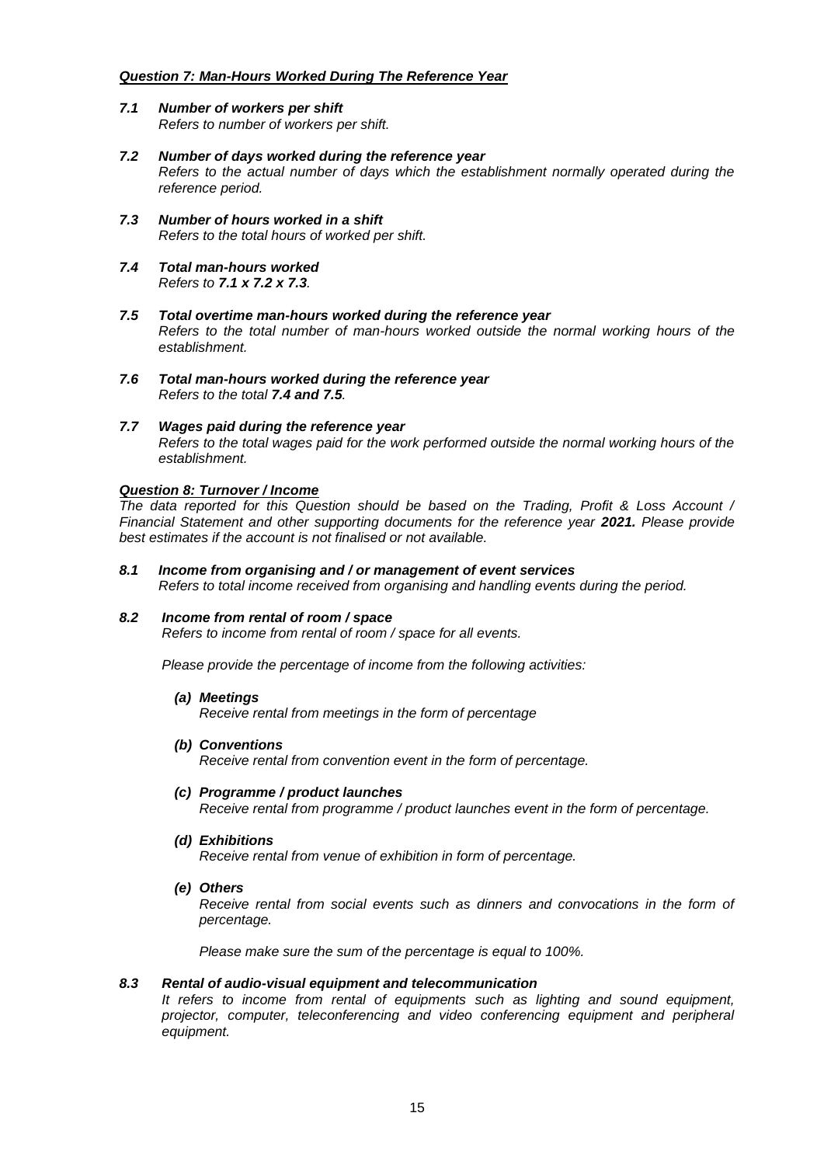## *Question 7: Man-Hours Worked During The Reference Year*

- *7.1 Number of workers per shift Refers to number of workers per shift.*
- *7.2 Number of days worked during the reference year Refers to the actual number of days which the establishment normally operated during the reference period.*
- *7.3 Number of hours worked in a shift Refers to the total hours of worked per shift.*
- *7.4 Total man-hours worked Refers to 7.1 x 7.2 x 7.3.*
- *7.5 Total overtime man-hours worked during the reference year Refers to the total number of man-hours worked outside the normal working hours of the establishment.*
- *7.6 Total man-hours worked during the reference year Refers to the total 7.4 and 7.5.*
- *7.7 Wages paid during the reference year Refers to the total wages paid for the work performed outside the normal working hours of the establishment.*

## *Question 8: Turnover / Income*

*The data reported for this Question should be based on the Trading, Profit & Loss Account / Financial Statement and other supporting documents for the reference year 2021. Please provide best estimates if the account is not finalised or not available.*

*8.1 Income from organising and / or management of event services Refers to total income received from organising and handling events during the period.*

## *8.2 Income from rental of room / space*

*Refers to income from rental of room / space for all events.*

*Please provide the percentage of income from the following activities:*

*(a) Meetings*

*Receive rental from meetings in the form of percentage*

*(b) Conventions*

*Receive rental from convention event in the form of percentage.*

*(c) Programme / product launches*

*Receive rental from programme / product launches event in the form of percentage.*

*(d) Exhibitions*

*Receive rental from venue of exhibition in form of percentage.*

*(e) Others*

*Receive rental from social events such as dinners and convocations in the form of percentage.*

*Please make sure the sum of the percentage is equal to 100%.*

## *8.3 Rental of audio-visual equipment and telecommunication*

*It refers to income from rental of equipments such as lighting and sound equipment, projector, computer, teleconferencing and video conferencing equipment and peripheral equipment.*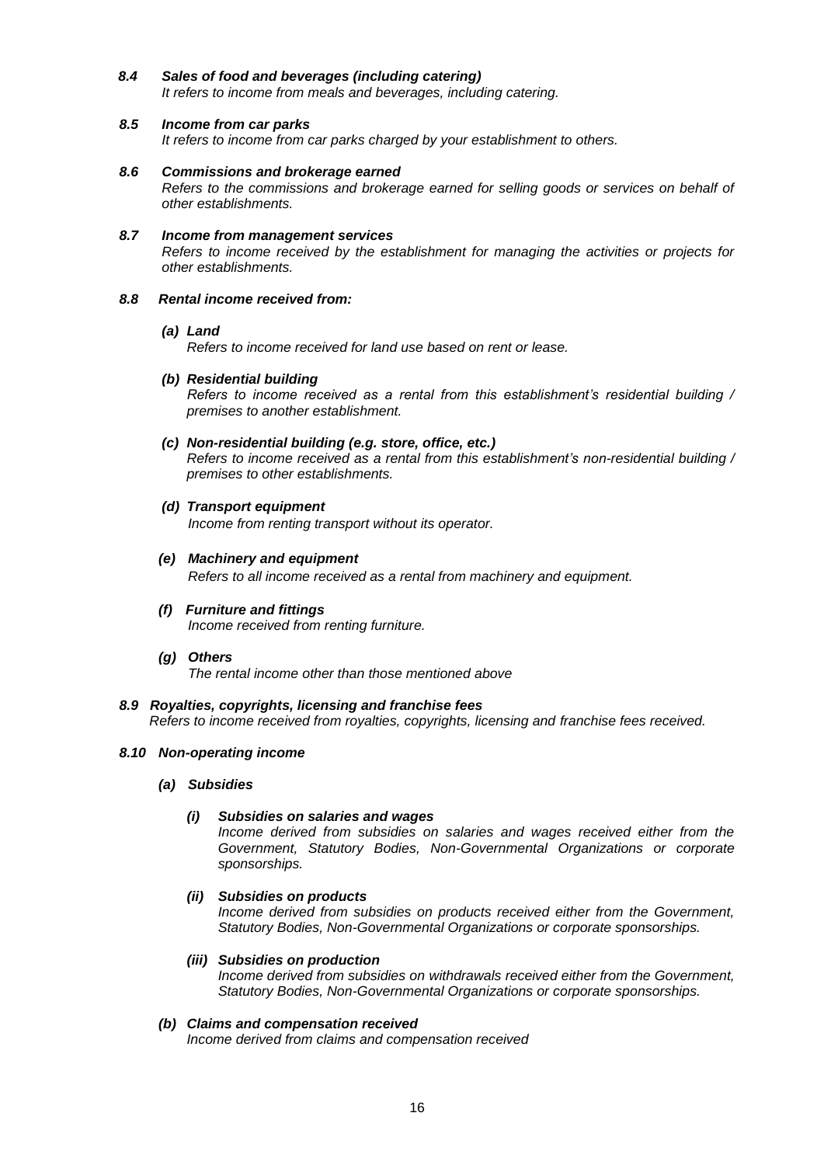*8.4 Sales of food and beverages (including catering)*

*It refers to income from meals and beverages, including catering.*

## *8.5 Income from car parks*

*It refers to income from car parks charged by your establishment to others.*

- *8.6 Commissions and brokerage earned Refers to the commissions and brokerage earned for selling goods or services on behalf of other establishments.*
- *8.7 Income from management services Refers to income received by the establishment for managing the activities or projects for other establishments.*

## *8.8 Rental income received from:*

## *(a) Land*

*Refers to income received for land use based on rent or lease.*

*(b) Residential building* 

*Refers to income received as a rental from this establishment's residential building / premises to another establishment.*

*(c) Non-residential building (e.g. store, office, etc.)*

*Refers to income received as a rental from this establishment's non-residential building / premises to other establishments.* 

- *(d) Transport equipment Income from renting transport without its operator.*
- *(e) Machinery and equipment Refers to all income received as a rental from machinery and equipment.*
- *(f) Furniture and fittings Income received from renting furniture.*
- *(g) Others The rental income other than those mentioned above*
- *8.9 Royalties, copyrights, licensing and franchise fees Refers to income received from royalties, copyrights, licensing and franchise fees received.*

## *8.10 Non-operating income*

*(a) Subsidies*

## *(i) Subsidies on salaries and wages*

*Income derived from subsidies on salaries and wages received either from the Government, Statutory Bodies, Non-Governmental Organizations or corporate sponsorships.*

*(ii) Subsidies on products*

*Income derived from subsidies on products received either from the Government, Statutory Bodies, Non-Governmental Organizations or corporate sponsorships.*

## *(iii) Subsidies on production*

*Income derived from subsidies on withdrawals received either from the Government, Statutory Bodies, Non-Governmental Organizations or corporate sponsorships.*

## *(b) Claims and compensation received*

*Income derived from claims and compensation received*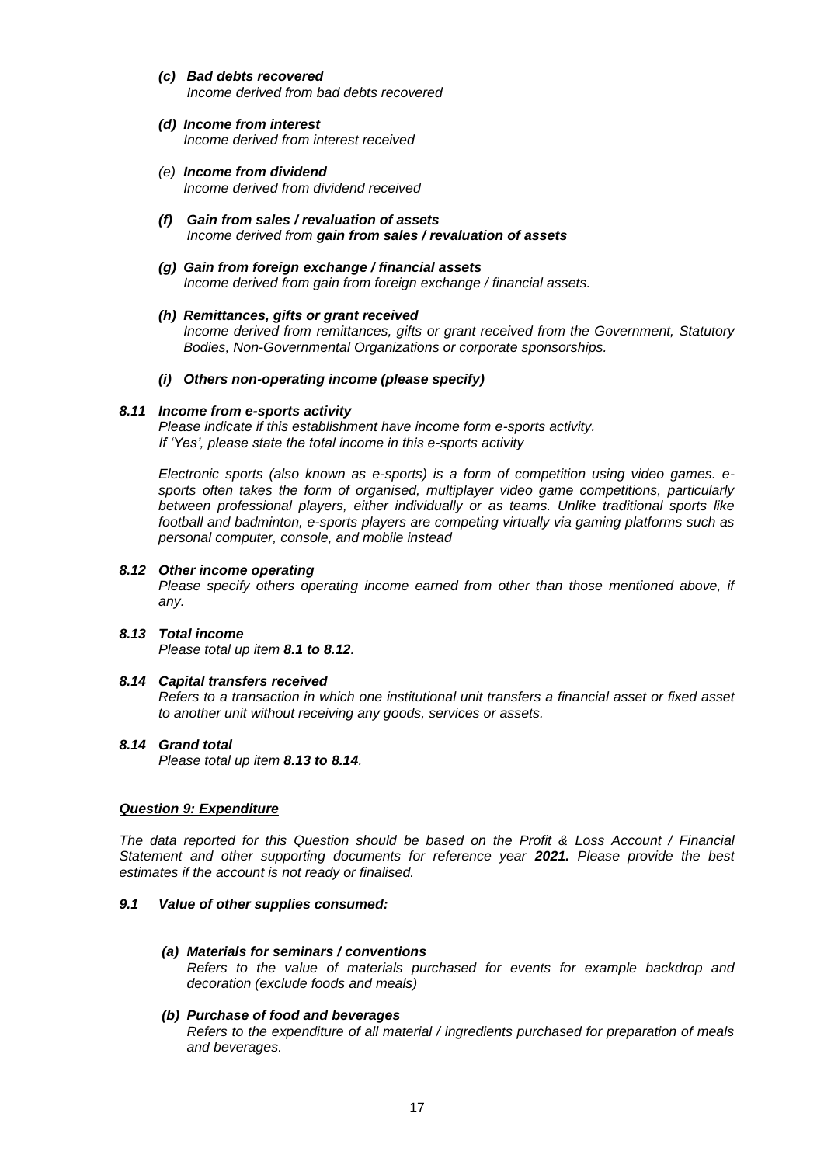- *(c) Bad debts recovered Income derived from bad debts recovered*
- *(d) Income from interest Income derived from interest received*
- *(e) Income from dividend Income derived from dividend received*
- *(f) Gain from sales / revaluation of assets Income derived from gain from sales / revaluation of assets*
- *(g) Gain from foreign exchange / financial assets Income derived from gain from foreign exchange / financial assets.*
- *(h) Remittances, gifts or grant received Income derived from remittances, gifts or grant received from the Government, Statutory Bodies, Non-Governmental Organizations or corporate sponsorships.*
- *(i) Others non-operating income (please specify)*

## *8.11 Income from e-sports activity*

*Please indicate if this establishment have income form e-sports activity. If 'Yes', please state the total income in this e-sports activity*

*Electronic sports (also known as e-sports) is a form of competition using video games. esports often takes the form of organised, multiplayer video game competitions, particularly between professional players, either individually or as teams. Unlike traditional sports like football and badminton, e-sports players are competing virtually via gaming platforms such as personal computer, console, and mobile instead*

#### *8.12 Other income operating*

*Please specify others operating income earned from other than those mentioned above, if any.*

## *8.13 Total income*

*Please total up item 8.1 to 8.12.*

## *8.14 Capital transfers received*

*Refers to a transaction in which one institutional unit transfers a financial asset or fixed asset to another unit without receiving any goods, services or assets.* 

# *8.14 Grand total*

*Please total up item 8.13 to 8.14.* 

## *Question 9: Expenditure*

*The data reported for this Question should be based on the Profit & Loss Account / Financial Statement and other supporting documents for reference year 2021. Please provide the best estimates if the account is not ready or finalised.*

## *9.1 Value of other supplies consumed:*

## *(a) Materials for seminars / conventions*

*Refers to the value of materials purchased for events for example backdrop and decoration (exclude foods and meals)*

## *(b) Purchase of food and beverages*

*Refers to the expenditure of all material / ingredients purchased for preparation of meals and beverages.*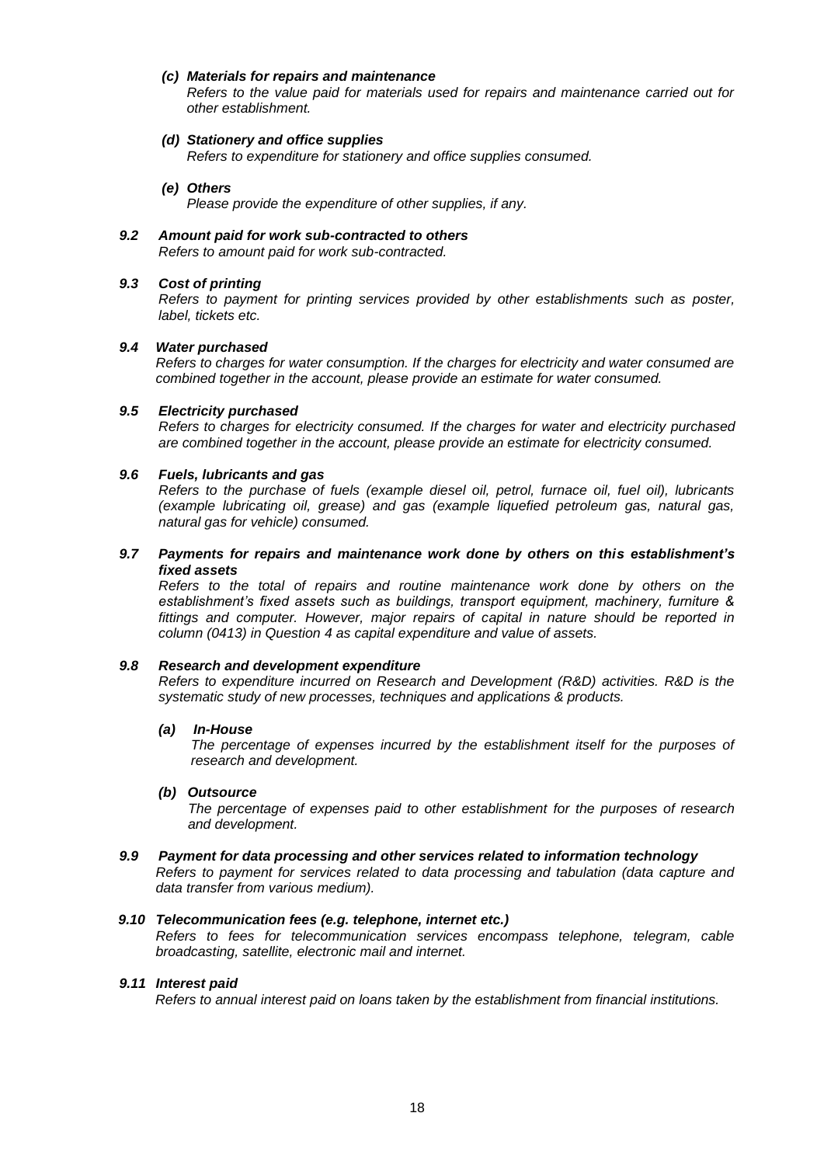## *(c) Materials for repairs and maintenance*

*Refers to the value paid for materials used for repairs and maintenance carried out for other establishment.*

#### *(d) Stationery and office supplies*

*Refers to expenditure for stationery and office supplies consumed.*

#### *(e) Others*

*Please provide the expenditure of other supplies, if any.*

### *9.2 Amount paid for work sub-contracted to others Refers to amount paid for work sub-contracted.*

#### *9.3 Cost of printing*

*Refers to payment for printing services provided by other establishments such as poster, label, tickets etc.*

#### *9.4 Water purchased*

*Refers to charges for water consumption. If the charges for electricity and water consumed are combined together in the account, please provide an estimate for water consumed.*

#### *9.5 Electricity purchased*

*Refers to charges for electricity consumed. If the charges for water and electricity purchased are combined together in the account, please provide an estimate for electricity consumed.*

#### *9.6 Fuels, lubricants and gas*

*Refers to the purchase of fuels (example diesel oil, petrol, furnace oil, fuel oil), lubricants (example lubricating oil, grease) and gas (example liquefied petroleum gas, natural gas, natural gas for vehicle) consumed.*

### *9.7 Payments for repairs and maintenance work done by others on this establishment's fixed assets*

*Refers to the total of repairs and routine maintenance work done by others on the establishment's fixed assets such as buildings, transport equipment, machinery, furniture &*  fittings and computer. However, major repairs of capital in nature should be reported in *column (0413) in Question 4 as capital expenditure and value of assets.*

## *9.8 Research and development expenditure*

*Refers to expenditure incurred on Research and Development (R&D) activities. R&D is the systematic study of new processes, techniques and applications & products.*

#### *(a) In-House*

The percentage of expenses incurred by the establishment itself for the purposes of *research and development.*

### *(b) Outsource*

*The percentage of expenses paid to other establishment for the purposes of research and development.*

#### *9.9 Payment for data processing and other services related to information technology*

*Refers to payment for services related to data processing and tabulation (data capture and data transfer from various medium).*

#### *9.10 Telecommunication fees (e.g. telephone, internet etc.)*

*Refers to fees for telecommunication services encompass telephone, telegram, cable broadcasting, satellite, electronic mail and internet.*

#### *9.11 Interest paid*

*Refers to annual interest paid on loans taken by the establishment from financial institutions.*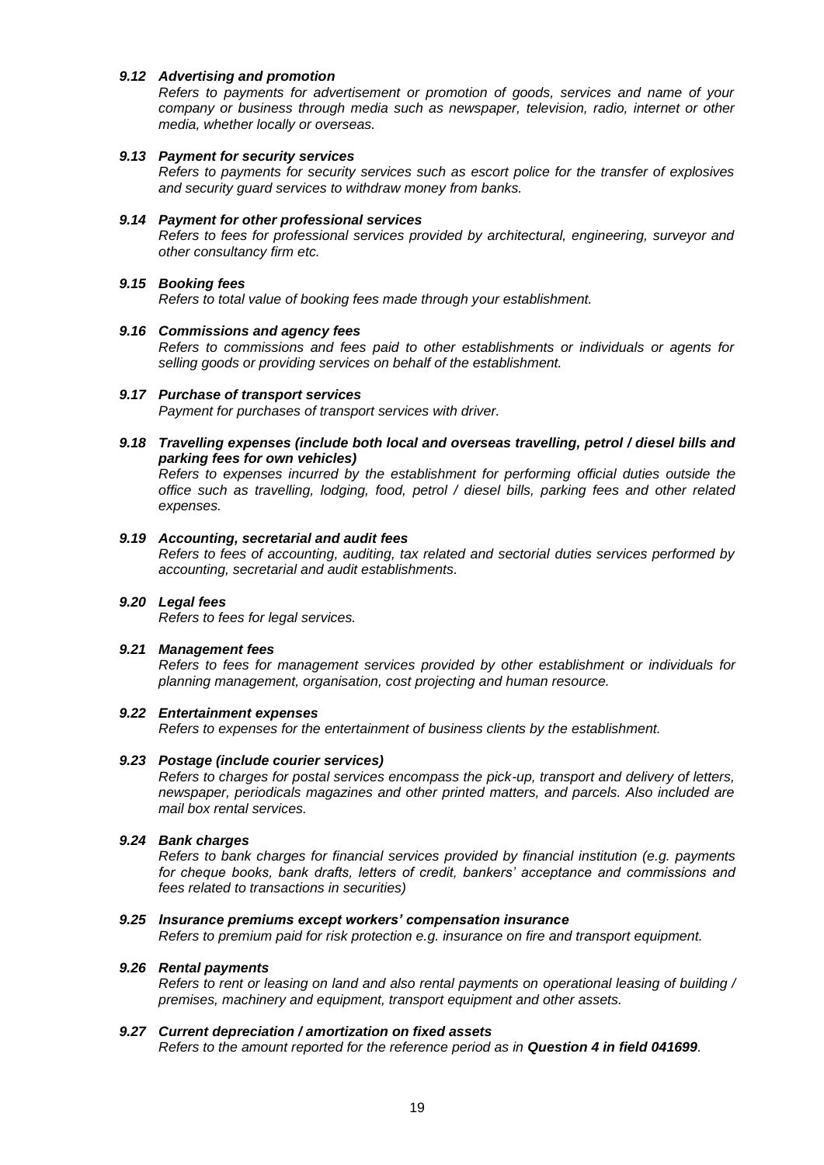## *9.12 Advertising and promotion*

*Refers to payments for advertisement or promotion of goods, services and name of your company or business through media such as newspaper, television, radio, internet or other media, whether locally or overseas.*

## *9.13 Payment for security services*

*Refers to payments for security services such as escort police for the transfer of explosives and security guard services to withdraw money from banks.*

#### *9.14 Payment for other professional services*

*Refers to fees for professional services provided by architectural, engineering, surveyor and other consultancy firm etc.*

#### *9.15 Booking fees*

*Refers to total value of booking fees made through your establishment.*

#### *9.16 Commissions and agency fees*

*Refers to commissions and fees paid to other establishments or individuals or agents for selling goods or providing services on behalf of the establishment.*

#### *9.17 Purchase of transport services*

*Payment for purchases of transport services with driver.*

*9.18 Travelling expenses (include both local and overseas travelling, petrol / diesel bills and parking fees for own vehicles)*

*Refers to expenses incurred by the establishment for performing official duties outside the office such as travelling, lodging, food, petrol / diesel bills, parking fees and other related expenses.*

## *9.19 Accounting, secretarial and audit fees*

*Refers to fees of accounting, auditing, tax related and sectorial duties services performed by accounting, secretarial and audit establishments.*

# *9.20 Legal fees*

*Refers to fees for legal services.*

## *9.21 Management fees*

*Refers to fees for management services provided by other establishment or individuals for planning management, organisation, cost projecting and human resource.*

## *9.22 Entertainment expenses*

*Refers to expenses for the entertainment of business clients by the establishment.*

## *9.23 Postage (include courier services)*

*Refers to charges for postal services encompass the pick-up, transport and delivery of letters, newspaper, periodicals magazines and other printed matters, and parcels. Also included are mail box rental services.*

## *9.24 Bank charges*

*Refers to bank charges for financial services provided by financial institution (e.g. payments for cheque books, bank drafts, letters of credit, bankers' acceptance and commissions and fees related to transactions in securities)*

## *9.25 Insurance premiums except workers' compensation insurance*

*Refers to premium paid for risk protection e.g. insurance on fire and transport equipment.*

## *9.26 Rental payments*

*Refers to rent or leasing on land and also rental payments on operational leasing of building / premises, machinery and equipment, transport equipment and other assets.*

#### *9.27 Current depreciation / amortization on fixed assets*

*Refers to the amount reported for the reference period as in Question 4 in field 041699.*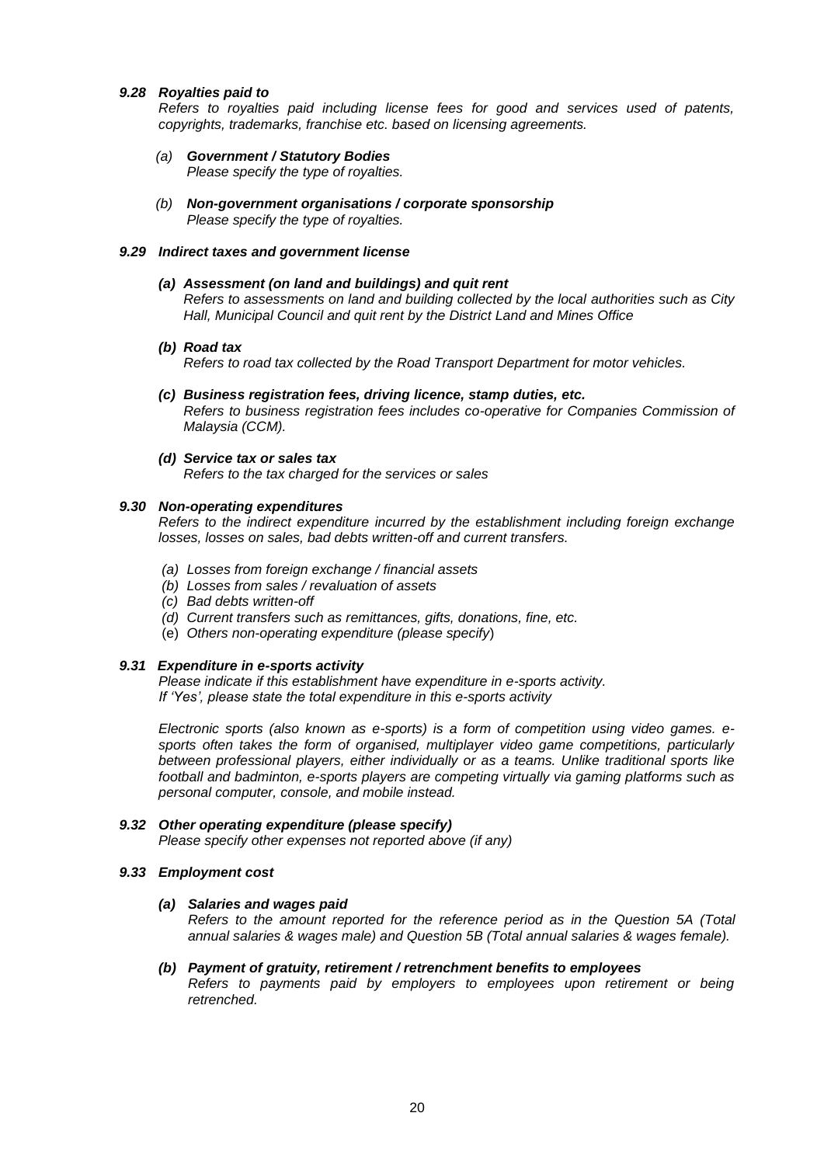## *9.28 Royalties paid to*

*Refers to royalties paid including license fees for good and services used of patents, copyrights, trademarks, franchise etc. based on licensing agreements.*

- *(a) Government / Statutory Bodies Please specify the type of royalties.*
- *(b) Non-government organisations / corporate sponsorship Please specify the type of royalties.*

### *9.29 Indirect taxes and government license*

### *(a) Assessment (on land and buildings) and quit rent*

*Refers to assessments on land and building collected by the local authorities such as City Hall, Municipal Council and quit rent by the District Land and Mines Office*

*(b) Road tax*

*Refers to road tax collected by the Road Transport Department for motor vehicles.*

- *(c) Business registration fees, driving licence, stamp duties, etc. Refers to business registration fees includes co-operative for Companies Commission of Malaysia (CCM).*
- *(d) Service tax or sales tax*

*Refers to the tax charged for the services or sales* 

## *9.30 Non-operating expenditures*

*Refers to the indirect expenditure incurred by the establishment including foreign exchange losses, losses on sales, bad debts written-off and current transfers.*

- *(a) Losses from foreign exchange / financial assets*
- *(b) Losses from sales / revaluation of assets*
- *(c) Bad debts written-off*
- *(d) Current transfers such as remittances, gifts, donations, fine, etc.*
- (e) *Others non-operating expenditure (please specify*)

## *9.31 Expenditure in e-sports activity*

*Please indicate if this establishment have expenditure in e-sports activity. If 'Yes', please state the total expenditure in this e-sports activity*

*Electronic sports (also known as e-sports) is a form of competition using video games. esports often takes the form of organised, multiplayer video game competitions, particularly between professional players, either individually or as a teams. Unlike traditional sports like football and badminton, e-sports players are competing virtually via gaming platforms such as personal computer, console, and mobile instead.*

## *9.32 Other operating expenditure (please specify)*

*Please specify other expenses not reported above (if any)*

## *9.33 Employment cost*

## *(a) Salaries and wages paid*

*Refers to the amount reported for the reference period as in the Question 5A (Total annual salaries & wages male) and Question 5B (Total annual salaries & wages female).*

#### *(b) Payment of gratuity, retirement / retrenchment benefits to employees*

*Refers to payments paid by employers to employees upon retirement or being retrenched.*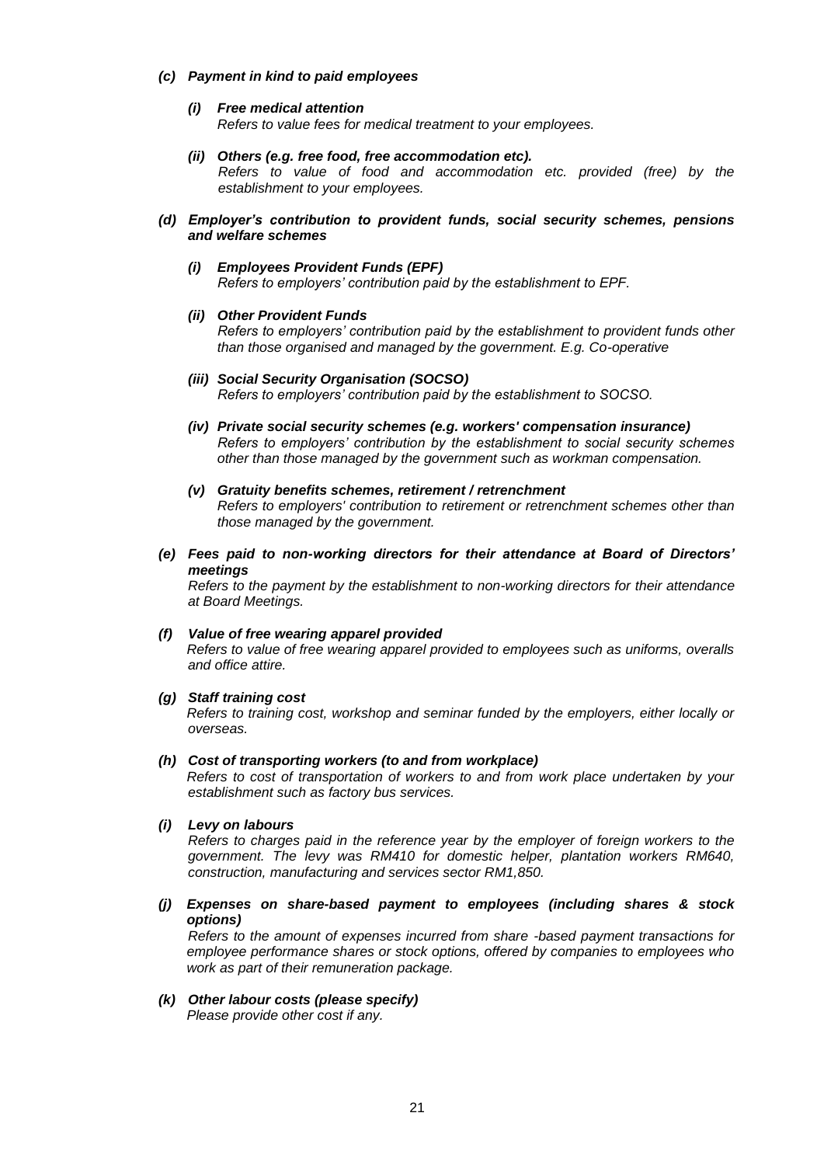## *(c) Payment in kind to paid employees*

## *(i) Free medical attention*

*Refers to value fees for medical treatment to your employees.* 

*(ii) Others (e.g. free food, free accommodation etc).*

*Refers to value of food and accommodation etc. provided (free) by the establishment to your employees.* 

- *(d) Employer's contribution to provident funds, social security schemes, pensions and welfare schemes*
	- *(i) Employees Provident Funds (EPF) Refers to employers' contribution paid by the establishment to EPF.*

## *(ii) Other Provident Funds*

*Refers to employers' contribution paid by the establishment to provident funds other than those organised and managed by the government. E.g. Co-operative*

- *(iii) Social Security Organisation (SOCSO) Refers to employers' contribution paid by the establishment to SOCSO.*
- *(iv) Private social security schemes (e.g. workers' compensation insurance) Refers to employers' contribution by the establishment to social security schemes other than those managed by the government such as workman compensation.*
- *(v) Gratuity benefits schemes, retirement / retrenchment Refers to employers' contribution to retirement or retrenchment schemes other than those managed by the government.*
- *(e) Fees paid to non-working directors for their attendance at Board of Directors' meetings*

*Refers to the payment by the establishment to non-working directors for their attendance at Board Meetings.*

- *(f) Value of free wearing apparel provided Refers to value of free wearing apparel provided to employees such as uniforms, overalls and office attire.*
- *(g) Staff training cost*

*Refers to training cost, workshop and seminar funded by the employers, either locally or overseas.*

*(h) Cost of transporting workers (to and from workplace)*

*Refers to cost of transportation of workers to and from work place undertaken by your establishment such as factory bus services.*

*(i) Levy on labours*

*Refers to charges paid in the reference year by the employer of foreign workers to the government. The levy was RM410 for domestic helper, plantation workers RM640, construction, manufacturing and services sector RM1,850.*

*(j) Expenses on share-based payment to employees (including shares & stock options)*

*Refers to the amount of expenses incurred from share -based payment transactions for employee performance shares or stock options, offered by companies to employees who work as part of their remuneration package.*

#### *(k) Other labour costs (please specify)*

*Please provide other cost if any.*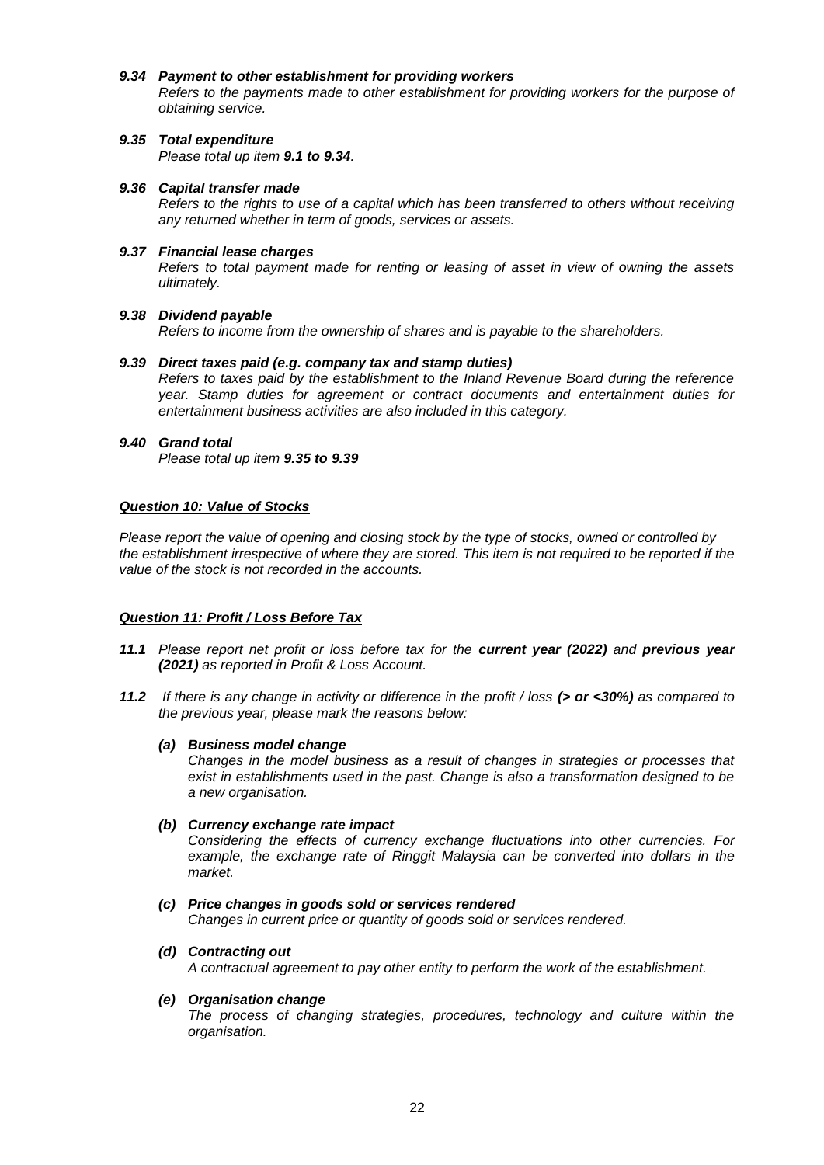#### *9.34 Payment to other establishment for providing workers*

*Refers to the payments made to other establishment for providing workers for the purpose of obtaining service.*

*9.35 Total expenditure Please total up item 9.1 to 9.34.*

## *9.36 Capital transfer made*

*Refers to the rights to use of a capital which has been transferred to others without receiving any returned whether in term of goods, services or assets.*

## *9.37 Financial lease charges*

*Refers to total payment made for renting or leasing of asset in view of owning the assets ultimately.*

## *9.38 Dividend payable*

*Refers to income from the ownership of shares and is payable to the shareholders.* 

## *9.39 Direct taxes paid (e.g. company tax and stamp duties)*

*Refers to taxes paid by the establishment to the Inland Revenue Board during the reference year. Stamp duties for agreement or contract documents and entertainment duties for entertainment business activities are also included in this category.* 

## *9.40 Grand total*

*Please total up item 9.35 to 9.39*

## *Question 10: Value of Stocks*

*Please report the value of opening and closing stock by the type of stocks, owned or controlled by the establishment irrespective of where they are stored. This item is not required to be reported if the value of the stock is not recorded in the accounts.*

## *Question 11: Profit / Loss Before Tax*

- *11.1 Please report net profit or loss before tax for the current year (2022) and previous year (2021) as reported in Profit & Loss Account.*
- *11.2 If there is any change in activity or difference in the profit / loss (> or <30%) as compared to the previous year, please mark the reasons below:*

## *(a) Business model change*

*Changes in the model business as a result of changes in strategies or processes that exist in establishments used in the past. Change is also a transformation designed to be a new organisation.*

*(b) Currency exchange rate impact*

*Considering the effects of currency exchange fluctuations into other currencies. For*  example, the exchange rate of Ringgit Malaysia can be converted into dollars in the *market.*

*(c) Price changes in goods sold or services rendered*

*Changes in current price or quantity of goods sold or services rendered.*

*(d) Contracting out*

*A contractual agreement to pay other entity to perform the work of the establishment.*

## *(e) Organisation change*

*The process of changing strategies, procedures, technology and culture within the organisation.*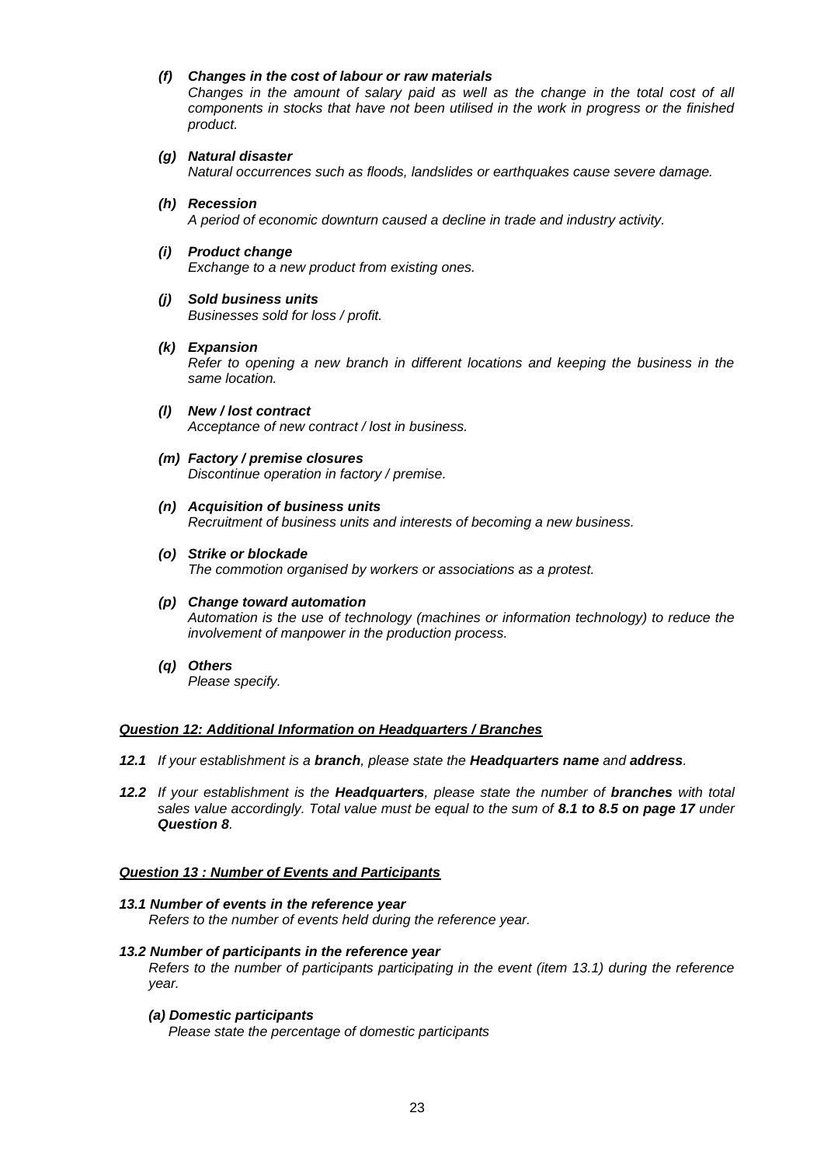## *(f) Changes in the cost of labour or raw materials*

*Changes in the amount of salary paid as well as the change in the total cost of all components in stocks that have not been utilised in the work in progress or the finished product.*

## *(g) Natural disaster*

*Natural occurrences such as floods, landslides or earthquakes cause severe damage.*

- *(h) Recession A period of economic downturn caused a decline in trade and industry activity.*
- *(i) Product change*

*Exchange to a new product from existing ones.*

*(j) Sold business units Businesses sold for loss / profit.*

## *(k) Expansion*

*Refer to opening a new branch in different locations and keeping the business in the same location.*

- *(l) New / lost contract Acceptance of new contract / lost in business.*
- *(m) Factory / premise closures Discontinue operation in factory / premise.*
- *(n) Acquisition of business units Recruitment of business units and interests of becoming a new business.*
- *(o) Strike or blockade The commotion organised by workers or associations as a protest.*
- *(p) Change toward automation Automation is the use of technology (machines or information technology) to reduce the involvement of manpower in the production process.*
- *(q) Others Please specify.*

#### *Question 12: Additional Information on Headquarters / Branches*

- *12.1 If your establishment is a branch, please state the Headquarters name and address.*
- *12.2 If your establishment is the Headquarters, please state the number of branches with total sales value accordingly. Total value must be equal to the sum of 8.1 to 8.5 on page 17 under Question 8.*

## *Question 13 : Number of Events and Participants*

*13.1 Number of events in the reference year Refers to the number of events held during the reference year.*

#### *13.2 Number of participants in the reference year*

*Refers to the number of participants participating in the event (item 13.1) during the reference year.*

*(a) Domestic participants Please state the percentage of domestic participants*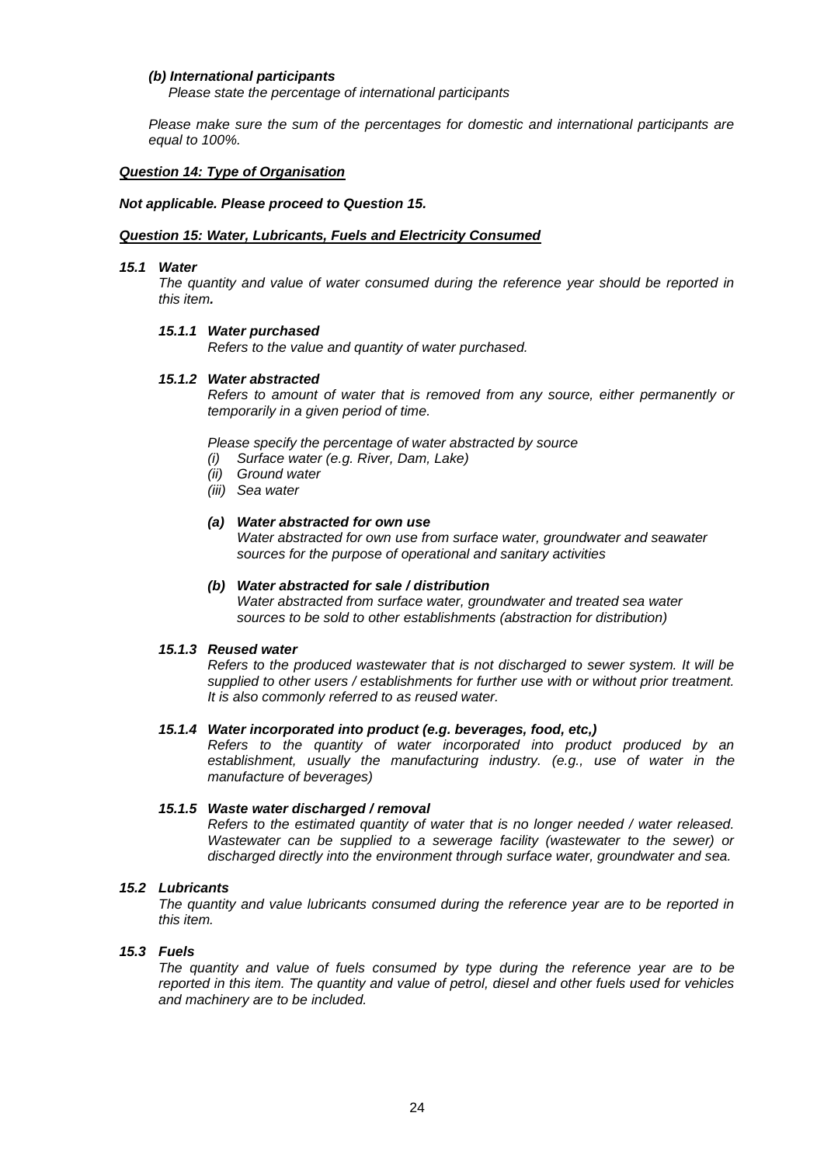## *(b) International participants*

*Please state the percentage of international participants* 

*Please make sure the sum of the percentages for domestic and international participants are equal to 100%.* 

## *Question 14: Type of Organisation*

#### *Not applicable. Please proceed to Question 15.*

## *Question 15: Water, Lubricants, Fuels and Electricity Consumed*

#### *15.1 Water*

*The quantity and value of water consumed during the reference year should be reported in this item.* 

#### *15.1.1 Water purchased*

*Refers to the value and quantity of water purchased.*

#### *15.1.2 Water abstracted*

*Refers to amount of water that is removed from any source, either permanently or temporarily in a given period of time.*

*Please specify the percentage of water abstracted by source*

- *(i) Surface water (e.g. River, Dam, Lake)*
- *(ii) Ground water*
- *(iii) Sea water*

## *(a) Water abstracted for own use*

*Water abstracted for own use from surface water, groundwater and seawater sources for the purpose of operational and sanitary activities*

## *(b) Water abstracted for sale / distribution*

*Water abstracted from surface water, groundwater and treated sea water sources to be sold to other establishments (abstraction for distribution)*

#### *15.1.3 Reused water*

*Refers to the produced wastewater that is not discharged to sewer system. It will be supplied to other users / establishments for further use with or without prior treatment. It is also commonly referred to as reused water.*

#### *15.1.4 Water incorporated into product (e.g. beverages, food, etc,)*

*Refers to the quantity of water incorporated into product produced by an establishment, usually the manufacturing industry. (e.g., use of water in the manufacture of beverages)*

## *15.1.5 Waste water discharged / removal*

*Refers to the estimated quantity of water that is no longer needed / water released. Wastewater can be supplied to a sewerage facility (wastewater to the sewer) or discharged directly into the environment through surface water, groundwater and sea.*

## *15.2 Lubricants*

*The quantity and value lubricants consumed during the reference year are to be reported in this item.*

## *15.3 Fuels*

*The quantity and value of fuels consumed by type during the reference year are to be reported in this item. The quantity and value of petrol, diesel and other fuels used for vehicles and machinery are to be included.*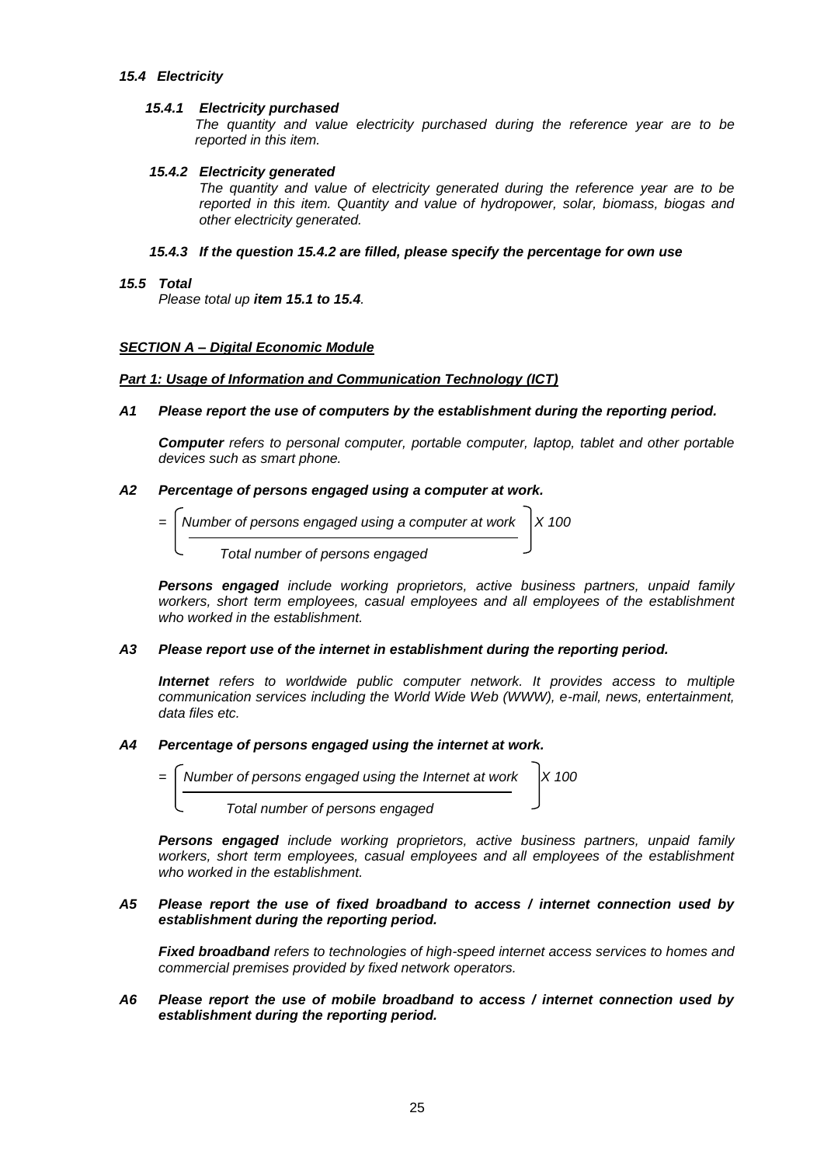## *15.4 Electricity*

## *15.4.1 Electricity purchased*

*The quantity and value electricity purchased during the reference year are to be reported in this item.*

## *15.4.2 Electricity generated*

*The quantity and value of electricity generated during the reference year are to be reported in this item. Quantity and value of hydropower, solar, biomass, biogas and other electricity generated.*

## *15.4.3 If the question 15.4.2 are filled, please specify the percentage for own use*

## *15.5 Total*

*Please total up item 15.1 to 15.4.*

## *SECTION A – Digital Economic Module*

## *Part 1: Usage of Information and Communication Technology (ICT)*

## *A1 Please report the use of computers by the establishment during the reporting period.*

*Computer refers to personal computer, portable computer, laptop, tablet and other portable devices such as smart phone.*

## *A2 Percentage of persons engaged using a computer at work.*

- $=$   $\sqrt{\frac{N_{\text{t}}}{N_{\text{t}}}$  Number of persons engaged using a computer at work  $\sqrt{N_{\text{t}}}$  X 100
	- *Total number of persons engaged*

*Persons engaged include working proprietors, active business partners, unpaid family workers, short term employees, casual employees and all employees of the establishment who worked in the establishment.*

## *A3 Please report use of the internet in establishment during the reporting period.*

*Internet refers to worldwide public computer network. It provides access to multiple communication services including the World Wide Web (WWW), e-mail, news, entertainment, data files etc.*

## *A4 Percentage of persons engaged using the internet at work.*

| $=$ Number of persons engaged using the Internet at work $\vert$ X 100 |  |
|------------------------------------------------------------------------|--|
| Total number of persons engaged                                        |  |

*Persons engaged include working proprietors, active business partners, unpaid family workers, short term employees, casual employees and all employees of the establishment who worked in the establishment.*

## *A5 Please report the use of fixed broadband to access / internet connection used by establishment during the reporting period.*

*Fixed broadband refers to technologies of high-speed internet access services to homes and commercial premises provided by fixed network operators.* 

## *A6 Please report the use of mobile broadband to access / internet connection used by establishment during the reporting period.*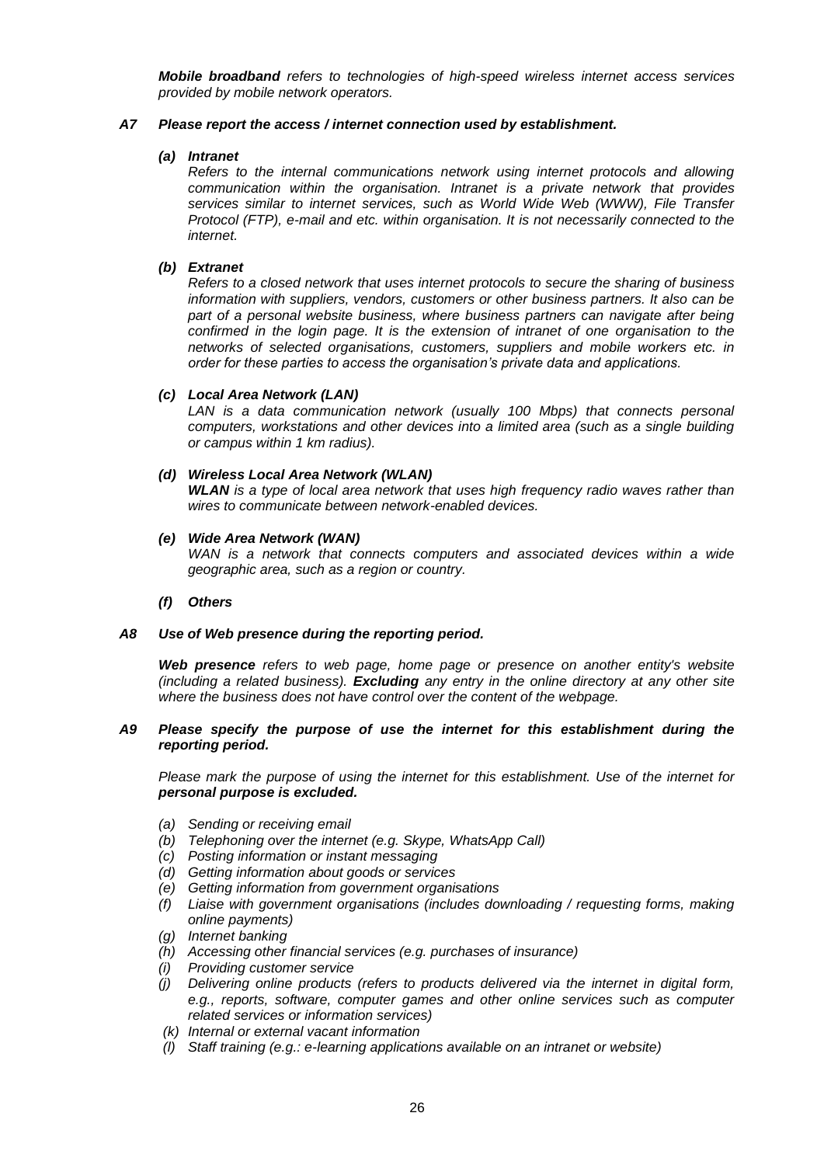*Mobile broadband refers to technologies of high-speed wireless internet access services provided by mobile network operators.*

## *A7 Please report the access / internet connection used by establishment.*

## *(a) Intranet*

*Refers to the internal communications network using internet protocols and allowing communication within the organisation. Intranet is a private network that provides services similar to internet services, such as World Wide Web (WWW), File Transfer Protocol (FTP), e-mail and etc. within organisation. It is not necessarily connected to the internet.*

## *(b) Extranet*

*Refers to a closed network that uses internet protocols to secure the sharing of business information with suppliers, vendors, customers or other business partners. It also can be part of a personal website business, where business partners can navigate after being confirmed in the login page. It is the extension of intranet of one organisation to the networks of selected organisations, customers, suppliers and mobile workers etc. in order for these parties to access the organisation's private data and applications.*

## *(c) Local Area Network (LAN)*

*LAN is a data communication network (usually 100 Mbps) that connects personal computers, workstations and other devices into a limited area (such as a single building or campus within 1 km radius).*

## *(d) Wireless Local Area Network (WLAN)*

*WLAN is a type of local area network that uses high frequency radio waves rather than wires to communicate between network-enabled devices.*

## *(e) Wide Area Network (WAN)*

WAN is a network that connects computers and associated devices within a wide *geographic area, such as a region or country.*

*(f) Others*

## *A8 Use of Web presence during the reporting period.*

*Web presence refers to web page, home page or presence on another entity's website (including a related business). Excluding any entry in the online directory at any other site where the business does not have control over the content of the webpage.*

## *A9 Please specify the purpose of use the internet for this establishment during the reporting period.*

*Please mark the purpose of using the internet for this establishment. Use of the internet for personal purpose is excluded.*

- *(a) Sending or receiving email*
- *(b) Telephoning over the internet (e.g. Skype, WhatsApp Call)*
- *(c) Posting information or instant messaging*
- *(d) Getting information about goods or services*
- *(e) Getting information from government organisations*
- *(f) Liaise with government organisations (includes downloading / requesting forms, making online payments)*
- *(g) Internet banking*
- *(h) Accessing other financial services (e.g. purchases of insurance)*
- *(i) Providing customer service*
- *(j) Delivering online products (refers to products delivered via the internet in digital form, e.g., reports, software, computer games and other online services such as computer related services or information services)*
- *(k) Internal or external vacant information*
- *(l) Staff training (e.g.: e-learning applications available on an intranet or website)*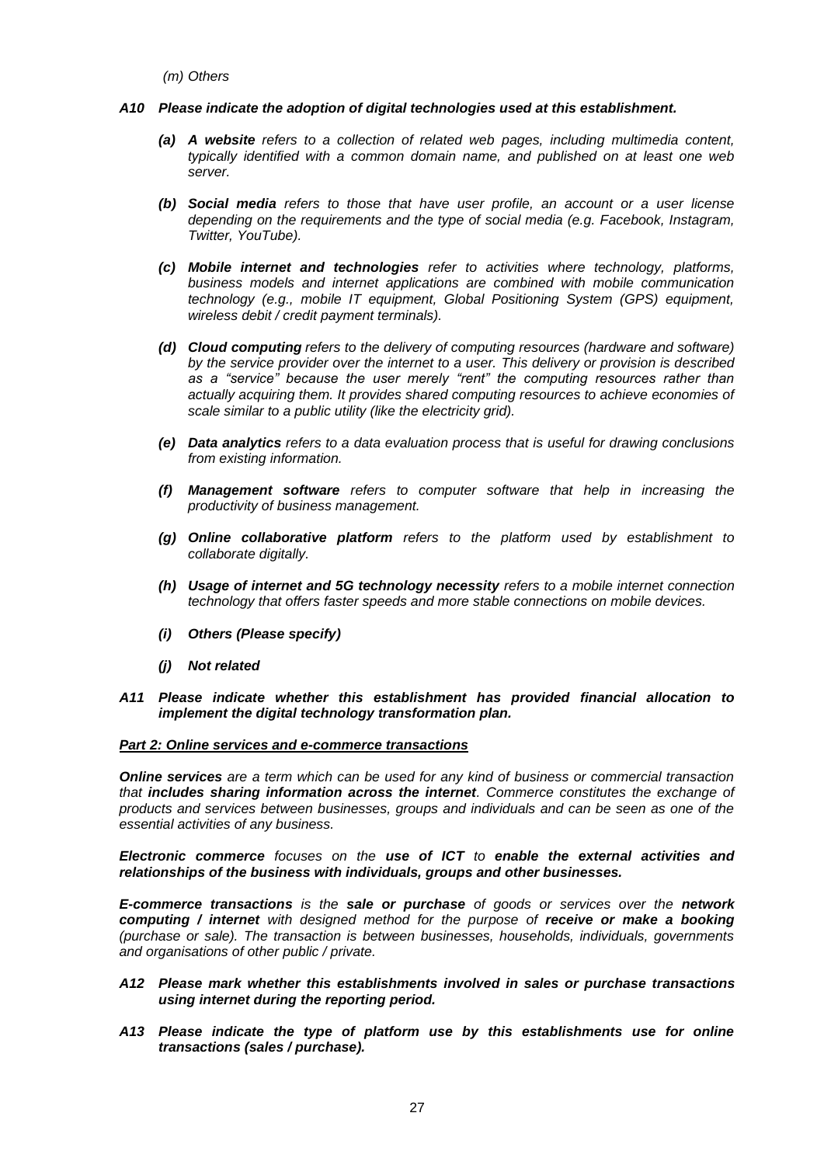*(m) Others*

#### *A10 Please indicate the adoption of digital technologies used at this establishment.*

- *(a) A website refers to a collection of related web pages, including multimedia content, typically identified with a common domain name, and published on at least one web server.*
- *(b) Social media refers to those that have user profile, an account or a user license depending on the requirements and the type of social media (e.g. Facebook, Instagram, Twitter, YouTube).*
- *(c) Mobile internet and technologies refer to activities where technology, platforms, business models and internet applications are combined with mobile communication technology (e.g., mobile IT equipment, Global Positioning System (GPS) equipment, wireless debit / credit payment terminals).*
- *(d) Cloud computing refers to the delivery of computing resources (hardware and software) by the service provider over the internet to a user. This delivery or provision is described as a "service" because the user merely "rent" the computing resources rather than actually acquiring them. It provides shared computing resources to achieve economies of scale similar to a public utility (like the electricity grid).*
- *(e) Data analytics refers to a data evaluation process that is useful for drawing conclusions from existing information.*
- *(f) Management software refers to computer software that help in increasing the productivity of business management.*
- *(g) Online collaborative platform refers to the platform used by establishment to collaborate digitally.*
- *(h) Usage of internet and 5G technology necessity refers to a mobile internet connection technology that offers faster speeds and more stable connections on mobile devices.*
- *(i) Others (Please specify)*
- *(j) Not related*
- *A11 Please indicate whether this establishment has provided financial allocation to implement the digital technology transformation plan.*

#### *Part 2: Online services and e-commerce transactions*

*Online services are a term which can be used for any kind of business or commercial transaction that includes sharing information across the internet. Commerce constitutes the exchange of products and services between businesses, groups and individuals and can be seen as one of the essential activities of any business.* 

*Electronic commerce focuses on the use of ICT to enable the external activities and relationships of the business with individuals, groups and other businesses.*

*E-commerce transactions is the sale or purchase of goods or services over the network computing / internet with designed method for the purpose of receive or make a booking (purchase or sale). The transaction is between businesses, households, individuals, governments and organisations of other public / private.* 

### *A12 Please mark whether this establishments involved in sales or purchase transactions using internet during the reporting period.*

*A13 Please indicate the type of platform use by this establishments use for online transactions (sales / purchase).*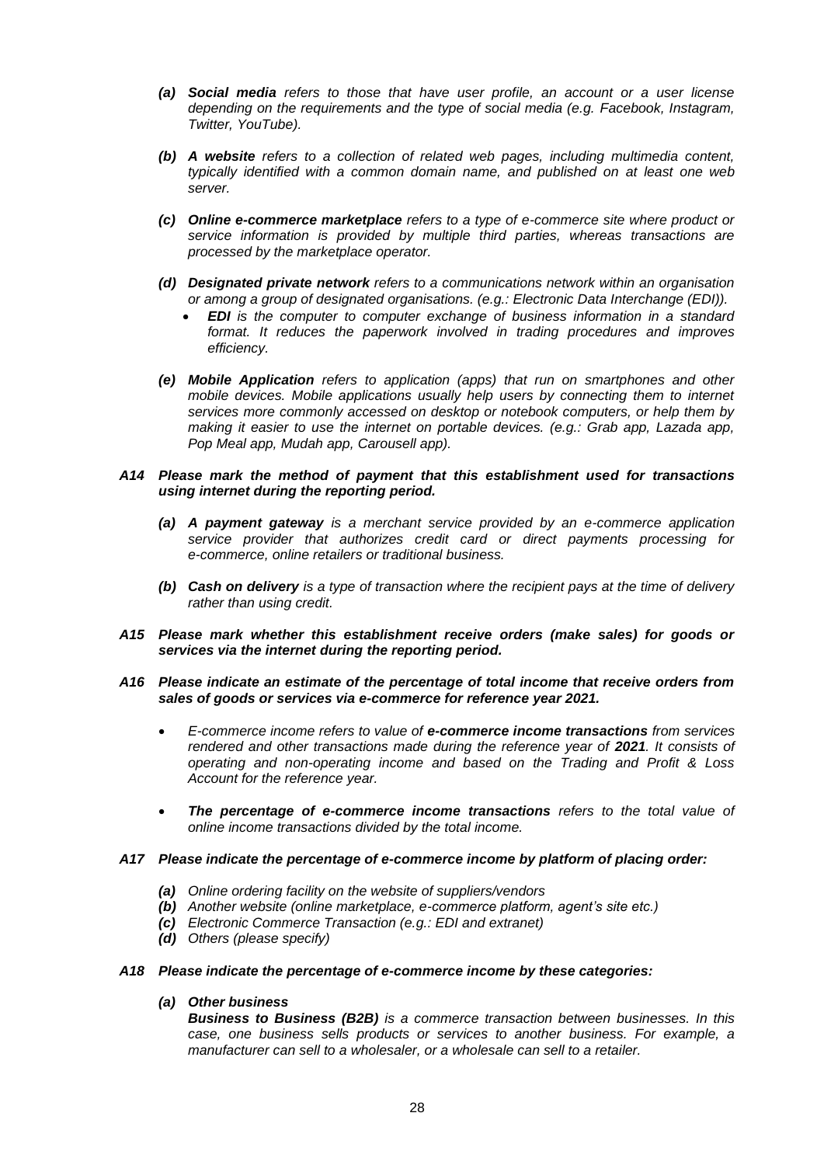- *(a) Social media refers to those that have user profile, an account or a user license depending on the requirements and the type of social media (e.g. Facebook, Instagram, Twitter, YouTube).*
- *(b) A website refers to a collection of related web pages, including multimedia content, typically identified with a common domain name, and published on at least one web server.*
- *(c) Online e-commerce marketplace refers to a type of e-commerce site where product or service information is provided by multiple third parties, whereas transactions are processed by the marketplace operator.*
- *(d) Designated private network refers to a communications network within an organisation or among a group of designated organisations. (e.g.: Electronic Data Interchange (EDI)).*
	- *EDI is the computer to computer exchange of business information in a standard format. It reduces the paperwork involved in trading procedures and improves efficiency.*
- *(e) Mobile Application refers to application (apps) that run on smartphones and other mobile devices. Mobile applications usually help users by connecting them to internet services more commonly accessed on desktop or notebook computers, or help them by making it easier to use the internet on portable devices. (e.g.: Grab app, Lazada app, Pop Meal app, Mudah app, Carousell app).*

## *A14 Please mark the method of payment that this establishment used for transactions using internet during the reporting period.*

- *(a) A payment gateway is a merchant service provided by an e-commerce application service provider that authorizes credit card or direct payments processing for e-commerce, online retailers or traditional business.*
- *(b) Cash on delivery is a type of transaction where the recipient pays at the time of delivery rather than using credit.*
- *A15 Please mark whether this establishment receive orders (make sales) for goods or services via the internet during the reporting period.*

## *A16 Please indicate an estimate of the percentage of total income that receive orders from sales of goods or services via e-commerce for reference year 2021.*

- *E-commerce income refers to value of e-commerce income transactions from services rendered and other transactions made during the reference year of 2021. It consists of operating and non-operating income and based on the Trading and Profit & Loss Account for the reference year.*
- *The percentage of e-commerce income transactions refers to the total value of online income transactions divided by the total income.*

## *A17 Please indicate the percentage of e-commerce income by platform of placing order:*

- *(a) Online ordering facility on the website of suppliers/vendors*
- *(b) Another website (online marketplace, e-commerce platform, agent's site etc.)*
- *(c) Electronic Commerce Transaction (e.g.: EDI and extranet)*
- *(d) Others (please specify)*

## *A18 Please indicate the percentage of e-commerce income by these categories:*

# *(a) Other business*

*Business to Business (B2B) is a commerce transaction between businesses. In this case, one business sells products or services to another business. For example, a manufacturer can sell to a wholesaler, or a wholesale can sell to a retailer.*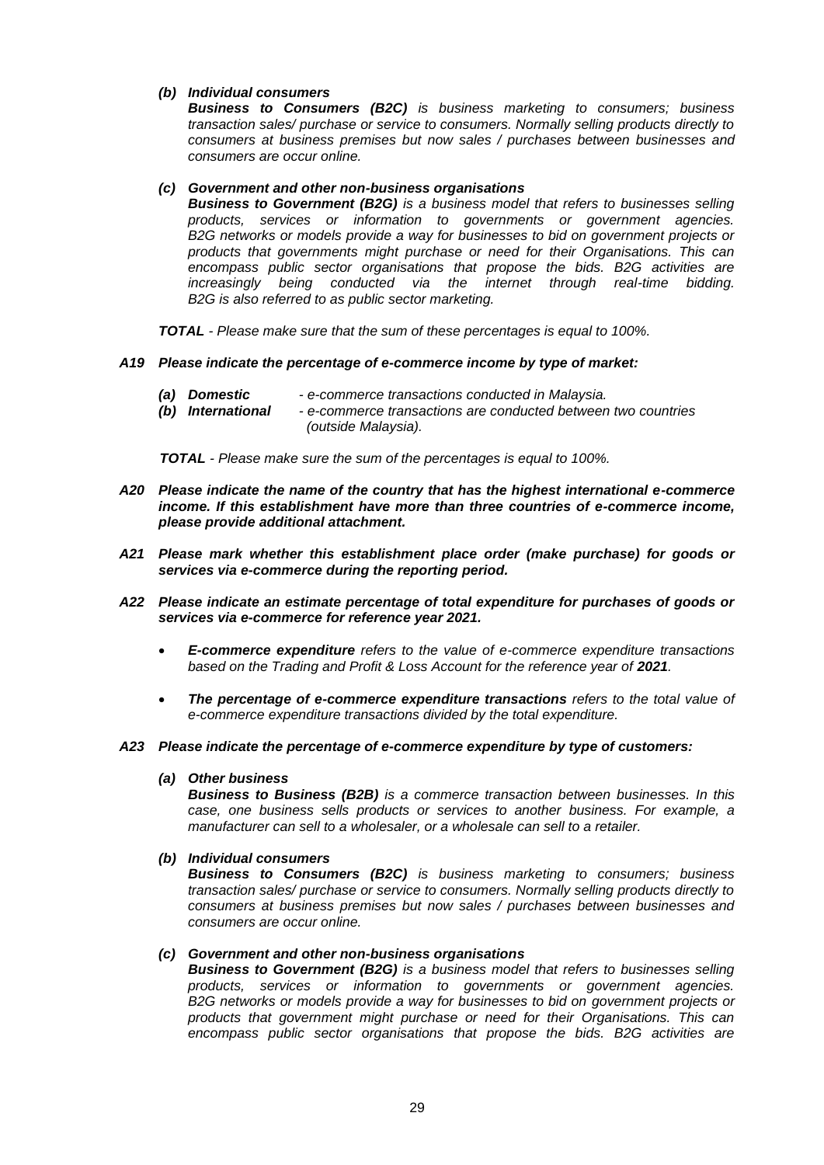## *(b) Individual consumers*

*Business to Consumers (B2C) is business marketing to consumers; business transaction sales/ purchase or service to consumers. Normally selling products directly to consumers at business premises but now sales / purchases between businesses and consumers are occur online.*

## *(c) Government and other non-business organisations*

*Business to Government (B2G) is a business model that refers to businesses selling products, services or information to governments or government agencies. B2G networks or models provide a way for businesses to bid on government projects or products that governments might purchase or need for their Organisations. This can encompass public sector organisations that propose the bids. B2G activities are increasingly being conducted via the internet through real-time bidding. B2G is also referred to as public sector marketing.*

*TOTAL - Please make sure that the sum of these percentages is equal to 100%.*

## *A19 Please indicate the percentage of e-commerce income by type of market:*

- *(a) Domestic - e-commerce transactions conducted in Malaysia.*
- *(b) International - e-commerce transactions are conducted between two countries (outside Malaysia).*

 *TOTAL - Please make sure the sum of the percentages is equal to 100%.*

- *A20 Please indicate the name of the country that has the highest international e-commerce income. If this establishment have more than three countries of e-commerce income, please provide additional attachment.*
- *A21 Please mark whether this establishment place order (make purchase) for goods or services via e-commerce during the reporting period.*
- *A22 Please indicate an estimate percentage of total expenditure for purchases of goods or services via e-commerce for reference year 2021.*
	- *E-commerce expenditure refers to the value of e-commerce expenditure transactions*  based on the Trading and Profit & Loss Account for the reference year of 2021.
	- *The percentage of e-commerce expenditure transactions refers to the total value of e-commerce expenditure transactions divided by the total expenditure.*
- *A23 Please indicate the percentage of e-commerce expenditure by type of customers:*

## *(a) Other business*

*Business to Business (B2B) is a commerce transaction between businesses. In this case, one business sells products or services to another business. For example, a manufacturer can sell to a wholesaler, or a wholesale can sell to a retailer.*

## *(b) Individual consumers*

*Business to Consumers (B2C) is business marketing to consumers; business transaction sales/ purchase or service to consumers. Normally selling products directly to consumers at business premises but now sales / purchases between businesses and consumers are occur online.*

## *(c) Government and other non-business organisations*

*Business to Government (B2G) is a business model that refers to businesses selling products, services or information to governments or government agencies. B2G networks or models provide a way for businesses to bid on government projects or products that government might purchase or need for their Organisations. This can encompass public sector organisations that propose the bids. B2G activities are*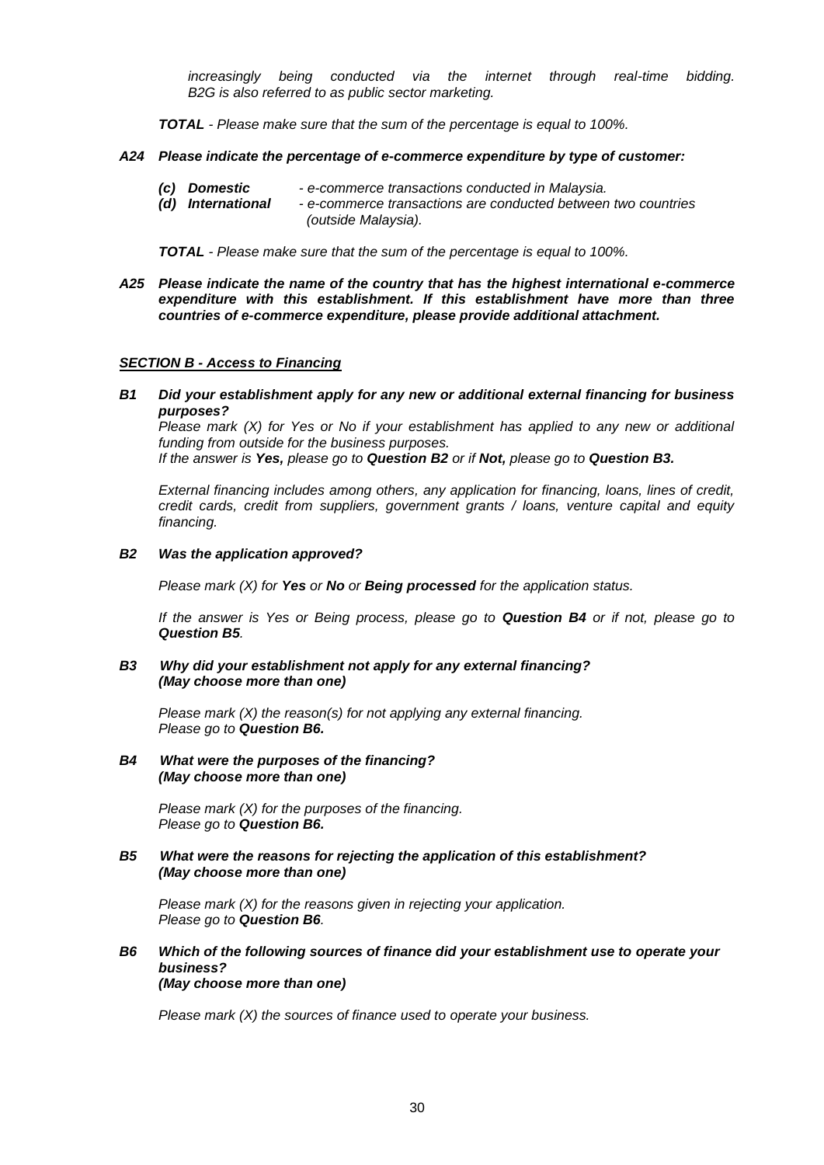*increasingly being conducted via the internet through real-time bidding. B2G is also referred to as public sector marketing.*

*TOTAL - Please make sure that the sum of the percentage is equal to 100%.*

## *A24 Please indicate the percentage of e-commerce expenditure by type of customer:*

- *(c) Domestic - e-commerce transactions conducted in Malaysia.*
- *(d) International - e-commerce transactions are conducted between two countries (outside Malaysia).*

*TOTAL - Please make sure that the sum of the percentage is equal to 100%.*

*A25 Please indicate the name of the country that has the highest international e-commerce expenditure with this establishment. If this establishment have more than three countries of e-commerce expenditure, please provide additional attachment.*

## *SECTION B - Access to Financing*

*B1 Did your establishment apply for any new or additional external financing for business purposes?*

*Please mark (X) for Yes or No if your establishment has applied to any new or additional funding from outside for the business purposes.* 

*If the answer is Yes, please go to Question B2 or if Not, please go to Question B3.*

*External financing includes among others, any application for financing, loans, lines of credit, credit cards, credit from suppliers, government grants / loans, venture capital and equity financing.*

## *B2 Was the application approved?*

*Please mark (X) for Yes or No or Being processed for the application status.*

*If the answer is Yes or Being process, please go to Question B4 or if not, please go to Question B5.*

#### *B3 Why did your establishment not apply for any external financing? (May choose more than one)*

*Please mark (X) the reason(s) for not applying any external financing. Please go to Question B6.*

## *B4 What were the purposes of the financing? (May choose more than one)*

*Please mark (X) for the purposes of the financing. Please go to Question B6.*

## *B5 What were the reasons for rejecting the application of this establishment? (May choose more than one)*

*Please mark (X) for the reasons given in rejecting your application. Please go to Question B6.*

### *B6 Which of the following sources of finance did your establishment use to operate your business? (May choose more than one)*

*Please mark (X) the sources of finance used to operate your business.*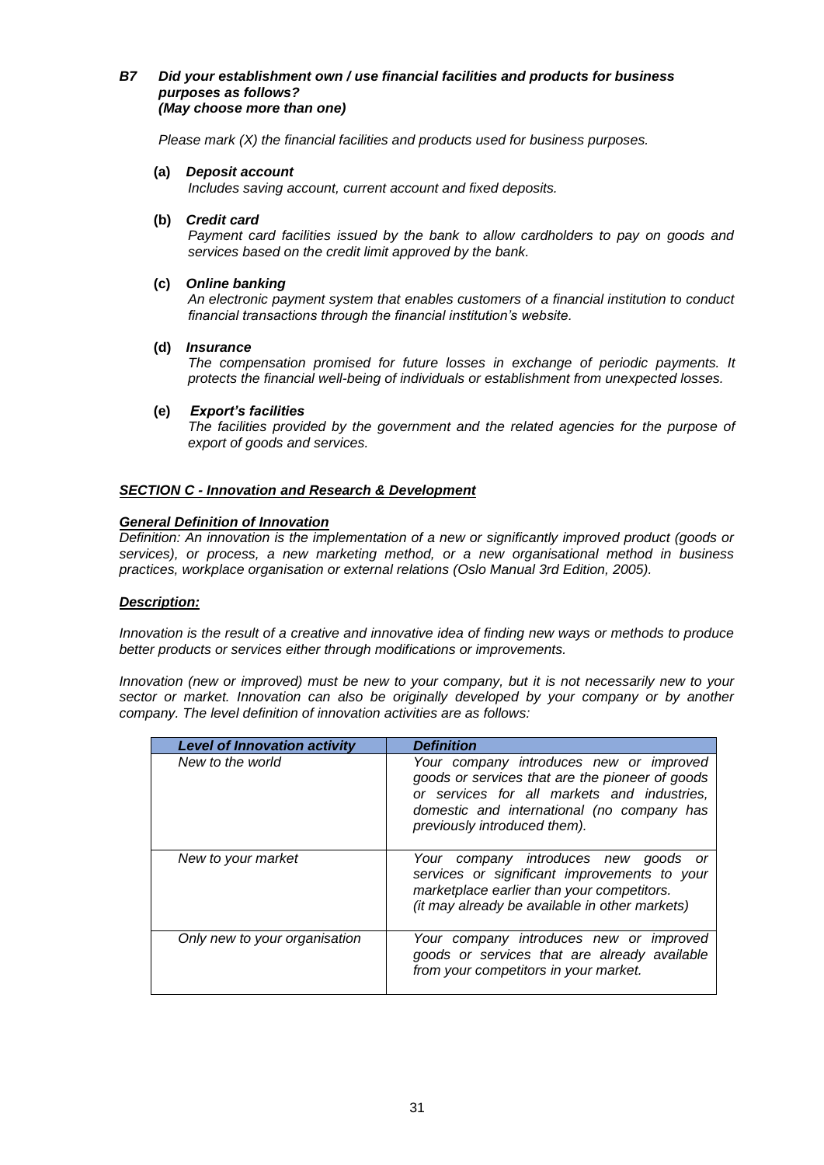## *B7 Did your establishment own / use financial facilities and products for business purposes as follows? (May choose more than one)*

*Please mark (X) the financial facilities and products used for business purposes.* 

### **(a)** *Deposit account*

*Includes saving account, current account and fixed deposits.*

### **(b)** *Credit card*

*Payment card facilities issued by the bank to allow cardholders to pay on goods and services based on the credit limit approved by the bank.*

## **(c)** *Online banking*

*An electronic payment system that enables customers of a financial institution to conduct financial transactions through the financial institution's website.*

## **(d)** *Insurance*

*The compensation promised for future losses in exchange of periodic payments. It protects the financial well-being of individuals or establishment from unexpected losses.*

#### **(e)** *Export's facilities*

*The facilities provided by the government and the related agencies for the purpose of export of goods and services.*

## *SECTION C - Innovation and Research & Development*

#### *General Definition of Innovation*

*Definition: An innovation is the implementation of a new or significantly improved product (goods or services), or process, a new marketing method, or a new organisational method in business practices, workplace organisation or external relations (Oslo Manual 3rd Edition, 2005).*

## *Description:*

*Innovation is the result of a creative and innovative idea of finding new ways or methods to produce better products or services either through modifications or improvements.*

*Innovation (new or improved) must be new to your company, but it is not necessarily new to your sector or market. Innovation can also be originally developed by your company or by another company. The level definition of innovation activities are as follows:*

| <b>Level of Innovation activity</b> | <b>Definition</b>                                                                                                                                                                                                       |
|-------------------------------------|-------------------------------------------------------------------------------------------------------------------------------------------------------------------------------------------------------------------------|
| New to the world                    | Your company introduces new or improved<br>goods or services that are the pioneer of goods<br>or services for all markets and industries,<br>domestic and international (no company has<br>previously introduced them). |
| New to your market                  | Your company introduces new goods<br>or<br>services or significant improvements to your<br>marketplace earlier than your competitors.<br>(it may already be available in other markets)                                 |
| Only new to your organisation       | Your company introduces new or improved<br>goods or services that are already available<br>from your competitors in your market.                                                                                        |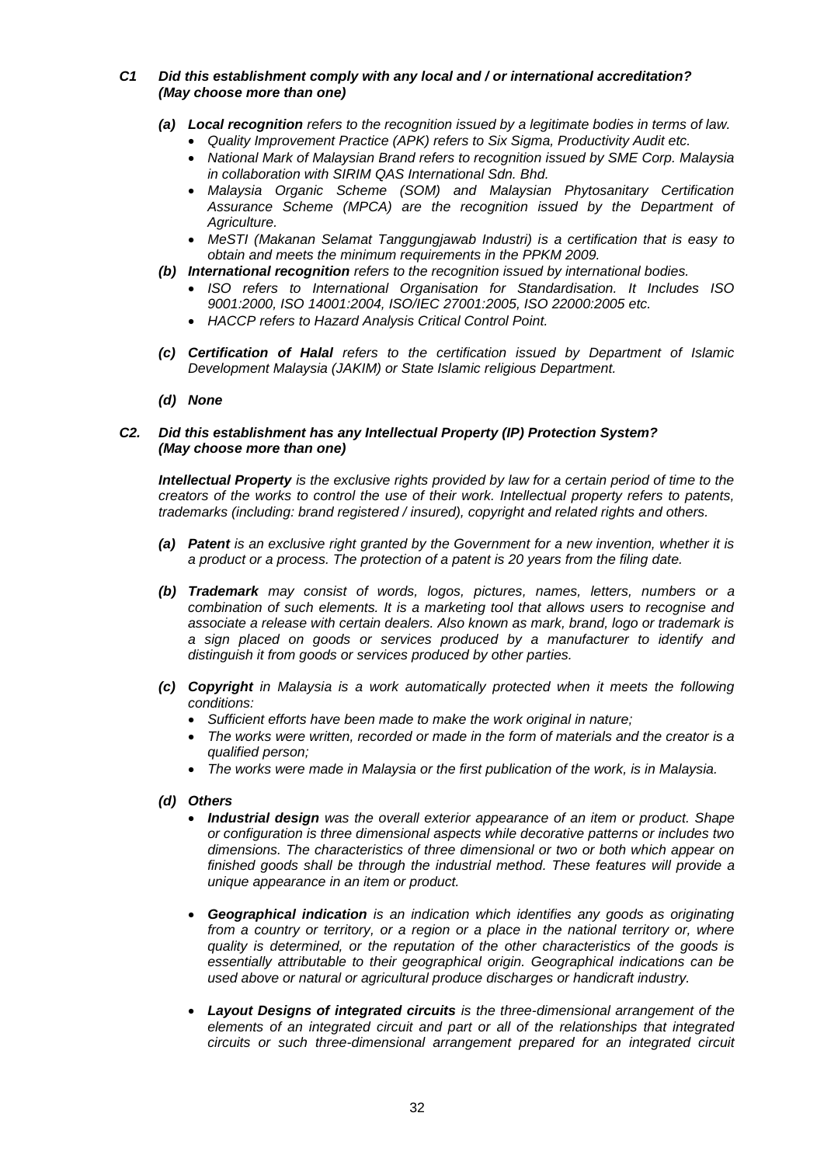## *C1 Did this establishment comply with any local and / or international accreditation? (May choose more than one)*

- *(a) Local recognition refers to the recognition issued by a legitimate bodies in terms of law.* 
	- *Quality Improvement Practice (APK) refers to Six Sigma, Productivity Audit etc.*
	- *National Mark of Malaysian Brand refers to recognition issued by SME Corp. Malaysia in collaboration with SIRIM QAS International Sdn. Bhd.*
	- *Malaysia Organic Scheme (SOM) and Malaysian Phytosanitary Certification Assurance Scheme (MPCA) are the recognition issued by the Department of Agriculture.*
	- *MeSTI (Makanan Selamat Tanggungjawab Industri) is a certification that is easy to obtain and meets the minimum requirements in the PPKM 2009.*
- *(b) International recognition refers to the recognition issued by international bodies.*
	- *ISO refers to International Organisation for Standardisation. It Includes ISO 9001:2000, ISO 14001:2004, ISO/IEC 27001:2005, ISO 22000:2005 etc.*
	- *HACCP refers to Hazard Analysis Critical Control Point.*
- *(c) Certification of Halal refers to the certification issued by Department of Islamic Development Malaysia (JAKIM) or State Islamic religious Department.*
- *(d) None*

## *C2. Did this establishment has any Intellectual Property (IP) Protection System? (May choose more than one)*

*Intellectual Property is the exclusive rights provided by law for a certain period of time to the creators of the works to control the use of their work. Intellectual property refers to patents, trademarks (including: brand registered / insured), copyright and related rights and others.*

- *(a) Patent is an exclusive right granted by the Government for a new invention, whether it is a product or a process. The protection of a patent is 20 years from the filing date.*
- *(b) Trademark may consist of words, logos, pictures, names, letters, numbers or a combination of such elements. It is a marketing tool that allows users to recognise and associate a release with certain dealers. Also known as mark, brand, logo or trademark is a sign placed on goods or services produced by a manufacturer to identify and distinguish it from goods or services produced by other parties.*
- *(c) Copyright in Malaysia is a work automatically protected when it meets the following conditions:*
	- *Sufficient efforts have been made to make the work original in nature;*
	- *The works were written, recorded or made in the form of materials and the creator is a qualified person;*
	- *The works were made in Malaysia or the first publication of the work, is in Malaysia.*
- *(d) Others*
	- *Industrial design was the overall exterior appearance of an item or product. Shape or configuration is three dimensional aspects while decorative patterns or includes two dimensions. The characteristics of three dimensional or two or both which appear on finished goods shall be through the industrial method. These features will provide a unique appearance in an item or product.*
	- *Geographical indication is an indication which identifies any goods as originating from a country or territory, or a region or a place in the national territory or, where quality is determined, or the reputation of the other characteristics of the goods is essentially attributable to their geographical origin. Geographical indications can be used above or natural or agricultural produce discharges or handicraft industry.*
	- *Layout Designs of integrated circuits is the three-dimensional arrangement of the elements of an integrated circuit and part or all of the relationships that integrated circuits or such three-dimensional arrangement prepared for an integrated circuit*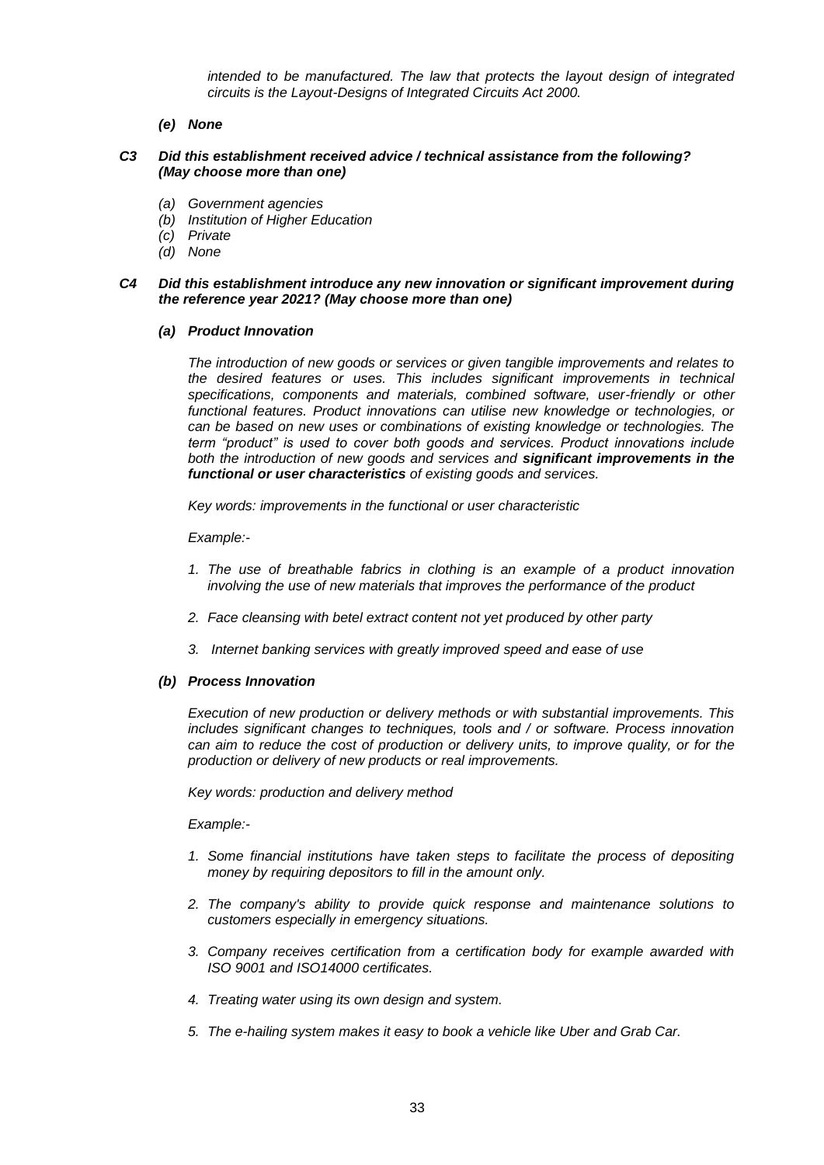*intended to be manufactured. The law that protects the layout design of integrated circuits is the Layout-Designs of Integrated Circuits Act 2000.*

*(e) None*

## *C3 Did this establishment received advice / technical assistance from the following? (May choose more than one)*

- *(a) Government agencies*
- *(b) Institution of Higher Education*
- *(c) Private*
- *(d) None*

## *C4 Did this establishment introduce any new innovation or significant improvement during the reference year 2021? (May choose more than one)*

## *(a) Product Innovation*

*The introduction of new goods or services or given tangible improvements and relates to the desired features or uses. This includes significant improvements in technical specifications, components and materials, combined software, user-friendly or other functional features. Product innovations can utilise new knowledge or technologies, or can be based on new uses or combinations of existing knowledge or technologies. The term "product" is used to cover both goods and services. Product innovations include both the introduction of new goods and services and significant improvements in the functional or user characteristics of existing goods and services.*

*Key words: improvements in the functional or user characteristic*

*Example:-*

- *1. The use of breathable fabrics in clothing is an example of a product innovation involving the use of new materials that improves the performance of the product*
- *2. Face cleansing with betel extract content not yet produced by other party*
- *3. Internet banking services with greatly improved speed and ease of use*

## *(b) Process Innovation*

*Execution of new production or delivery methods or with substantial improvements. This includes significant changes to techniques, tools and / or software. Process innovation can aim to reduce the cost of production or delivery units, to improve quality, or for the production or delivery of new products or real improvements.*

*Key words: production and delivery method*

*Example:-*

- *1. Some financial institutions have taken steps to facilitate the process of depositing money by requiring depositors to fill in the amount only.*
- *2. The company's ability to provide quick response and maintenance solutions to customers especially in emergency situations.*
- *3. Company receives certification from a certification body for example awarded with ISO 9001 and ISO14000 certificates.*
- *4. Treating water using its own design and system.*
- *5. The e-hailing system makes it easy to book a vehicle like Uber and Grab Car.*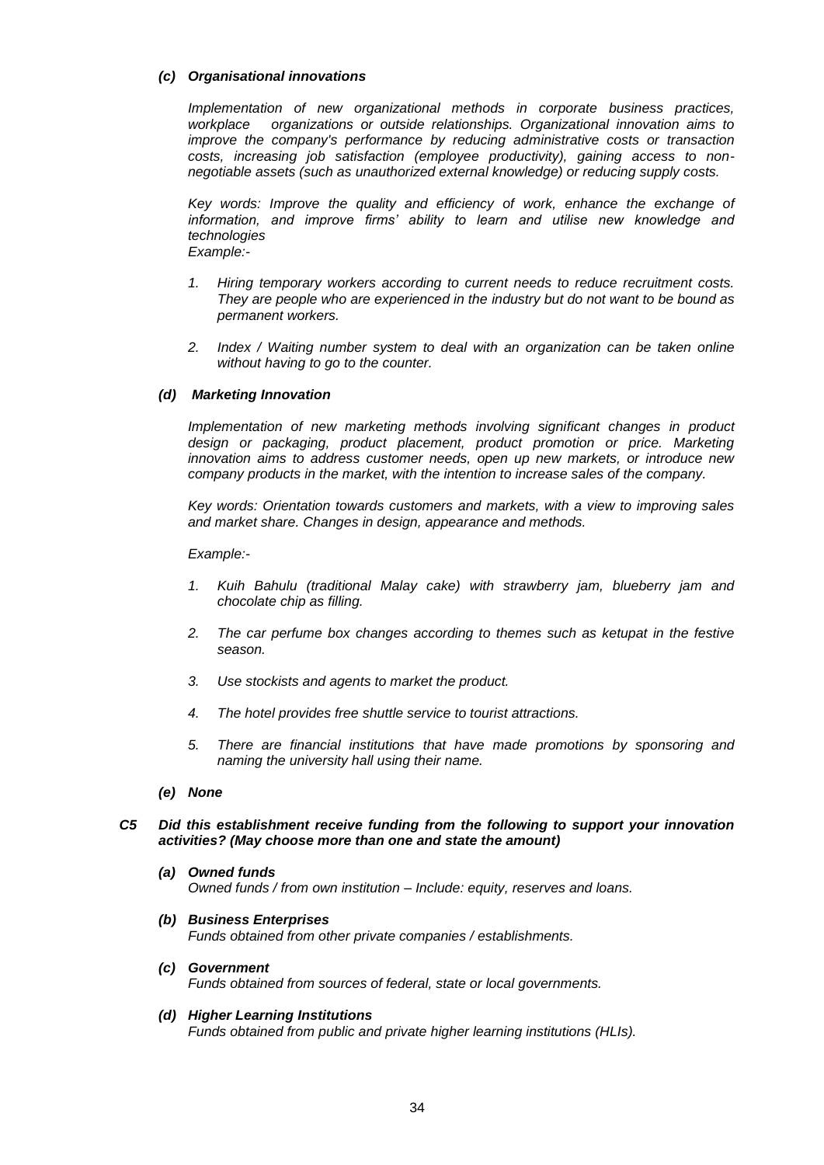## *(c) Organisational innovations*

*Implementation of new organizational methods in corporate business practices, workplace organizations or outside relationships. Organizational innovation aims to improve the company's performance by reducing administrative costs or transaction costs, increasing job satisfaction (employee productivity), gaining access to nonnegotiable assets (such as unauthorized external knowledge) or reducing supply costs.*

Key words: Improve the quality and efficiency of work, enhance the exchange of *information, and improve firms' ability to learn and utilise new knowledge and technologies Example:-*

- *1. Hiring temporary workers according to current needs to reduce recruitment costs. They are people who are experienced in the industry but do not want to be bound as permanent workers.*
- *2. Index / Waiting number system to deal with an organization can be taken online without having to go to the counter.*

## *(d) Marketing Innovation*

*Implementation of new marketing methods involving significant changes in product design or packaging, product placement, product promotion or price. Marketing innovation aims to address customer needs, open up new markets, or introduce new company products in the market, with the intention to increase sales of the company.*

*Key words: Orientation towards customers and markets, with a view to improving sales and market share. Changes in design, appearance and methods.*

#### *Example:-*

- *1. Kuih Bahulu (traditional Malay cake) with strawberry jam, blueberry jam and chocolate chip as filling.*
- *2. The car perfume box changes according to themes such as ketupat in the festive season.*
- *3. Use stockists and agents to market the product.*
- *4. The hotel provides free shuttle service to tourist attractions.*
- *5. There are financial institutions that have made promotions by sponsoring and naming the university hall using their name.*
- *(e) None*

## *C5 Did this establishment receive funding from the following to support your innovation activities? (May choose more than one and state the amount)*

- *(a) Owned funds Owned funds / from own institution – Include: equity, reserves and loans.*
- *(b) Business Enterprises Funds obtained from other private companies / establishments.*
- *(c) Government Funds obtained from sources of federal, state or local governments.*
- *(d) Higher Learning Institutions Funds obtained from public and private higher learning institutions (HLIs).*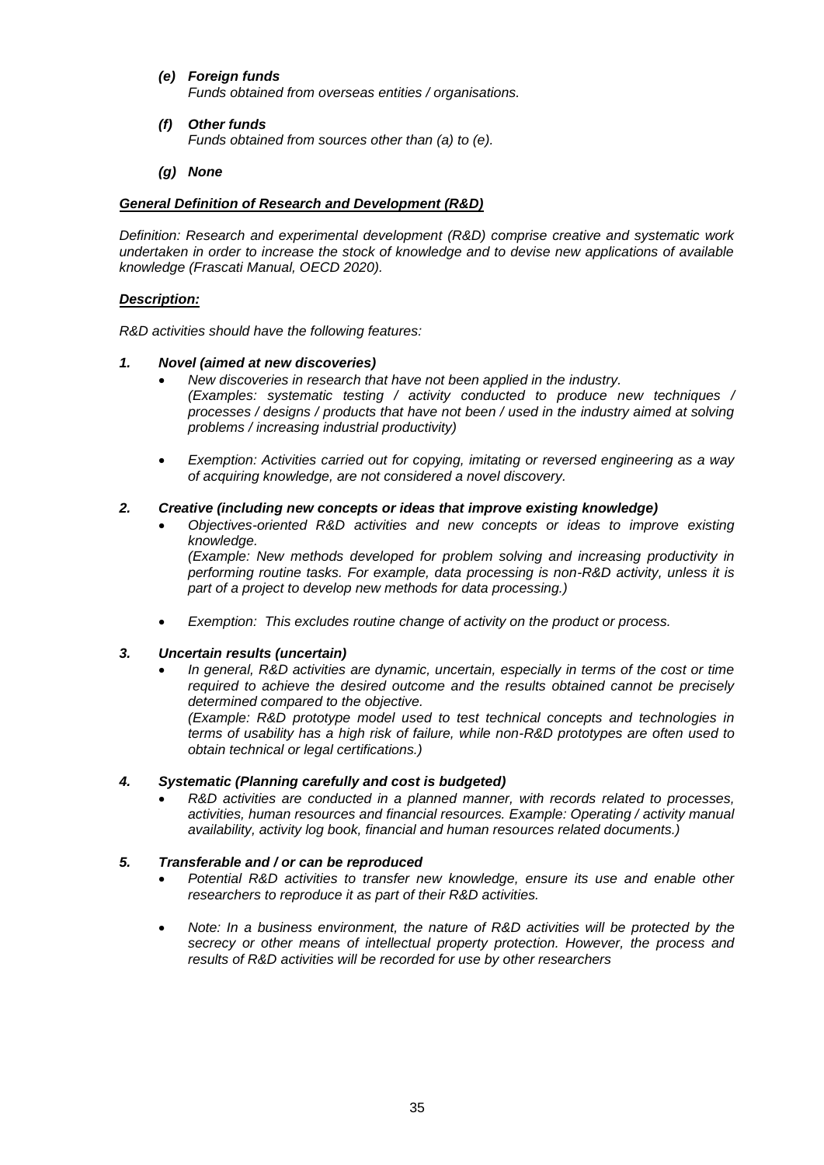- *(e) Foreign funds Funds obtained from overseas entities / organisations.*
- *(f) Other funds Funds obtained from sources other than (a) to (e).*
- *(g) None*

# *General Definition of Research and Development (R&D)*

*Definition: Research and experimental development (R&D) comprise creative and systematic work undertaken in order to increase the stock of knowledge and to devise new applications of available knowledge (Frascati Manual, OECD 2020).*

# *Description:*

*R&D activities should have the following features:*

## *1. Novel (aimed at new discoveries)*

- *New discoveries in research that have not been applied in the industry. (Examples: systematic testing / activity conducted to produce new techniques / processes / designs / products that have not been / used in the industry aimed at solving problems / increasing industrial productivity)*
- *Exemption: Activities carried out for copying, imitating or reversed engineering as a way of acquiring knowledge, are not considered a novel discovery.*

## *2. Creative (including new concepts or ideas that improve existing knowledge)*

 *Objectives-oriented R&D activities and new concepts or ideas to improve existing knowledge. (Example: New methods developed for problem solving and increasing productivity in* 

*performing routine tasks. For example, data processing is non-R&D activity, unless it is part of a project to develop new methods for data processing.)*

*Exemption: This excludes routine change of activity on the product or process.*

## *3. Uncertain results (uncertain)*

 *In general, R&D activities are dynamic, uncertain, especially in terms of the cost or time required to achieve the desired outcome and the results obtained cannot be precisely determined compared to the objective.*

*(Example: R&D prototype model used to test technical concepts and technologies in terms of usability has a high risk of failure, while non-R&D prototypes are often used to obtain technical or legal certifications.)*

## *4. Systematic (Planning carefully and cost is budgeted)*

 *R&D activities are conducted in a planned manner, with records related to processes, activities, human resources and financial resources. Example: Operating / activity manual availability, activity log book, financial and human resources related documents.)*

## *5. Transferable and / or can be reproduced*

- *Potential R&D activities to transfer new knowledge, ensure its use and enable other researchers to reproduce it as part of their R&D activities.*
- *Note: In a business environment, the nature of R&D activities will be protected by the secrecy or other means of intellectual property protection. However, the process and results of R&D activities will be recorded for use by other researchers*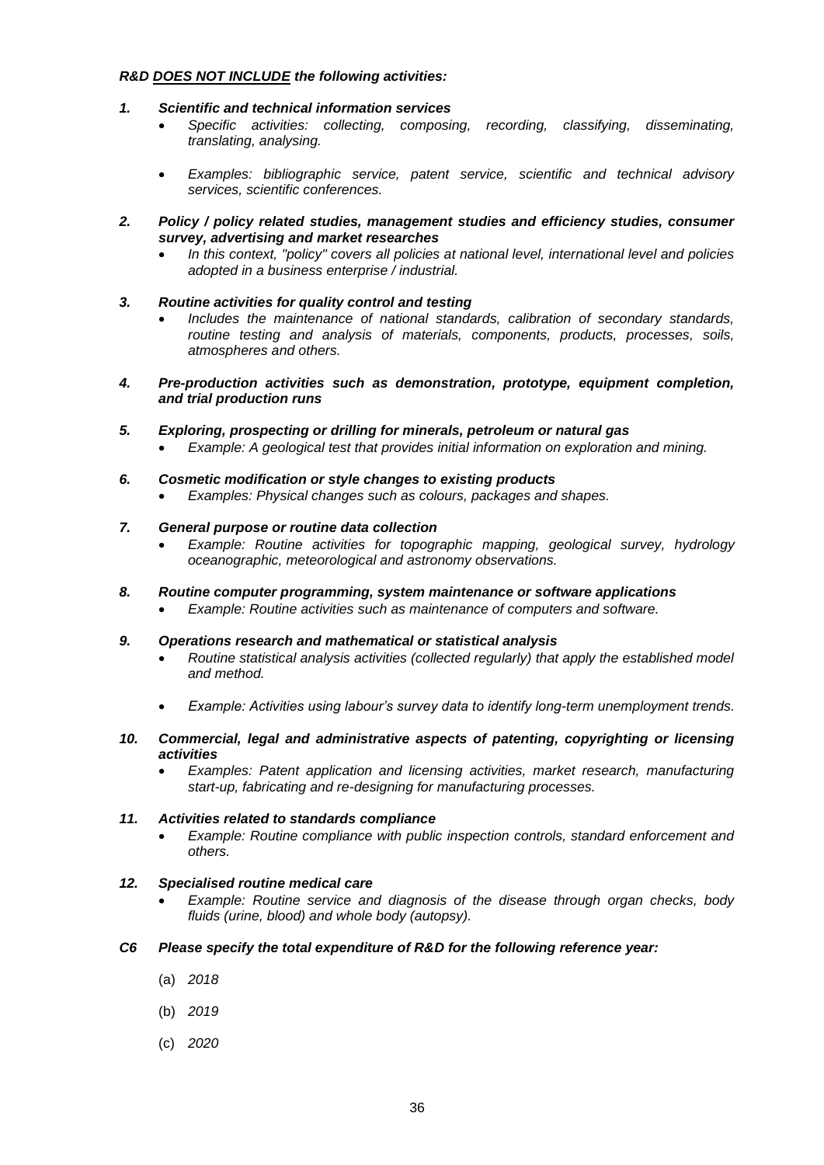## *R&D DOES NOT INCLUDE the following activities:*

- *1. Scientific and technical information services*
	- *Specific activities: collecting, composing, recording, classifying, disseminating, translating, analysing.*
	- *Examples: bibliographic service, patent service, scientific and technical advisory services, scientific conferences.*
- *2. Policy / policy related studies, management studies and efficiency studies, consumer survey, advertising and market researches*
	- *In this context, "policy" covers all policies at national level, international level and policies adopted in a business enterprise / industrial.*
- *3. Routine activities for quality control and testing*
	- *Includes the maintenance of national standards, calibration of secondary standards, routine testing and analysis of materials, components, products, processes, soils, atmospheres and others.*
- *4. Pre-production activities such as demonstration, prototype, equipment completion, and trial production runs*
- *5. Exploring, prospecting or drilling for minerals, petroleum or natural gas Example: A geological test that provides initial information on exploration and mining.*
- *6. Cosmetic modification or style changes to existing products*
	- *Examples: Physical changes such as colours, packages and shapes.*
- *7. General purpose or routine data collection*
	- *Example: Routine activities for topographic mapping, geological survey, hydrology oceanographic, meteorological and astronomy observations.*
- *8. Routine computer programming, system maintenance or software applications*
	- *Example: Routine activities such as maintenance of computers and software.*
- *9. Operations research and mathematical or statistical analysis*
	- *Routine statistical analysis activities (collected regularly) that apply the established model and method.*
	- *Example: Activities using labour's survey data to identify long-term unemployment trends.*
- *10. Commercial, legal and administrative aspects of patenting, copyrighting or licensing activities*
	- *Examples: Patent application and licensing activities, market research, manufacturing start-up, fabricating and re-designing for manufacturing processes.*

## *11. Activities related to standards compliance*

 *Example: Routine compliance with public inspection controls, standard enforcement and others.*

## *12. Specialised routine medical care*

- *Example: Routine service and diagnosis of the disease through organ checks, body fluids (urine, blood) and whole body (autopsy).*
- *C6 Please specify the total expenditure of R&D for the following reference year:*
	- (a) *2018*
	- (b) *2019*
	- (c) *2020*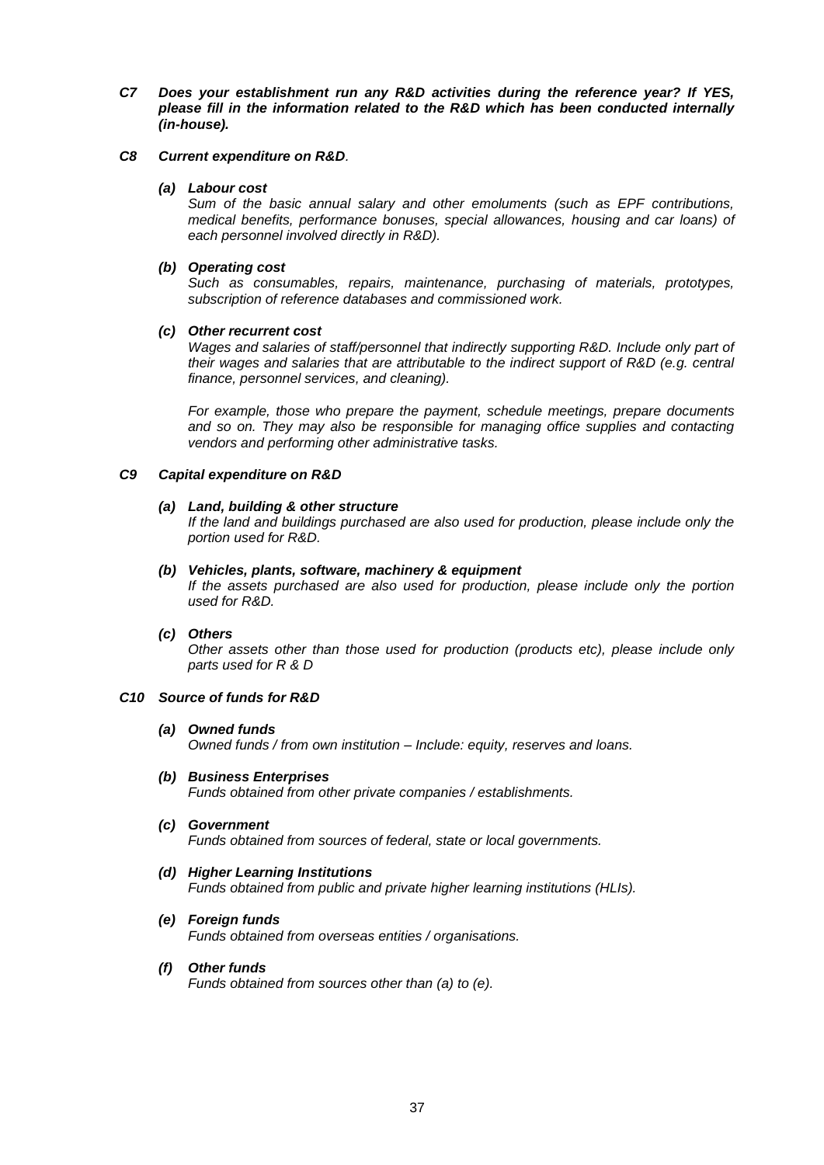*C7 Does your establishment run any R&D activities during the reference year? If YES, please fill in the information related to the R&D which has been conducted internally (in-house).*

## *C8 Current expenditure on R&D.*

## *(a) Labour cost*

*Sum of the basic annual salary and other emoluments (such as EPF contributions, medical benefits, performance bonuses, special allowances, housing and car loans) of each personnel involved directly in R&D).* 

## *(b) Operating cost*

*Such as consumables, repairs, maintenance, purchasing of materials, prototypes, subscription of reference databases and commissioned work.*

## *(c) Other recurrent cost*

*Wages and salaries of staff/personnel that indirectly supporting R&D. Include only part of their wages and salaries that are attributable to the indirect support of R&D (e.g. central finance, personnel services, and cleaning).*

*For example, those who prepare the payment, schedule meetings, prepare documents and so on. They may also be responsible for managing office supplies and contacting vendors and performing other administrative tasks.*

## *C9 Capital expenditure on R&D*

## *(a) Land, building & other structure*

*If the land and buildings purchased are also used for production, please include only the portion used for R&D.*

#### *(b) Vehicles, plants, software, machinery & equipment*

*If the assets purchased are also used for production, please include only the portion used for R&D.*

## *(c) Others*

*Other assets other than those used for production (products etc), please include only parts used for R & D*

## *C10 Source of funds for R&D*

#### *(a) Owned funds Owned funds / from own institution – Include: equity, reserves and loans.*

- *(b) Business Enterprises Funds obtained from other private companies / establishments.*
- *(c) Government Funds obtained from sources of federal, state or local governments.*
- *(d) Higher Learning Institutions Funds obtained from public and private higher learning institutions (HLIs).*
- *(e) Foreign funds Funds obtained from overseas entities / organisations.*
- *(f) Other funds Funds obtained from sources other than (a) to (e).*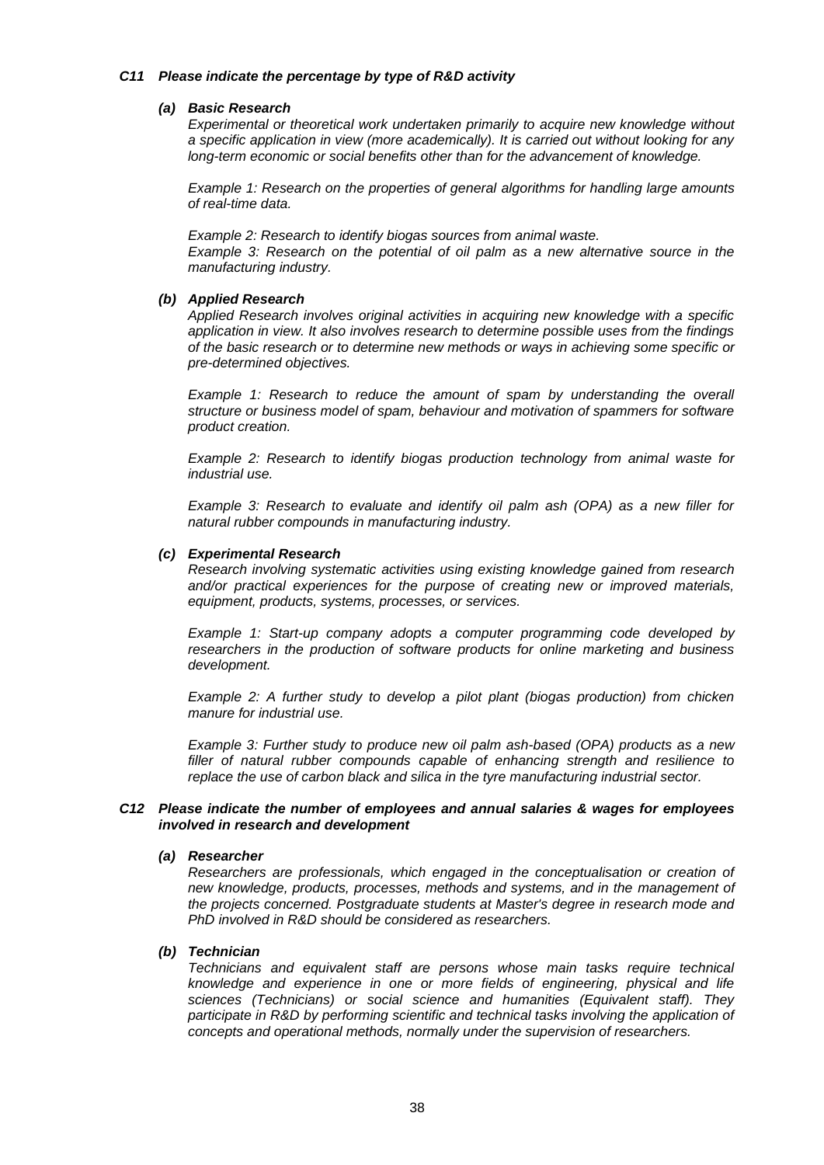## *C11 Please indicate the percentage by type of R&D activity*

## *(a) Basic Research*

*Experimental or theoretical work undertaken primarily to acquire new knowledge without a specific application in view (more academically). It is carried out without looking for any long-term economic or social benefits other than for the advancement of knowledge.*

*Example 1: Research on the properties of general algorithms for handling large amounts of real-time data.*

*Example 2: Research to identify biogas sources from animal waste. Example 3: Research on the potential of oil palm as a new alternative source in the manufacturing industry.*

#### *(b) Applied Research*

*Applied Research involves original activities in acquiring new knowledge with a specific application in view. It also involves research to determine possible uses from the findings of the basic research or to determine new methods or ways in achieving some specific or pre-determined objectives.*

*Example 1: Research to reduce the amount of spam by understanding the overall structure or business model of spam, behaviour and motivation of spammers for software product creation.*

*Example 2: Research to identify biogas production technology from animal waste for industrial use.*

*Example 3: Research to evaluate and identify oil palm ash (OPA) as a new filler for natural rubber compounds in manufacturing industry.*

#### *(c) Experimental Research*

*Research involving systematic activities using existing knowledge gained from research and/or practical experiences for the purpose of creating new or improved materials, equipment, products, systems, processes, or services.*

*Example 1: Start-up company adopts a computer programming code developed by researchers in the production of software products for online marketing and business development.*

*Example 2: A further study to develop a pilot plant (biogas production) from chicken manure for industrial use.*

*Example 3: Further study to produce new oil palm ash-based (OPA) products as a new filler of natural rubber compounds capable of enhancing strength and resilience to replace the use of carbon black and silica in the tyre manufacturing industrial sector.*

## *C12 Please indicate the number of employees and annual salaries & wages for employees involved in research and development*

#### *(a) Researcher*

*Researchers are professionals, which engaged in the conceptualisation or creation of new knowledge, products, processes, methods and systems, and in the management of the projects concerned. Postgraduate students at Master's degree in research mode and PhD involved in R&D should be considered as researchers.*

## *(b) Technician*

*Technicians and equivalent staff are persons whose main tasks require technical knowledge and experience in one or more fields of engineering, physical and life sciences (Technicians) or social science and humanities (Equivalent staff). They*  participate in R&D by performing scientific and technical tasks involving the application of *concepts and operational methods, normally under the supervision of researchers.*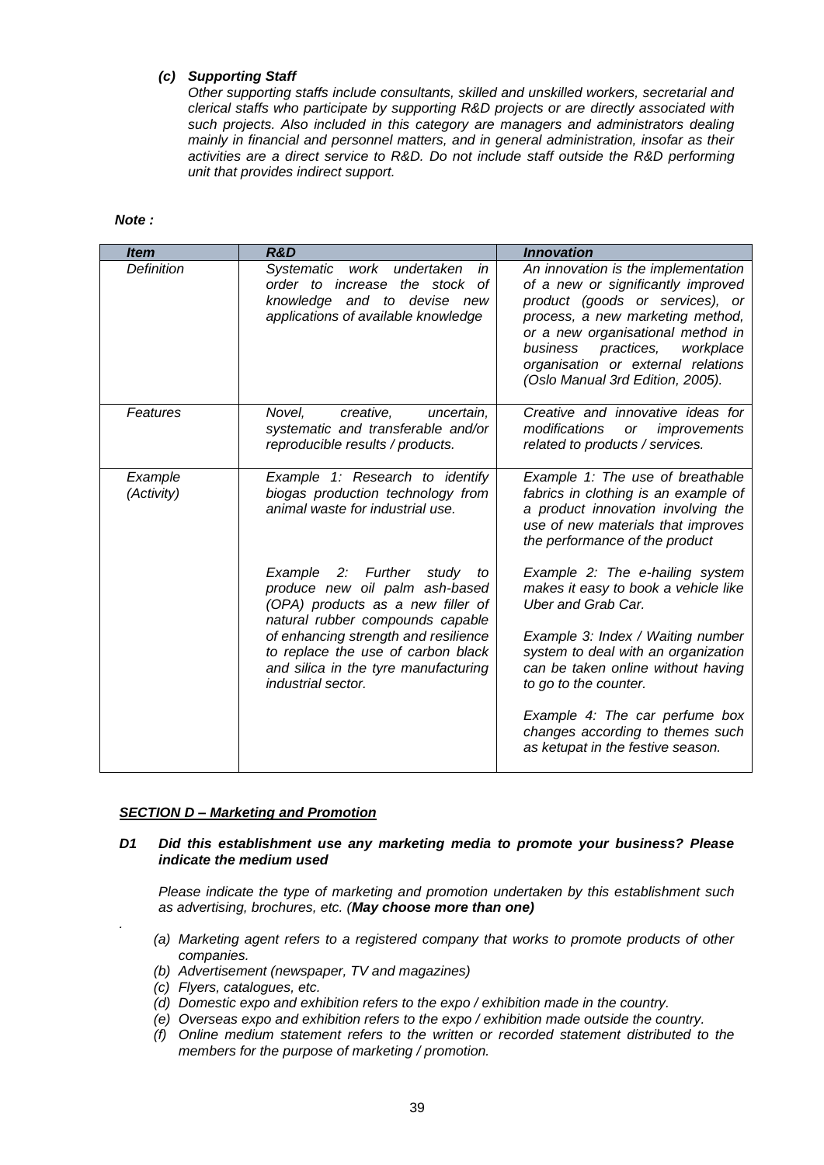# *(c) Supporting Staff*

*Other supporting staffs include consultants, skilled and unskilled workers, secretarial and clerical staffs who participate by supporting R&D projects or are directly associated with such projects. Also included in this category are managers and administrators dealing mainly in financial and personnel matters, and in general administration, insofar as their activities are a direct service to R&D. Do not include staff outside the R&D performing unit that provides indirect support.*

#### *Note :*

| <b>Item</b>           | R&D                                                                                                                                                      | <b>Innovation</b>                                                                                                                                                                                                                                                                                      |
|-----------------------|----------------------------------------------------------------------------------------------------------------------------------------------------------|--------------------------------------------------------------------------------------------------------------------------------------------------------------------------------------------------------------------------------------------------------------------------------------------------------|
| <b>Definition</b>     | work<br><b>Systematic</b><br>undertaken<br>in<br>order to increase the stock<br>οf<br>knowledge and to devise new<br>applications of available knowledge | An innovation is the implementation<br>of a new or significantly improved<br>product (goods or services), or<br>process, a new marketing method,<br>or a new organisational method in<br>practices,<br>workplace<br>business<br>organisation or external relations<br>(Oslo Manual 3rd Edition, 2005). |
| Features              | Novel,<br>creative,<br>uncertain,<br>systematic and transferable and/or<br>reproducible results / products.                                              | Creative and innovative ideas for<br>modifications<br>improvements<br>or<br>related to products / services.                                                                                                                                                                                            |
| Example<br>(Activity) | Example 1: Research to identify<br>biogas production technology from<br>animal waste for industrial use.                                                 | Example 1: The use of breathable<br>fabrics in clothing is an example of<br>a product innovation involving the<br>use of new materials that improves<br>the performance of the product                                                                                                                 |
|                       | Example 2: Further<br>study<br>to<br>produce new oil palm ash-based<br>(OPA) products as a new filler of<br>natural rubber compounds capable             | Example 2: The e-hailing system<br>makes it easy to book a vehicle like<br>Uber and Grab Car.                                                                                                                                                                                                          |
|                       | of enhancing strength and resilience<br>to replace the use of carbon black<br>and silica in the tyre manufacturing<br>industrial sector.                 | Example 3: Index / Waiting number<br>system to deal with an organization<br>can be taken online without having<br>to go to the counter.                                                                                                                                                                |
|                       |                                                                                                                                                          | Example 4: The car perfume box<br>changes according to themes such<br>as ketupat in the festive season.                                                                                                                                                                                                |

## *SECTION D – Marketing and Promotion*

## *D1 Did this establishment use any marketing media to promote your business? Please indicate the medium used*

*Please indicate the type of marketing and promotion undertaken by this establishment such as advertising, brochures, etc. (May choose more than one)*

- *(a) Marketing agent refers to a registered company that works to promote products of other companies.*
- *(b) Advertisement (newspaper, TV and magazines)*
- *(c) Flyers, catalogues, etc.*

*.*

- *(d) Domestic expo and exhibition refers to the expo / exhibition made in the country.*
- *(e) Overseas expo and exhibition refers to the expo / exhibition made outside the country.*
- *(f) Online medium statement refers to the written or recorded statement distributed to the members for the purpose of marketing / promotion.*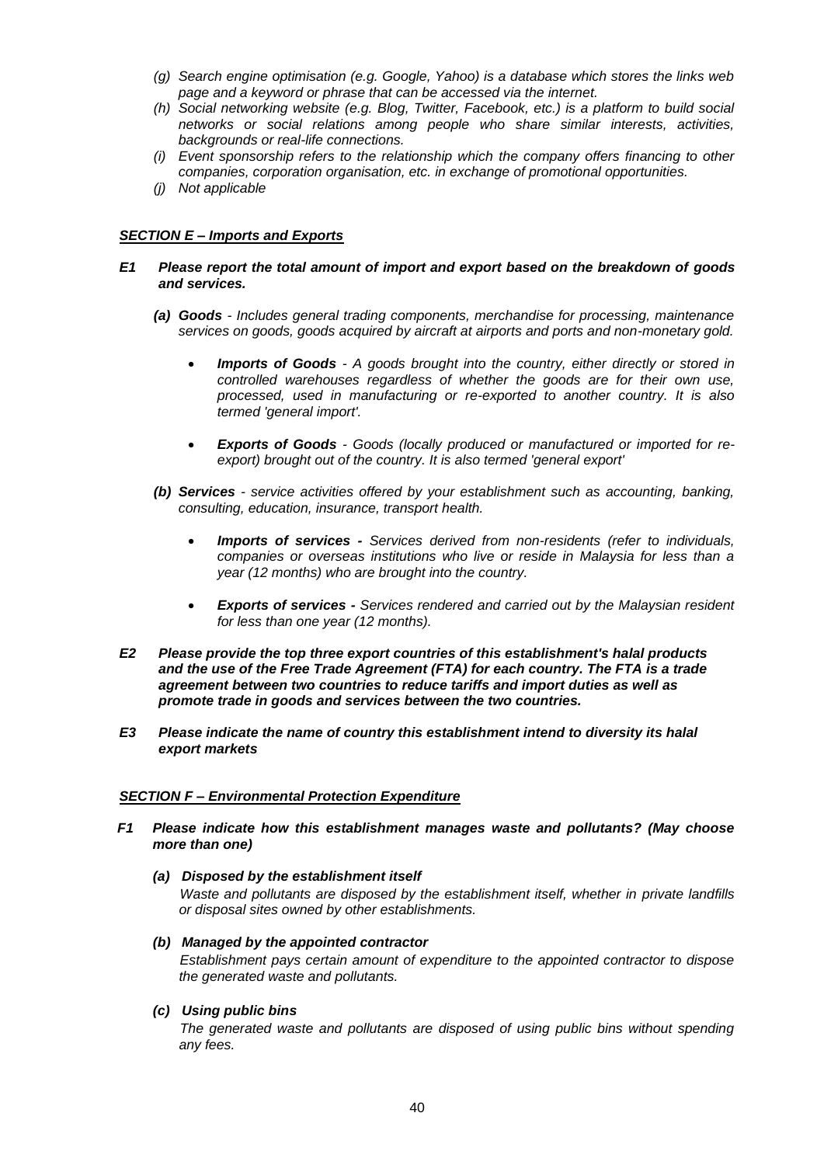- *(g) Search engine optimisation (e.g. Google, Yahoo) is a database which stores the links web page and a keyword or phrase that can be accessed via the internet.*
- *(h) Social networking website (e.g. Blog, Twitter, Facebook, etc.) is a platform to build social networks or social relations among people who share similar interests, activities, backgrounds or real-life connections.*
- *(i) Event sponsorship refers to the relationship which the company offers financing to other companies, corporation organisation, etc. in exchange of promotional opportunities.*
- *(j) Not applicable*

# *SECTION E – Imports and Exports*

- *E1 Please report the total amount of import and export based on the breakdown of goods and services.*
	- *(a) Goods - Includes general trading components, merchandise for processing, maintenance services on goods, goods acquired by aircraft at airports and ports and non-monetary gold.*
		- *Imports of Goods - A goods brought into the country, either directly or stored in controlled warehouses regardless of whether the goods are for their own use, processed, used in manufacturing or re-exported to another country. It is also termed 'general import'.*
		- *Exports of Goods - Goods (locally produced or manufactured or imported for reexport) brought out of the country. It is also termed 'general export'*
	- *(b) Services - service activities offered by your establishment such as accounting, banking, consulting, education, insurance, transport health.*
		- *Imports of services - Services derived from non-residents (refer to individuals, companies or overseas institutions who live or reside in Malaysia for less than a year (12 months) who are brought into the country.*
		- *Exports of services - Services rendered and carried out by the Malaysian resident for less than one year (12 months).*
- *E2 Please provide the top three export countries of this establishment's halal products and the use of the Free Trade Agreement (FTA) for each country. The FTA is a trade agreement between two countries to reduce tariffs and import duties as well as promote trade in goods and services between the two countries.*
- *E3 Please indicate the name of country this establishment intend to diversity its halal export markets*

## *SECTION F – Environmental Protection Expenditure*

- *F1 Please indicate how this establishment manages waste and pollutants? (May choose more than one)*
	- *(a) Disposed by the establishment itself*

*Waste and pollutants are disposed by the establishment itself, whether in private landfills or disposal sites owned by other establishments.*

*(b) Managed by the appointed contractor*

*Establishment pays certain amount of expenditure to the appointed contractor to dispose the generated waste and pollutants.*

*(c) Using public bins*

*The generated waste and pollutants are disposed of using public bins without spending any fees.*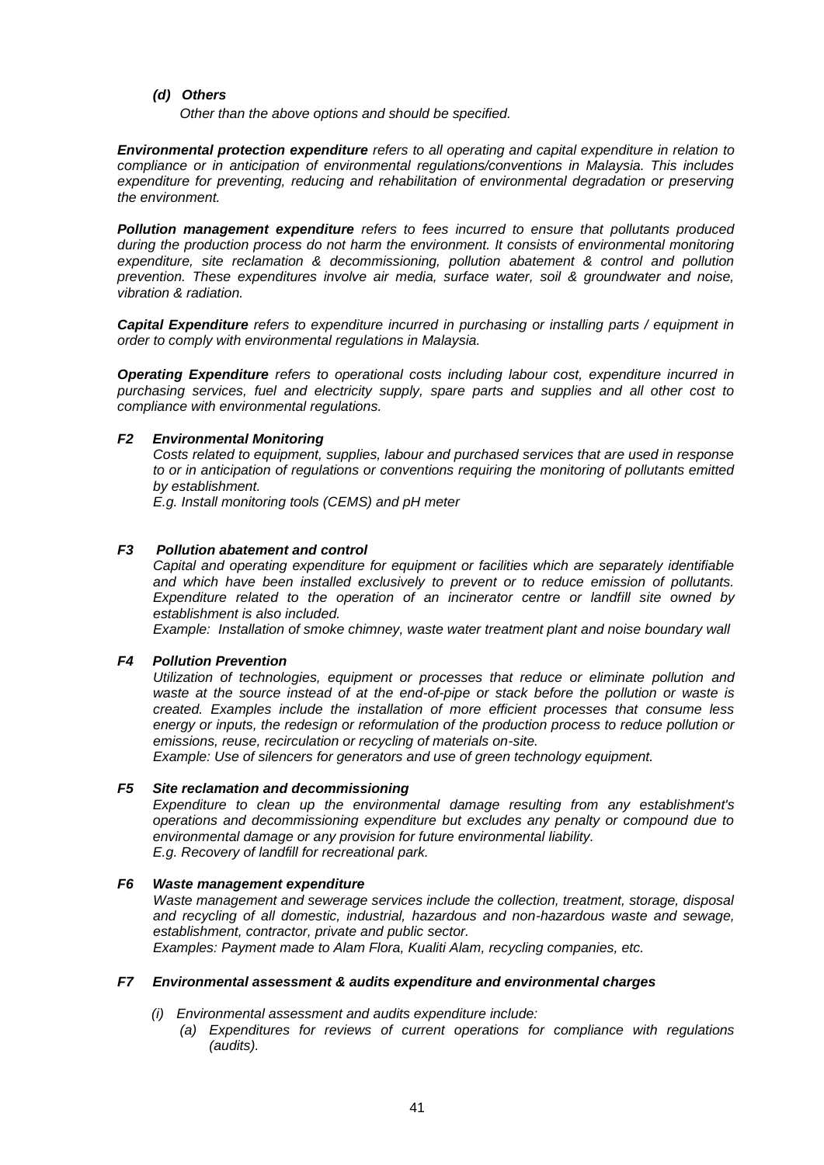*(d) Others*

*Other than the above options and should be specified.*

*Environmental protection expenditure refers to all operating and capital expenditure in relation to compliance or in anticipation of environmental regulations/conventions in Malaysia. This includes expenditure for preventing, reducing and rehabilitation of environmental degradation or preserving the environment.*

*Pollution management expenditure refers to fees incurred to ensure that pollutants produced during the production process do not harm the environment. It consists of environmental monitoring expenditure, site reclamation & decommissioning, pollution abatement & control and pollution prevention. These expenditures involve air media, surface water, soil & groundwater and noise, vibration & radiation.*

*Capital Expenditure refers to expenditure incurred in purchasing or installing parts / equipment in order to comply with environmental regulations in Malaysia.*

*Operating Expenditure refers to operational costs including labour cost, expenditure incurred in purchasing services, fuel and electricity supply, spare parts and supplies and all other cost to compliance with environmental regulations.*

## *F2 Environmental Monitoring*

*Costs related to equipment, supplies, labour and purchased services that are used in response to or in anticipation of regulations or conventions requiring the monitoring of pollutants emitted by establishment.*

*E.g. Install monitoring tools (CEMS) and pH meter*

## *F3 Pollution abatement and control*

*Capital and operating expenditure for equipment or facilities which are separately identifiable and which have been installed exclusively to prevent or to reduce emission of pollutants. Expenditure related to the operation of an incinerator centre or landfill site owned by establishment is also included.* 

*Example: Installation of smoke chimney, waste water treatment plant and noise boundary wall*

## *F4 Pollution Prevention*

*Utilization of technologies, equipment or processes that reduce or eliminate pollution and waste at the source instead of at the end-of-pipe or stack before the pollution or waste is created. Examples include the installation of more efficient processes that consume less energy or inputs, the redesign or reformulation of the production process to reduce pollution or emissions, reuse, recirculation or recycling of materials on-site.*

*Example: Use of silencers for generators and use of green technology equipment.*

## *F5 Site reclamation and decommissioning*

*Expenditure to clean up the environmental damage resulting from any establishment's operations and decommissioning expenditure but excludes any penalty or compound due to environmental damage or any provision for future environmental liability. E.g. Recovery of landfill for recreational park.*

## *F6 Waste management expenditure*

*Waste management and sewerage services include the collection, treatment, storage, disposal and recycling of all domestic, industrial, hazardous and non-hazardous waste and sewage, establishment, contractor, private and public sector.* 

*Examples: Payment made to Alam Flora, Kualiti Alam, recycling companies, etc.*

### *F7 Environmental assessment & audits expenditure and environmental charges*

- *(i) Environmental assessment and audits expenditure include:*
	- *(a) Expenditures for reviews of current operations for compliance with regulations (audits).*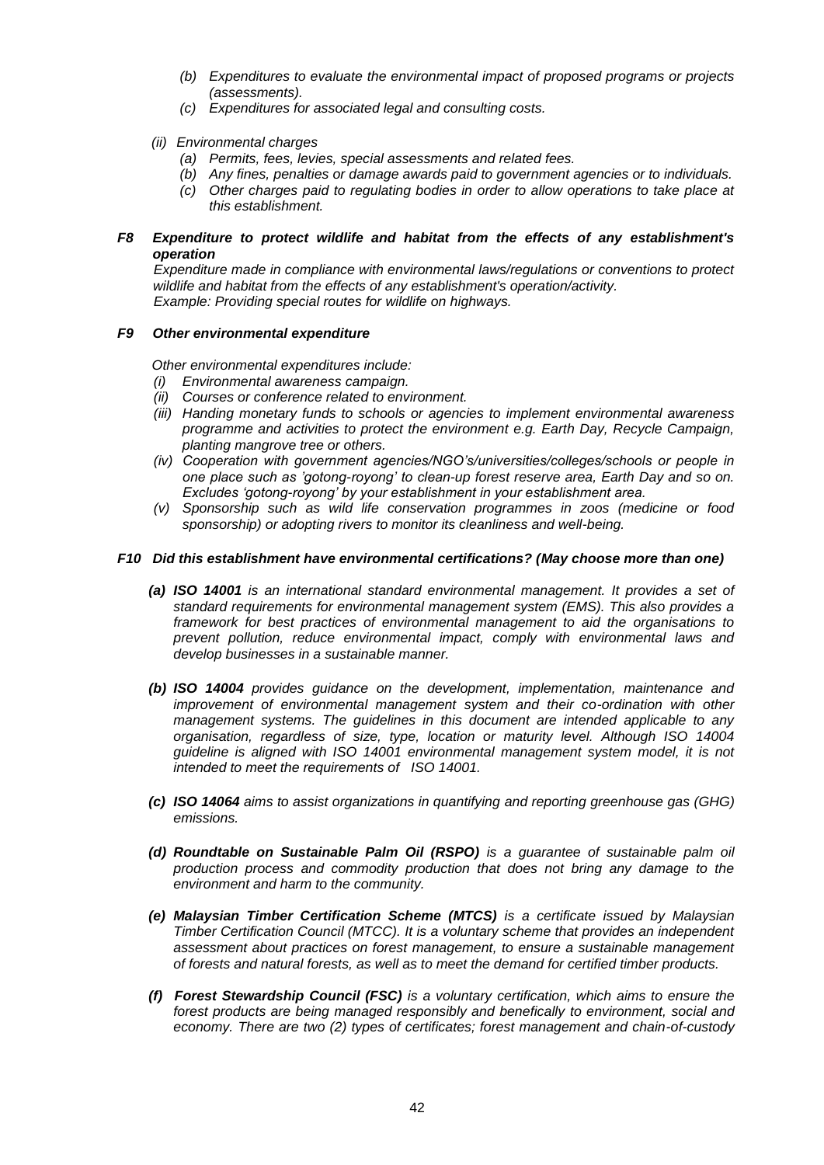- *(b) Expenditures to evaluate the environmental impact of proposed programs or projects (assessments).*
- *(c) Expenditures for associated legal and consulting costs.*
- *(ii) Environmental charges*
	- *(a) Permits, fees, levies, special assessments and related fees.*
	- *(b) Any fines, penalties or damage awards paid to government agencies or to individuals.*
	- *(c) Other charges paid to regulating bodies in order to allow operations to take place at this establishment.*
- *F8 Expenditure to protect wildlife and habitat from the effects of any establishment's operation*

*Expenditure made in compliance with environmental laws/regulations or conventions to protect wildlife and habitat from the effects of any establishment's operation/activity. Example: Providing special routes for wildlife on highways.*

## *F9 Other environmental expenditure*

*Other environmental expenditures include:*

- *(i) Environmental awareness campaign.*
- *(ii) Courses or conference related to environment.*
- *(iii) Handing monetary funds to schools or agencies to implement environmental awareness programme and activities to protect the environment e.g. Earth Day, Recycle Campaign, planting mangrove tree or others.*
- *(iv) Cooperation with government agencies/NGO's/universities/colleges/schools or people in one place such as 'gotong-royong' to clean-up forest reserve area, Earth Day and so on. Excludes 'gotong-royong' by your establishment in your establishment area.*
- *(v) Sponsorship such as wild life conservation programmes in zoos (medicine or food sponsorship) or adopting rivers to monitor its cleanliness and well-being.*

## *F10 Did this establishment have environmental certifications? (May choose more than one)*

- *(a) ISO 14001 is an international standard environmental management. It provides a set of standard requirements for environmental management system (EMS). This also provides a framework for best practices of environmental management to aid the organisations to prevent pollution, reduce environmental impact, comply with environmental laws and develop businesses in a sustainable manner.*
- *(b) ISO 14004 provides guidance on the development, implementation, maintenance and improvement of environmental management system and their co-ordination with other management systems. The guidelines in this document are intended applicable to any organisation, regardless of size, type, location or maturity level. Although ISO 14004 guideline is aligned with ISO 14001 environmental management system model, it is not intended to meet the requirements of ISO 14001.*
- *(c) ISO 14064 aims to assist organizations in quantifying and reporting greenhouse gas (GHG) emissions.*
- *(d) Roundtable on Sustainable Palm Oil (RSPO) is a guarantee of sustainable palm oil production process and commodity production that does not bring any damage to the environment and harm to the community.*
- *(e) Malaysian Timber Certification Scheme (MTCS) is a certificate issued by Malaysian Timber Certification Council (MTCC). It is a voluntary scheme that provides an independent assessment about practices on forest management, to ensure a sustainable management of forests and natural forests, as well as to meet the demand for certified timber products.*
- *(f) Forest Stewardship Council (FSC) is a voluntary certification, which aims to ensure the forest products are being managed responsibly and benefically to environment, social and economy. There are two (2) types of certificates; forest management and chain-of-custody*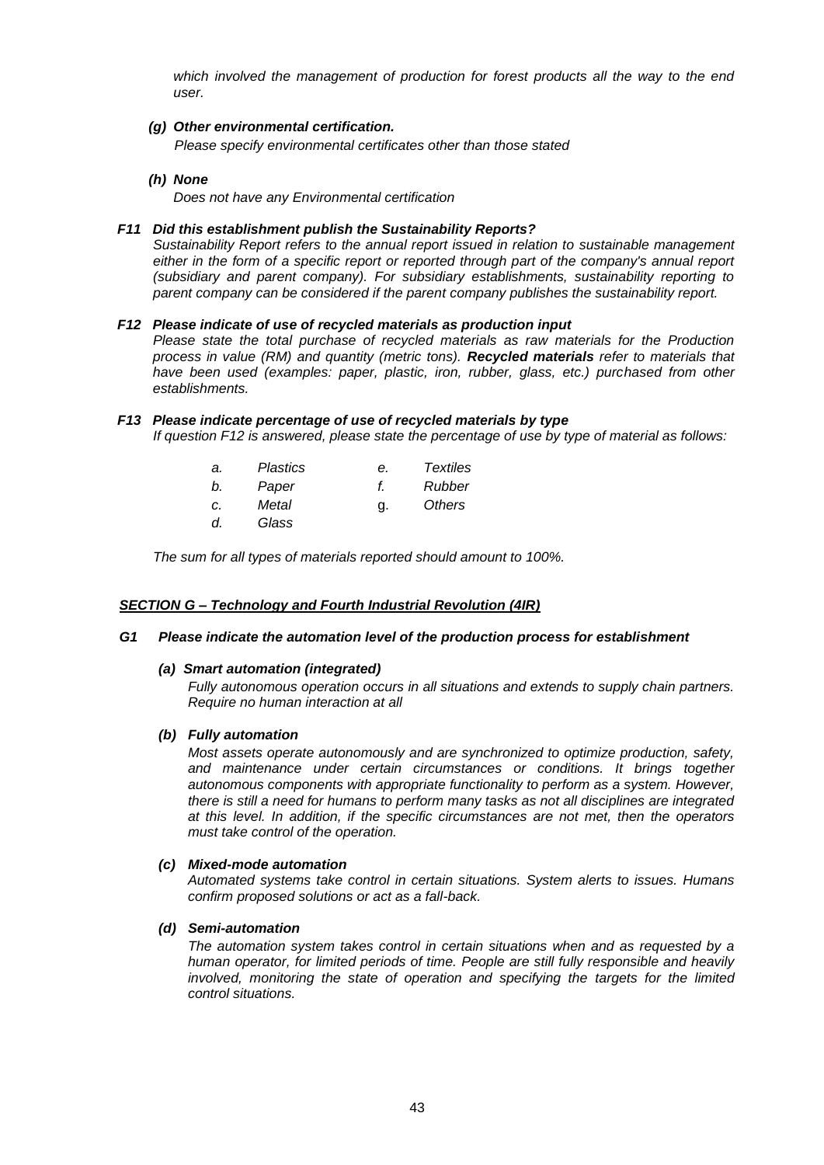*which involved the management of production for forest products all the way to the end user.* 

*(g) Other environmental certification.*

 *Please specify environmental certificates other than those stated*

*(h) None*

*Does not have any Environmental certification*

#### *F11 Did this establishment publish the Sustainability Reports?*

*Sustainability Report refers to the annual report issued in relation to sustainable management either in the form of a specific report or reported through part of the company's annual report (subsidiary and parent company). For subsidiary establishments, sustainability reporting to parent company can be considered if the parent company publishes the sustainability report.*

#### *F12 Please indicate of use of recycled materials as production input*

*Please state the total purchase of recycled materials as raw materials for the Production process in value (RM) and quantity (metric tons). Recycled materials refer to materials that have been used (examples: paper, plastic, iron, rubber, glass, etc.) purchased from other establishments.*

#### *F13 Please indicate percentage of use of recycled materials by type*

*If question F12 is answered, please state the percentage of use by type of material as follows:*

| а. | Plastics | е. | Textiles |
|----|----------|----|----------|
| b. | Paper    | t. | Rubber   |
| c. | Metal    | g. | Others   |
| d. | Glass    |    |          |

*The sum for all types of materials reported should amount to 100%.*

#### *SECTION G – Technology and Fourth Industrial Revolution (4IR)*

#### *G1 Please indicate the automation level of the production process for establishment*

#### *(a) Smart automation (integrated)*

*Fully autonomous operation occurs in all situations and extends to supply chain partners. Require no human interaction at all*

### *(b) Fully automation*

*Most assets operate autonomously and are synchronized to optimize production, safety, and maintenance under certain circumstances or conditions. It brings together autonomous components with appropriate functionality to perform as a system. However, there is still a need for humans to perform many tasks as not all disciplines are integrated at this level. In addition, if the specific circumstances are not met, then the operators must take control of the operation.* 

#### *(c) Mixed-mode automation*

*Automated systems take control in certain situations. System alerts to issues. Humans confirm proposed solutions or act as a fall-back.*

#### *(d) Semi-automation*

*The automation system takes control in certain situations when and as requested by a human operator, for limited periods of time. People are still fully responsible and heavily involved, monitoring the state of operation and specifying the targets for the limited control situations.*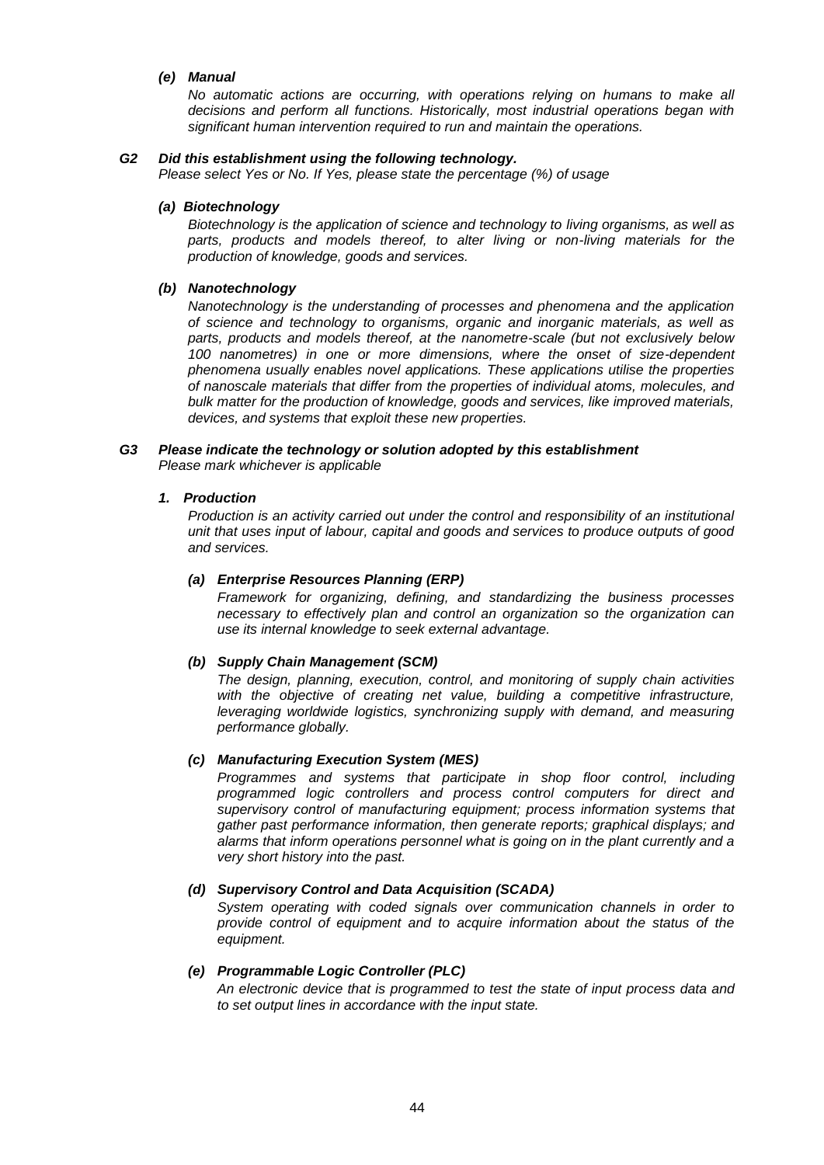## *(e) Manual*

*No automatic actions are occurring, with operations relying on humans to make all decisions and perform all functions. Historically, most industrial operations began with significant human intervention required to run and maintain the operations.*

## *G2 Did this establishment using the following technology.*

*Please select Yes or No. If Yes, please state the percentage (%) of usage*

### *(a) Biotechnology*

*Biotechnology is the application of science and technology to living organisms, as well as*  parts, products and models thereof, to alter living or non-living materials for the *production of knowledge, goods and services.*

## *(b) Nanotechnology*

*Nanotechnology is the understanding of processes and phenomena and the application of science and technology to organisms, organic and inorganic materials, as well as parts, products and models thereof, at the nanometre-scale (but not exclusively below 100 nanometres) in one or more dimensions, where the onset of size-dependent phenomena usually enables novel applications. These applications utilise the properties of nanoscale materials that differ from the properties of individual atoms, molecules, and bulk matter for the production of knowledge, goods and services, like improved materials, devices, and systems that exploit these new properties.*

## *G3 Please indicate the technology or solution adopted by this establishment Please mark whichever is applicable*

#### *1. Production*

*Production is an activity carried out under the control and responsibility of an institutional unit that uses input of labour, capital and goods and services to produce outputs of good and services.*

#### *(a) Enterprise Resources Planning (ERP)*

*Framework for organizing, defining, and standardizing the business processes necessary to effectively plan and control an organization so the organization can use its internal knowledge to seek external advantage.*

## *(b) Supply Chain Management (SCM)*

*The design, planning, execution, control, and monitoring of supply chain activities with the objective of creating net value, building a competitive infrastructure, leveraging worldwide logistics, synchronizing supply with demand, and measuring performance globally.* 

## *(c) Manufacturing Execution System (MES)*

*Programmes and systems that participate in shop floor control, including programmed logic controllers and process control computers for direct and supervisory control of manufacturing equipment; process information systems that gather past performance information, then generate reports; graphical displays; and alarms that inform operations personnel what is going on in the plant currently and a very short history into the past.*

## *(d) Supervisory Control and Data Acquisition (SCADA)*

*System operating with coded signals over communication channels in order to provide control of equipment and to acquire information about the status of the equipment.*

## *(e) Programmable Logic Controller (PLC)*

*An electronic device that is programmed to test the state of input process data and to set output lines in accordance with the input state.*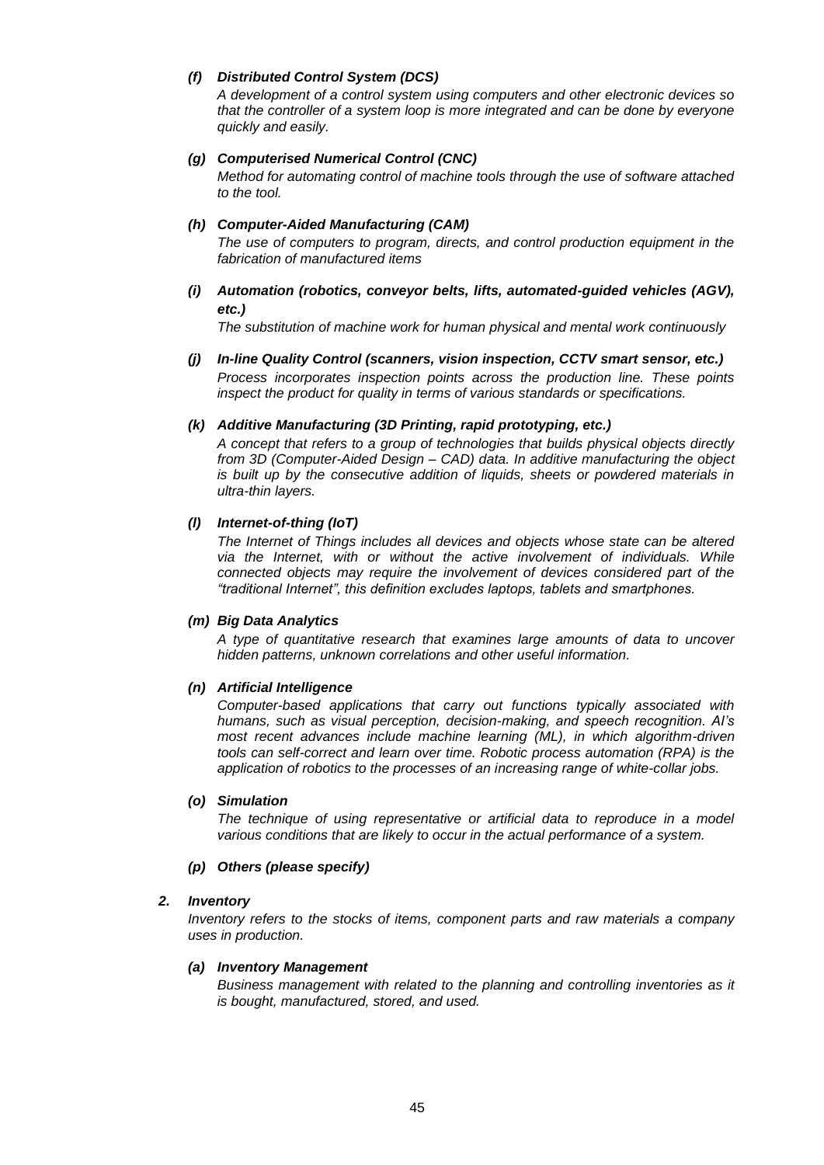# *(f) Distributed Control System (DCS)*

*A development of a control system using computers and other electronic devices so that the controller of a system loop is more integrated and can be done by everyone quickly and easily.*

## *(g) Computerised Numerical Control (CNC)*

*Method for automating control of machine tools through the use of software attached to the tool.*

## *(h) Computer-Aided Manufacturing (CAM)*

*The use of computers to program, directs, and control production equipment in the fabrication of manufactured items*

*(i) Automation (robotics, conveyor belts, lifts, automated-guided vehicles (AGV), etc.)*

*The substitution of machine work for human physical and mental work continuously*

*(j) In-line Quality Control (scanners, vision inspection, CCTV smart sensor, etc.) Process incorporates inspection points across the production line. These points inspect the product for quality in terms of various standards or specifications.*

## *(k) Additive Manufacturing (3D Printing, rapid prototyping, etc.)*

*A concept that refers to a group of technologies that builds physical objects directly from 3D (Computer-Aided Design – CAD) data. In additive manufacturing the object is built up by the consecutive addition of liquids, sheets or powdered materials in ultra-thin layers.*

## *(l) Internet-of-thing (IoT)*

*The Internet of Things includes all devices and objects whose state can be altered via the Internet, with or without the active involvement of individuals. While connected objects may require the involvement of devices considered part of the "traditional Internet", this definition excludes laptops, tablets and smartphones.*

## *(m) Big Data Analytics*

*A type of quantitative research that examines large amounts of data to uncover hidden patterns, unknown correlations and other useful information.*

## *(n) Artificial Intelligence*

*Computer-based applications that carry out functions typically associated with humans, such as visual perception, decision-making, and speech recognition. AI's most recent advances include machine learning (ML), in which algorithm-driven tools can self-correct and learn over time. Robotic process automation (RPA) is the application of robotics to the processes of an increasing range of white-collar jobs.*

## *(o) Simulation*

The technique of using representative or artificial data to reproduce in a model *various conditions that are likely to occur in the actual performance of a system.*

## *(p) Others (please specify)*

## *2. Inventory*

*Inventory refers to the stocks of items, component parts and raw materials a company uses in production.*

## *(a) Inventory Management*

*Business management with related to the planning and controlling inventories as it is bought, manufactured, stored, and used.*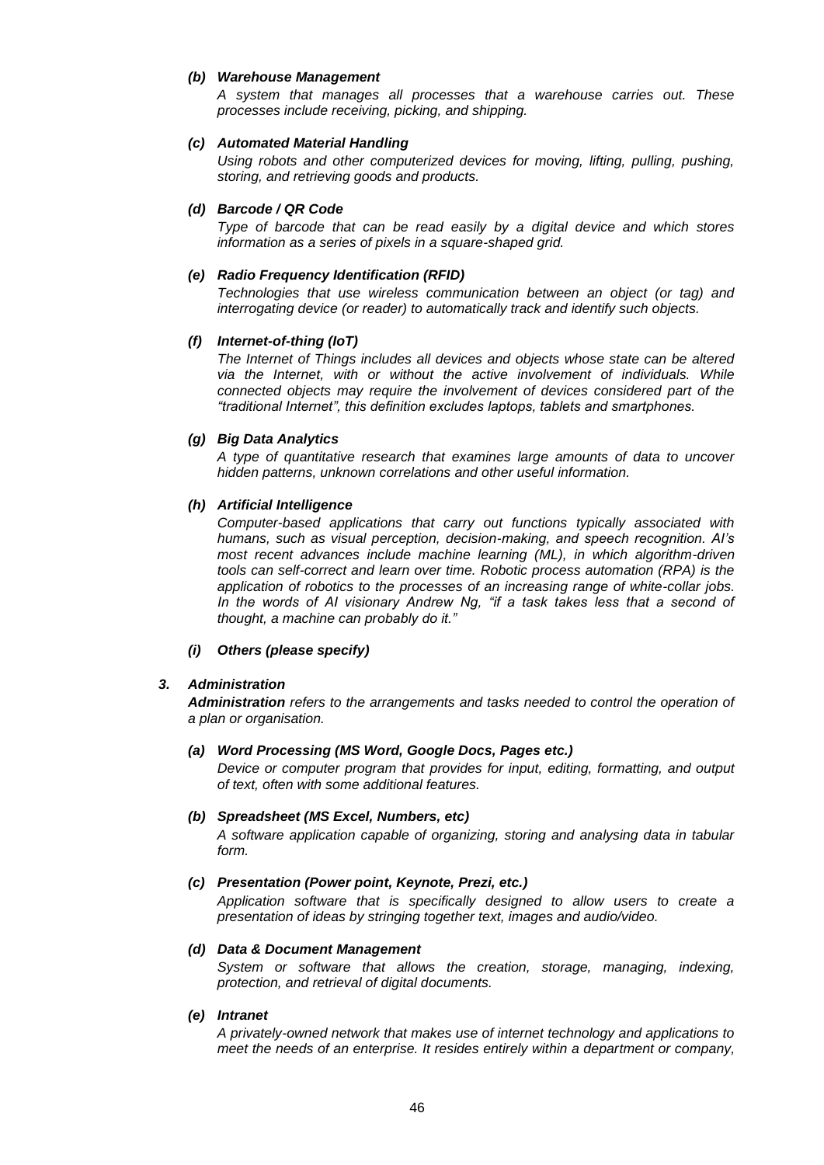## *(b) Warehouse Management*

*A system that manages all processes that a warehouse carries out. These processes include receiving, picking, and shipping.*

## *(c) Automated Material Handling*

*Using robots and other computerized devices for moving, lifting, pulling, pushing, storing, and retrieving goods and products.*

## *(d) Barcode / QR Code*

*Type of barcode that can be read easily by a digital device and which stores information as a series of pixels in a square-shaped grid.*

## *(e) Radio Frequency Identification (RFID)*

*Technologies that use wireless communication between an object (or tag) and interrogating device (or reader) to automatically track and identify such objects.*

## *(f) Internet-of-thing (IoT)*

*The Internet of Things includes all devices and objects whose state can be altered*  via the Internet, with or without the active involvement of individuals. While *connected objects may require the involvement of devices considered part of the "traditional Internet", this definition excludes laptops, tablets and smartphones.*

## *(g) Big Data Analytics*

*A type of quantitative research that examines large amounts of data to uncover hidden patterns, unknown correlations and other useful information.*

## *(h) Artificial Intelligence*

*Computer-based applications that carry out functions typically associated with humans, such as visual perception, decision-making, and speech recognition. AI's most recent advances include machine learning (ML), in which algorithm-driven tools can self-correct and learn over time. Robotic process automation (RPA) is the application of robotics to the processes of an increasing range of white-collar jobs. In the words of AI visionary Andrew Ng, "if a task takes less that a second of thought, a machine can probably do it."*

## *(i) Others (please specify)*

## *3. Administration*

*Administration refers to the arrangements and tasks needed to control the operation of a plan or organisation.*

## *(a) Word Processing (MS Word, Google Docs, Pages etc.)*

*Device or computer program that provides for input, editing, formatting, and output of text, often with some additional features.*

## *(b) Spreadsheet (MS Excel, Numbers, etc)*

*A software application capable of organizing, storing and analysing data in tabular form.*

## *(c) Presentation (Power point, Keynote, Prezi, etc.)*

*Application software that is specifically designed to allow users to create a presentation of ideas by stringing together text, images and audio/video.*

## *(d) Data & Document Management*

System or software that allows the creation, storage, managing, indexing, *protection, and retrieval of digital documents.*

## *(e) Intranet*

*A privately-owned network that makes use of internet technology and applications to meet the needs of an enterprise. It resides entirely within a department or company,*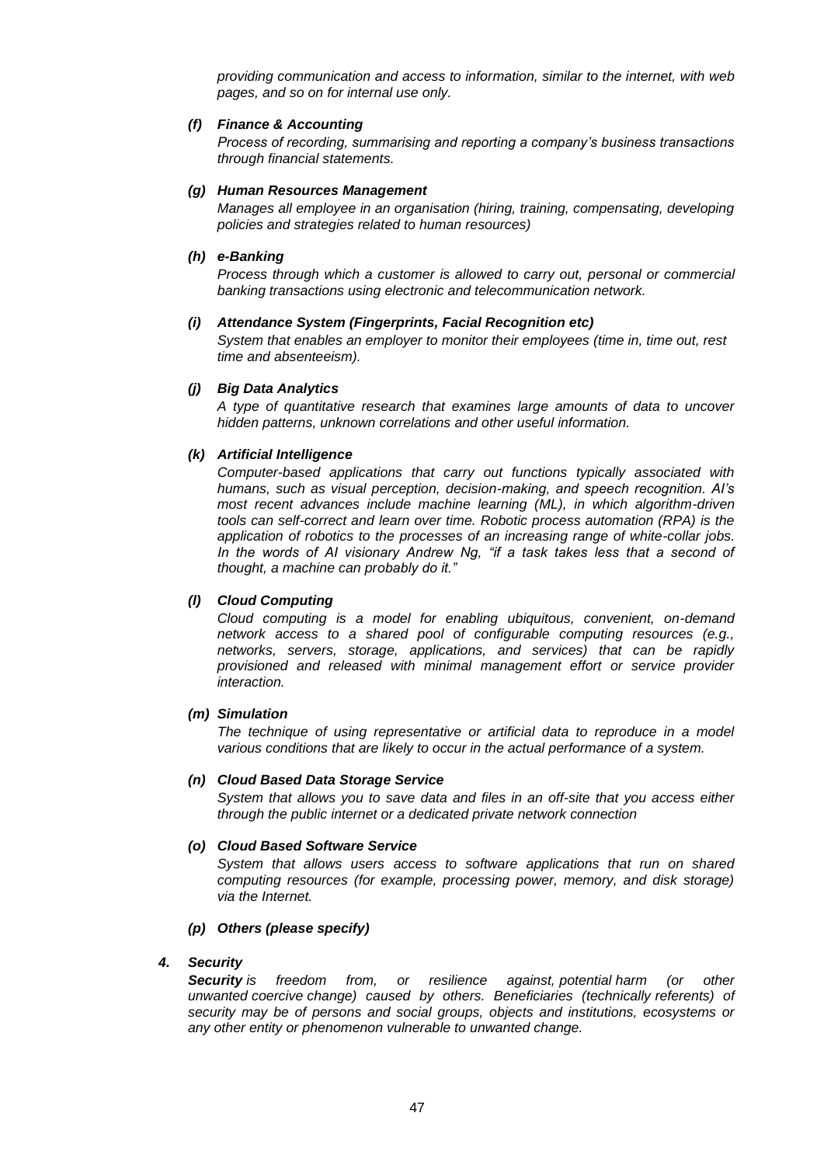*providing communication and access to information, similar to the internet, with web pages, and so on for internal use only.*

## *(f) Finance & Accounting*

*Process of recording, summarising and reporting a company's business transactions through financial statements.*

## *(g) Human Resources Management*

*Manages all employee in an organisation (hiring, training, compensating, developing policies and strategies related to human resources)*

## *(h) e-Banking*

*Process through which a customer is allowed to carry out, personal or commercial banking transactions using electronic and telecommunication network.*

#### *(i) Attendance System (Fingerprints, Facial Recognition etc)*

*System that enables an employer to monitor their employees (time in, time out, rest time and absenteeism).*

### *(j) Big Data Analytics*

*A type of quantitative research that examines large amounts of data to uncover hidden patterns, unknown correlations and other useful information.*

#### *(k) Artificial Intelligence*

*Computer-based applications that carry out functions typically associated with humans, such as visual perception, decision-making, and speech recognition. AI's most recent advances include machine learning (ML), in which algorithm-driven tools can self-correct and learn over time. Robotic process automation (RPA) is the application of robotics to the processes of an increasing range of white-collar jobs.*  In the words of AI visionary Andrew Ng, "if a task takes less that a second of *thought, a machine can probably do it."*

### *(l) Cloud Computing*

*Cloud computing is a model for enabling ubiquitous, convenient, on-demand network access to a shared pool of configurable computing resources (e.g., networks, servers, storage, applications, and services) that can be rapidly provisioned and released with minimal management effort or service provider interaction.* 

#### *(m) Simulation*

*The technique of using representative or artificial data to reproduce in a model various conditions that are likely to occur in the actual performance of a system.*

### *(n) Cloud Based Data Storage Service*

*System that allows you to save data and files in an off-site that you access either through the public internet or a dedicated private network connection*

#### *(o) Cloud Based Software Service*

*System that allows users access to software applications that run on shared computing resources (for example, processing power, memory, and disk storage) via the Internet.*

#### *(p) Others (please specify)*

## *4. Security*

*Security is freedom from, or resilience against, [potential](https://en.wikipedia.org/wiki/Potential) harm (or other unwanted [coercive](https://en.wikipedia.org/wiki/Coercion) change) caused by others. Beneficiaries (technically [referents\)](https://en.wikipedia.org/wiki/Referent) of security may be of persons and social groups, objects and institutions, ecosystems or any other entity or phenomenon vulnerable to unwanted change.*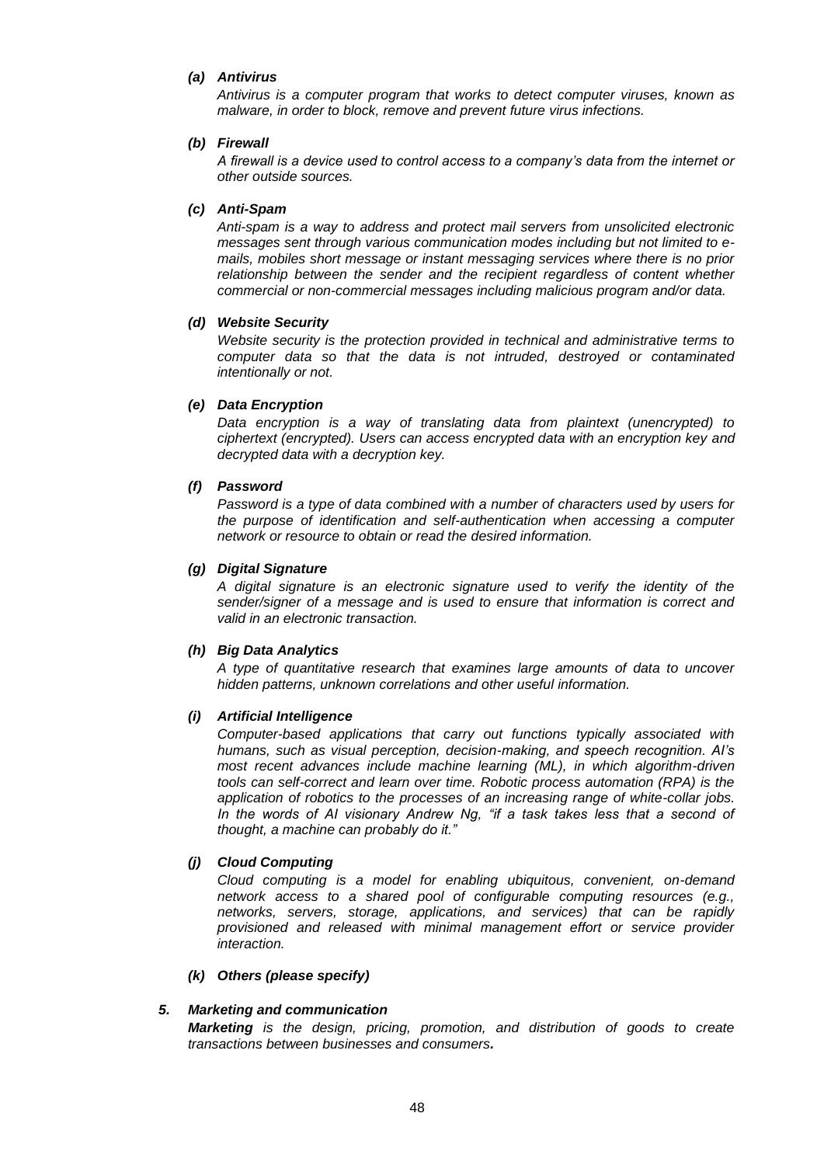## *(a) Antivirus*

*Antivirus is a computer program that works to detect computer viruses, known as malware, in order to block, remove and prevent future virus infections.*

## *(b) Firewall*

*A firewall is a device used to control access to a company's data from the internet or other outside sources.*

## *(c) Anti-Spam*

*Anti-spam is a way to address and protect mail servers from unsolicited electronic messages sent through various communication modes including but not limited to emails, mobiles short message or instant messaging services where there is no prior relationship between the sender and the recipient regardless of content whether commercial or non-commercial messages including malicious program and/or data.*

#### *(d) Website Security*

*Website security is the protection provided in technical and administrative terms to computer data so that the data is not intruded, destroyed or contaminated intentionally or not.*

## *(e) Data Encryption*

*Data encryption is a way of translating data from plaintext (unencrypted) to ciphertext (encrypted). Users can access encrypted data with an encryption key and decrypted data with a decryption key.*

#### *(f) Password*

*Password is a type of data combined with a number of characters used by users for the purpose of identification and self-authentication when accessing a computer network or resource to obtain or read the desired information.*

## *(g) Digital Signature*

*A digital signature is an electronic signature used to verify the identity of the sender/signer of a message and is used to ensure that information is correct and valid in an electronic transaction.*

## *(h) Big Data Analytics*

*A type of quantitative research that examines large amounts of data to uncover hidden patterns, unknown correlations and other useful information.*

#### *(i) Artificial Intelligence*

*Computer-based applications that carry out functions typically associated with humans, such as visual perception, decision-making, and speech recognition. AI's most recent advances include machine learning (ML), in which algorithm-driven tools can self-correct and learn over time. Robotic process automation (RPA) is the application of robotics to the processes of an increasing range of white-collar jobs.*  In the words of AI visionary Andrew Ng, "if a task takes less that a second of *thought, a machine can probably do it."*

## *(j) Cloud Computing*

*Cloud computing is a model for enabling ubiquitous, convenient, on-demand network access to a shared pool of configurable computing resources (e.g., networks, servers, storage, applications, and services) that can be rapidly provisioned and released with minimal management effort or service provider interaction.* 

#### *(k) Others (please specify)*

## *5. Marketing and communication*

*Marketing is the design, pricing, promotion, and distribution of goods to create transactions between businesses and consumers.*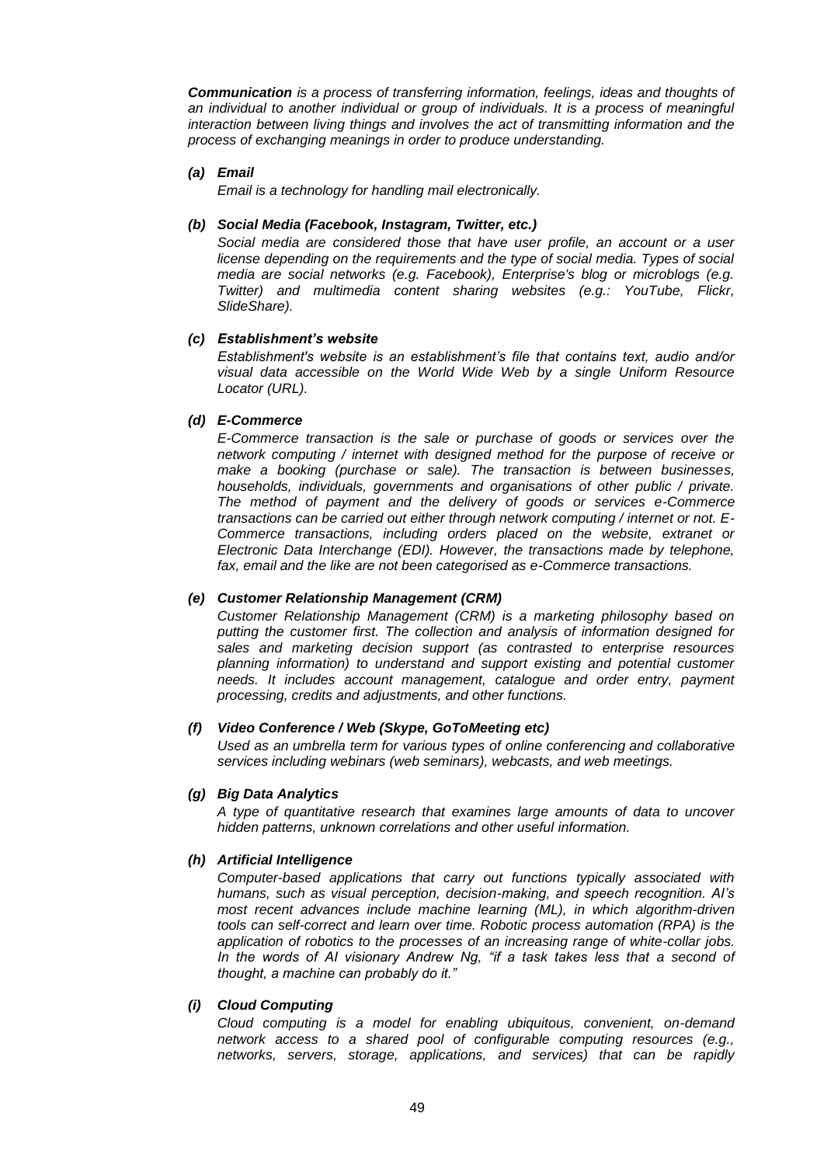*Communication is a process of transferring information, feelings, ideas and thoughts of an individual to another individual or group of individuals. It is a process of meaningful interaction between living things and involves the act of transmitting information and the process of exchanging meanings in order to produce understanding.*

## *(a) Email*

*Email is a technology for handling mail electronically.*

## *(b) Social Media (Facebook, Instagram, Twitter, etc.)*

*Social media are considered those that have user profile, an account or a user license depending on the requirements and the type of social media. Types of social media are social networks (e.g. Facebook), Enterprise's blog or microblogs (e.g. Twitter) and multimedia content sharing websites (e.g.: YouTube, Flickr, SlideShare).*

## *(c) Establishment's website*

*Establishment's website is an establishment's file that contains text, audio and/or visual data accessible on the World Wide Web by a single Uniform Resource Locator (URL).*

## *(d) E-Commerce*

*E-Commerce transaction is the sale or purchase of goods or services over the network computing / internet with designed method for the purpose of receive or make a booking (purchase or sale). The transaction is between businesses, households, individuals, governments and organisations of other public / private. The method of payment and the delivery of goods or services e-Commerce transactions can be carried out either through network computing / internet or not. E-Commerce transactions, including orders placed on the website, extranet or Electronic Data Interchange (EDI). However, the transactions made by telephone, fax, email and the like are not been categorised as e-Commerce transactions.*

## *(e) Customer Relationship Management (CRM)*

*Customer Relationship Management (CRM) is a marketing philosophy based on putting the customer first. The collection and analysis of information designed for sales and marketing decision support (as contrasted to enterprise resources planning information) to understand and support existing and potential customer needs. It includes account management, catalogue and order entry, payment processing, credits and adjustments, and other functions.* 

## *(f) Video Conference / Web (Skype, GoToMeeting etc)*

*Used as an [umbrella term](https://en.wikipedia.org/wiki/Umbrella_term) for various types of online [conferencing](https://en.wikipedia.org/wiki/Conference) and collaborative services including webinars (web seminars), [webcasts,](https://en.wikipedia.org/wiki/Webcasts) and web meetings.*

## *(g) Big Data Analytics*

*A type of quantitative research that examines large amounts of data to uncover hidden patterns, unknown correlations and other useful information.*

## *(h) Artificial Intelligence*

*Computer-based applications that carry out functions typically associated with humans, such as visual perception, decision-making, and speech recognition. AI's most recent advances include machine learning (ML), in which algorithm-driven tools can self-correct and learn over time. Robotic process automation (RPA) is the application of robotics to the processes of an increasing range of white-collar jobs. In the words of AI visionary Andrew Ng, "if a task takes less that a second of thought, a machine can probably do it."*

## *(i) Cloud Computing*

*Cloud computing is a model for enabling ubiquitous, convenient, on-demand network access to a shared pool of configurable computing resources (e.g., networks, servers, storage, applications, and services) that can be rapidly*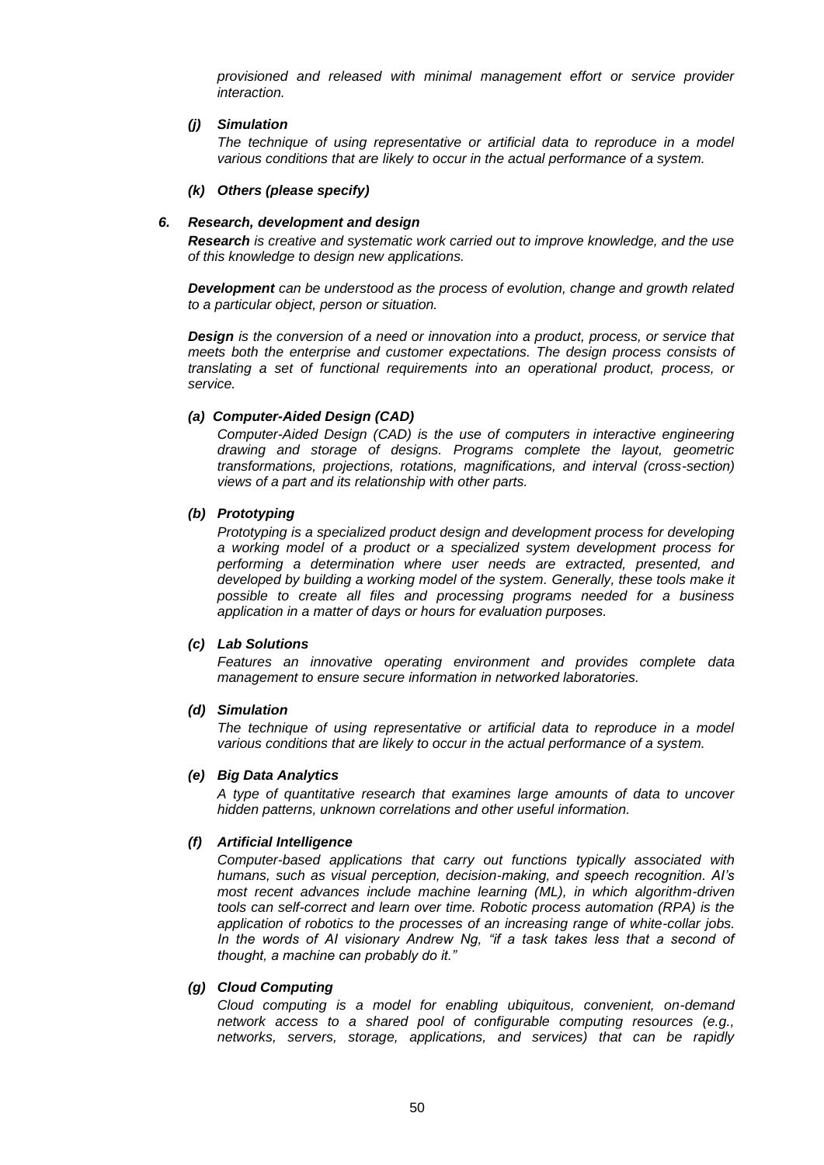*provisioned and released with minimal management effort or service provider interaction.* 

#### *(j) Simulation*

*The technique of using representative or artificial data to reproduce in a model various conditions that are likely to occur in the actual performance of a system.*

#### *(k) Others (please specify)*

## *6. Research, development and design*

*Research is creative and systematic work carried out to improve knowledge, and the use of this knowledge to design new applications.*

*Development can be understood as the process of evolution, change and growth related to a particular object, person or situation.*

*Design is the conversion of a need or innovation into a product, process, or service that meets both the enterprise and customer expectations. The design process consists of translating a set of functional requirements into an operational product, process, or service.*

### *(a) Computer-Aided Design (CAD)*

*Computer-Aided Design (CAD) is the use of computers in interactive engineering drawing and storage of designs. Programs complete the layout, geometric transformations, projections, rotations, magnifications, and interval (cross-section) views of a part and its relationship with other parts.*

## *(b) Prototyping*

*Prototyping is a specialized product design and development process for developing a working model of a product or a specialized system development process for performing a determination where user needs are extracted, presented, and developed by building a working model of the system. Generally, these tools make it possible to create all files and processing programs needed for a business application in a matter of days or hours for evaluation purposes.*

#### *(c) Lab Solutions*

*Features an innovative operating environment and provides complete data management to ensure secure information in networked laboratories.*

#### *(d) Simulation*

*The technique of using representative or artificial data to reproduce in a model various conditions that are likely to occur in the actual performance of a system.*

#### *(e) Big Data Analytics*

*A type of quantitative research that examines large amounts of data to uncover hidden patterns, unknown correlations and other useful information.*

#### *(f) Artificial Intelligence*

*Computer-based applications that carry out functions typically associated with humans, such as visual perception, decision-making, and speech recognition. AI's most recent advances include machine learning (ML), in which algorithm-driven tools can self-correct and learn over time. Robotic process automation (RPA) is the application of robotics to the processes of an increasing range of white-collar jobs.*  In the words of AI visionary Andrew Ng, "if a task takes less that a second of *thought, a machine can probably do it."*

#### *(g) Cloud Computing*

*Cloud computing is a model for enabling ubiquitous, convenient, on-demand network access to a shared pool of configurable computing resources (e.g., networks, servers, storage, applications, and services) that can be rapidly*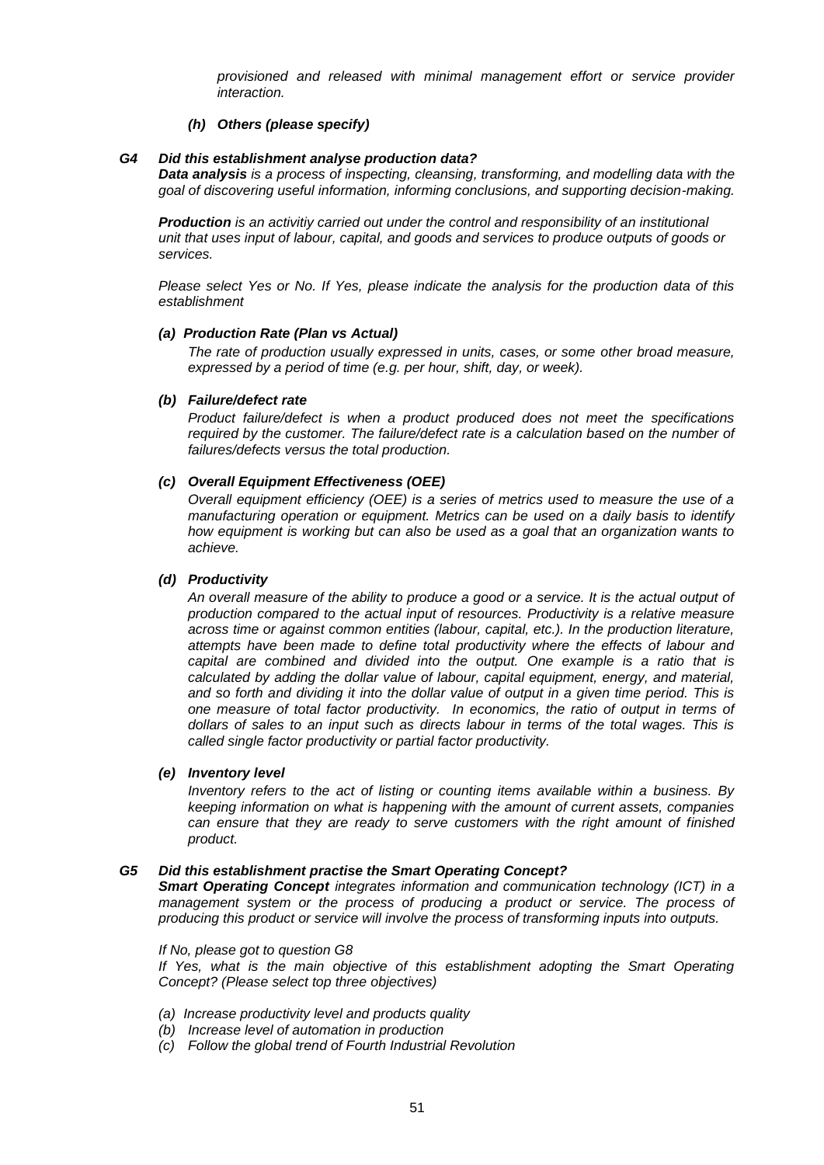*provisioned and released with minimal management effort or service provider interaction.* 

### *(h) Others (please specify)*

#### *G4 Did this establishment analyse production data?*

*Data analysis is a process of inspecting, [cleansing,](https://en.wikipedia.org/wiki/Data_cleansing) [transforming,](https://en.wikipedia.org/wiki/Data_transformation) and [modelling](https://en.wikipedia.org/wiki/Data_modeling) [data](https://en.wikipedia.org/wiki/Data) with the goal of discovering useful information, informing conclusions, and supporting decision-making.*

*Production is an activitiy carried out under the control and responsibility of an institutional unit that uses input of labour, capital, and goods and services to produce outputs of goods or services.*

*Please select Yes or No. If Yes, please indicate the analysis for the production data of this establishment*

#### *(a) Production Rate (Plan vs Actual)*

*The rate of production usually expressed in units, cases, or some other broad measure, expressed by a period of time (e.g. per hour, shift, day, or week).*

### *(b) Failure/defect rate*

*Product failure/defect is when a product produced does not meet the specifications required by the customer. The failure/defect rate is a calculation based on the number of failures/defects versus the total production.*

#### *(c) Overall Equipment Effectiveness (OEE)*

*Overall equipment efficiency (OEE) is a series of metrics used to measure the use of a manufacturing operation or equipment. Metrics can be used on a daily basis to identify how equipment is working but can also be used as a goal that an organization wants to achieve.*

#### *(d) Productivity*

*An overall measure of the ability to produce a good or a service. It is the actual output of production compared to the actual input of resources. Productivity is a relative measure across time or against common entities (labour, capital, etc.). In the production literature, attempts have been made to define total productivity where the effects of labour and capital are combined and divided into the output. One example is a ratio that is calculated by adding the dollar value of labour, capital equipment, energy, and material, and so forth and dividing it into the dollar value of output in a given time period. This is one measure of total factor productivity. In economics, the ratio of output in terms of dollars of sales to an input such as directs labour in terms of the total wages. This is called single factor productivity or partial factor productivity.*

#### *(e) Inventory level*

*Inventory refers to the act of listing or counting items available within a business. By keeping information on what is happening with the amount of current assets, companies can ensure that they are ready to serve customers with the right amount of finished product.*

## *G5 Did this establishment practise the Smart Operating Concept?*

*Smart Operating Concept integrates information and communication technology (ICT) in a management system or the process of producing a product or service. The process of producing this product or service will involve the process of transforming inputs into outputs.*

#### *If No, please got to question G8*

*If Yes, what is the main objective of this establishment adopting the Smart Operating Concept? (Please select top three objectives)*

- *(a) Increase productivity level and products quality*
- *(b) Increase level of automation in production*
- *(c) Follow the global trend of Fourth Industrial Revolution*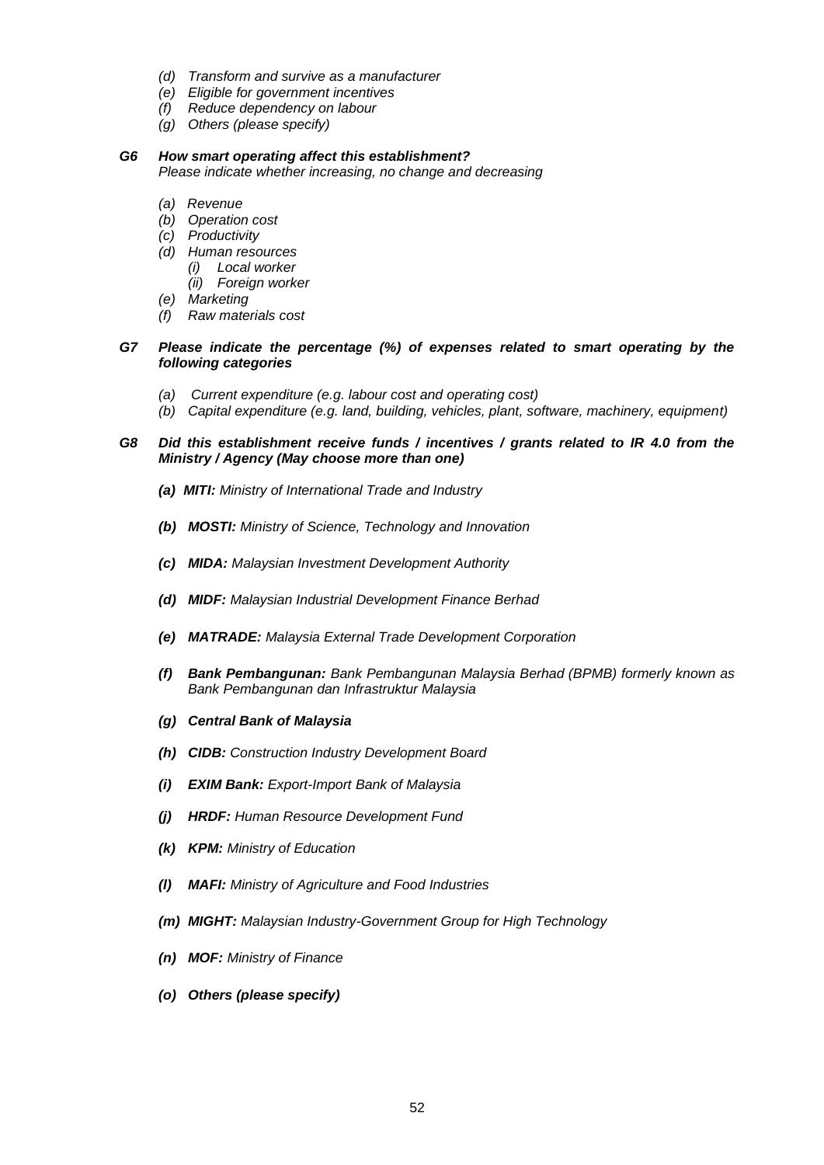- *(d) Transform and survive as a manufacturer*
- *(e) Eligible for government incentives*
- *(f) Reduce dependency on labour*
- *(g) Others (please specify)*

## *G6 How smart operating affect this establishment?*

*Please indicate whether increasing, no change and decreasing*

- *(a) Revenue*
- *(b) Operation cost*
- *(c) Productivity*
- *(d) Human resources*
	- *(i) Local worker*
	- *(ii) Foreign worker*
- *(e) Marketing*
- *(f) Raw materials cost*

## *G7 Please indicate the percentage (%) of expenses related to smart operating by the following categories*

- *(a) Current expenditure (e.g. labour cost and operating cost)*
- *(b) Capital expenditure (e.g. land, building, vehicles, plant, software, machinery, equipment)*

## *G8 Did this establishment receive funds / incentives / grants related to IR 4.0 from the Ministry / Agency (May choose more than one)*

- *(a) MITI: Ministry of International Trade and Industry*
- *(b) MOSTI: Ministry of Science, Technology and Innovation*
- *(c) MIDA: Malaysian Investment Development Authority*
- *(d) MIDF: Malaysian Industrial Development Finance Berhad*
- *(e) MATRADE: Malaysia External Trade Development Corporation*
- *(f) Bank Pembangunan: Bank Pembangunan Malaysia Berhad (BPMB) formerly known as Bank Pembangunan dan Infrastruktur Malaysia*
- *(g) Central Bank of Malaysia*
- *(h) CIDB: Construction Industry Development Board*
- *(i) EXIM Bank: Export-Import Bank of Malaysia*
- *(j) HRDF: Human Resource Development Fund*
- *(k) KPM: Ministry of Education*
- *(l) MAFI: Ministry of Agriculture and Food Industries*
- *(m) MIGHT: Malaysian Industry-Government Group for High Technology*
- *(n) MOF: Ministry of Finance*
- *(o) Others (please specify)*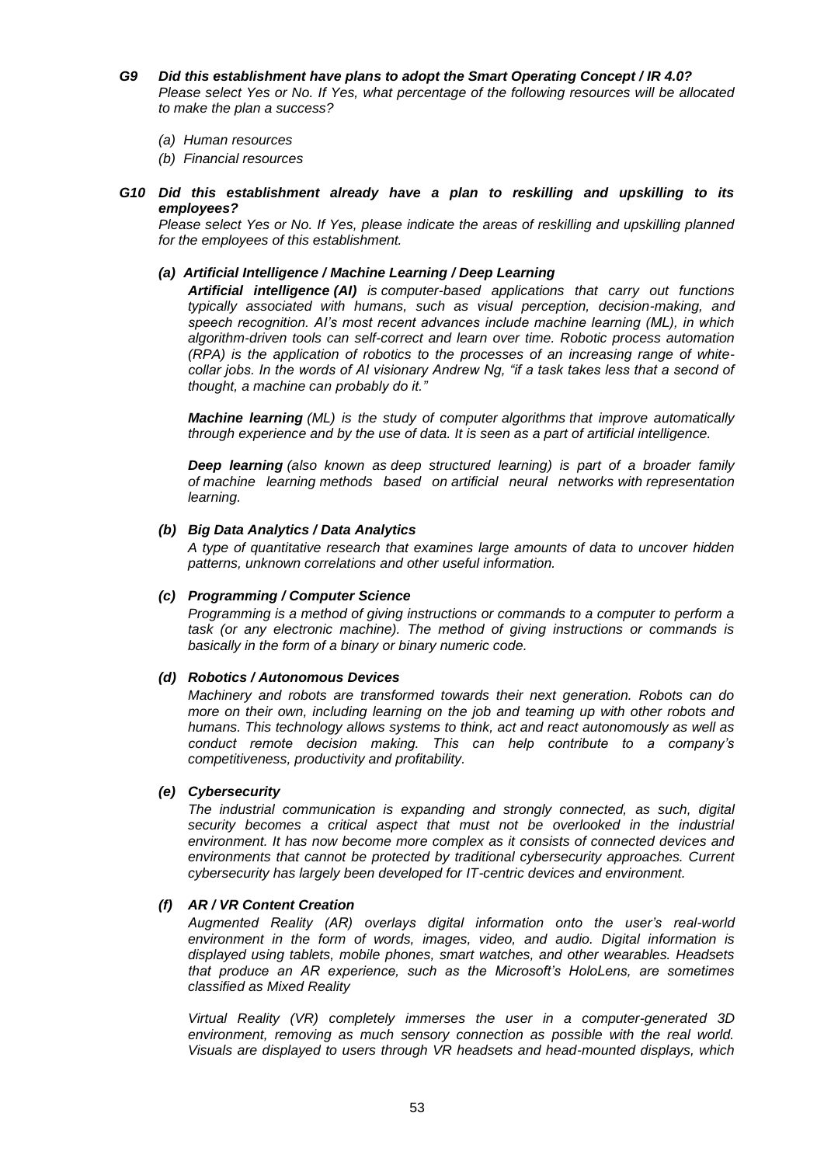- *G9 Did this establishment have plans to adopt the Smart Operating Concept / IR 4.0? Please select Yes or No. If Yes, what percentage of the following resources will be allocated to make the plan a success?*
	- *(a) Human resources*

*(b) Financial resources*

*G10 Did this establishment already have a plan to reskilling and upskilling to its employees?*

*Please select Yes or No. If Yes, please indicate the areas of reskilling and upskilling planned for the employees of this establishment.*

### *(a) Artificial Intelligence / Machine Learning / Deep Learning*

*Artificial intelligence (AI) is computer-based applications that carry out functions typically associated with humans, such as visual perception, decision-making, and speech recognition. AI's most recent advances include machine learning (ML), in which algorithm-driven tools can self-correct and learn over time. Robotic process automation (RPA) is the application of robotics to the processes of an increasing range of whitecollar jobs. In the words of AI visionary Andrew Ng, "if a task takes less that a second of thought, a machine can probably do it."*

*Machine learning (ML) is the study of computer [algorithms](https://en.wikipedia.org/wiki/Algorithm) that improve automatically through experience and by the use of data. It is seen as a part of [artificial intelligence.](https://en.wikipedia.org/wiki/Artificial_intelligence)*

*Deep learning (also known as deep structured learning) is part of a broader family of [machine learning](https://en.wikipedia.org/wiki/Machine_learning) methods based on [artificial neural networks](https://en.wikipedia.org/wiki/Artificial_neural_networks) with [representation](https://en.wikipedia.org/wiki/Representation_learning)  [learning.](https://en.wikipedia.org/wiki/Representation_learning)*

#### *(b) Big Data Analytics / Data Analytics*

*A type of quantitative research that examines large amounts of data to uncover hidden patterns, unknown correlations and other useful information.*

## *(c) Programming / Computer Science*

*Programming is a method of giving instructions or commands to a computer to perform a task (or any electronic machine). The method of giving instructions or commands is basically in the form of a binary or binary numeric code.*

#### *(d) Robotics / Autonomous Devices*

*Machinery and robots are transformed towards their next generation. Robots can do more on their own, including learning on the job and teaming up with other robots and humans. This technology allows systems to think, act and react autonomously as well as conduct remote decision making. This can help contribute to a company's competitiveness, productivity and profitability.*

#### *(e) Cybersecurity*

*The industrial communication is expanding and strongly connected, as such, digital security becomes a critical aspect that must not be overlooked in the industrial environment. It has now become more complex as it consists of connected devices and environments that cannot be protected by traditional cybersecurity approaches. Current cybersecurity has largely been developed for IT-centric devices and environment.*

## *(f) AR / VR Content Creation*

*Augmented Reality (AR) overlays digital information onto the user's real-world environment in the form of words, images, video, and audio. Digital information is displayed using tablets, mobile phones, smart watches, and other wearables. Headsets that produce an AR experience, such as the Microsoft's HoloLens, are sometimes classified as Mixed Reality*

*Virtual Reality (VR) completely immerses the user in a computer-generated 3D environment, removing as much sensory connection as possible with the real world. Visuals are displayed to users through VR headsets and head-mounted displays, which*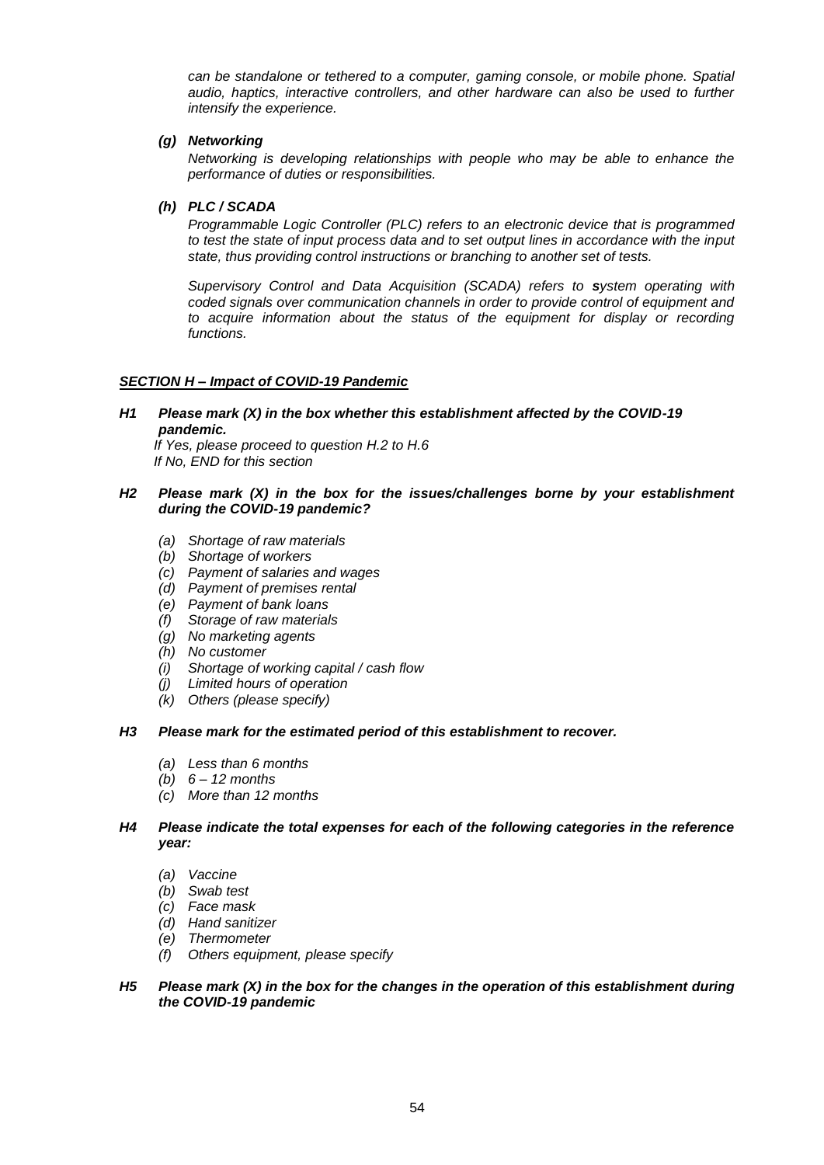*can be standalone or tethered to a computer, gaming console, or mobile phone. Spatial audio, haptics, interactive controllers, and other hardware can also be used to further intensify the experience.*

## *(g) Networking*

*Networking is developing relationships with people who may be able to enhance the performance of duties or responsibilities.*

## *(h) PLC / SCADA*

*Programmable Logic Controller (PLC) refers to an electronic device that is programmed to test the state of input process data and to set output lines in accordance with the input state, thus providing control instructions or branching to another set of tests.*

*Supervisory Control and Data Acquisition (SCADA) refers to system operating with coded signals over communication channels in order to provide control of equipment and to acquire information about the status of the equipment for display or recording functions.*

## *SECTION H – Impact of COVID-19 Pandemic*

*H1 Please mark (X) in the box whether this establishment affected by the COVID-19 pandemic.*

 *If Yes, please proceed to question H.2 to H.6 If No, END for this section*

### *H2 Please mark (X) in the box for the issues/challenges borne by your establishment during the COVID-19 pandemic?*

- *(a) Shortage of raw materials*
- *(b) Shortage of workers*
- *(c) Payment of salaries and wages*
- *(d) Payment of premises rental*
- *(e) Payment of bank loans*
- *(f) Storage of raw materials*
- *(g) No marketing agents*
- *(h) No customer*
- *(i) Shortage of working capital / cash flow*
- *(j) Limited hours of operation*
- *(k) Others (please specify)*

#### *H3 Please mark for the estimated period of this establishment to recover.*

- *(a) Less than 6 months*
- *(b) 6 – 12 months*
- *(c) More than 12 months*

## *H4 Please indicate the total expenses for each of the following categories in the reference year:*

- *(a) Vaccine*
- *(b) Swab test*
- *(c) Face mask*
- *(d) Hand sanitizer*
- *(e) Thermometer*
- *(f) Others equipment, please specify*

## *H5 Please mark (X) in the box for the changes in the operation of this establishment during the COVID-19 pandemic*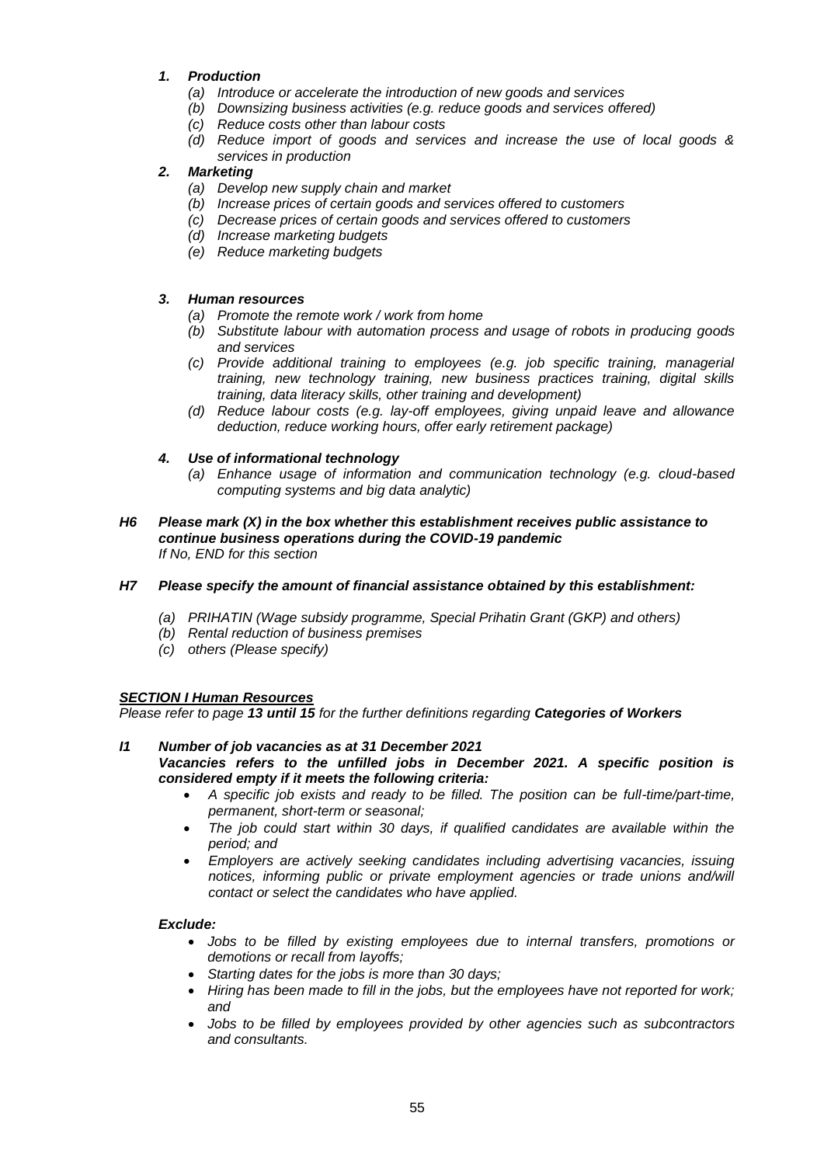## *1. Production*

- *(a) Introduce or accelerate the introduction of new goods and services*
- *(b) Downsizing business activities (e.g. reduce goods and services offered)*
- *(c) Reduce costs other than labour costs*
- *(d) Reduce import of goods and services and increase the use of local goods & services in production*

## *2. Marketing*

- *(a) Develop new supply chain and market*
- *(b) Increase prices of certain goods and services offered to customers*
- *(c) Decrease prices of certain goods and services offered to customers*
- *(d) Increase marketing budgets*
- *(e) Reduce marketing budgets*

## *3. Human resources*

- *(a) Promote the remote work / work from home*
- *(b) Substitute labour with automation process and usage of robots in producing goods and services*
- *(c) Provide additional training to employees (e.g. job specific training, managerial training, new technology training, new business practices training, digital skills training, data literacy skills, other training and development)*
- *(d) Reduce labour costs (e.g. lay-off employees, giving unpaid leave and allowance deduction, reduce working hours, offer early retirement package)*

## *4. Use of informational technology*

- *(a) Enhance usage of information and communication technology (e.g. cloud-based computing systems and big data analytic)*
- *H6 Please mark (X) in the box whether this establishment receives public assistance to continue business operations during the COVID-19 pandemic If No, END for this section*

## *H7 Please specify the amount of financial assistance obtained by this establishment:*

- *(a) PRIHATIN (Wage subsidy programme, Special Prihatin Grant (GKP) and others)*
- *(b) Rental reduction of business premises*
- *(c) others (Please specify)*

## *SECTION I Human Resources*

*Please refer to page 13 until 15 for the further definitions regarding Categories of Workers*

- *I1 Number of job vacancies as at 31 December 2021 Vacancies refers to the unfilled jobs in December 2021. A specific position is considered empty if it meets the following criteria:* 
	- *A specific job exists and ready to be filled. The position can be full-time/part-time, permanent, short-term or seasonal;*
	- *The job could start within 30 days, if qualified candidates are available within the period; and*
	- *Employers are actively seeking candidates including advertising vacancies, issuing*  notices, informing public or private employment agencies or trade unions and/will *contact or select the candidates who have applied.*

## *Exclude:*

- *Jobs to be filled by existing employees due to internal transfers, promotions or demotions or recall from layoffs;*
- *Starting dates for the jobs is more than 30 days;*
- *Hiring has been made to fill in the jobs, but the employees have not reported for work; and*
- *Jobs to be filled by employees provided by other agencies such as subcontractors and consultants.*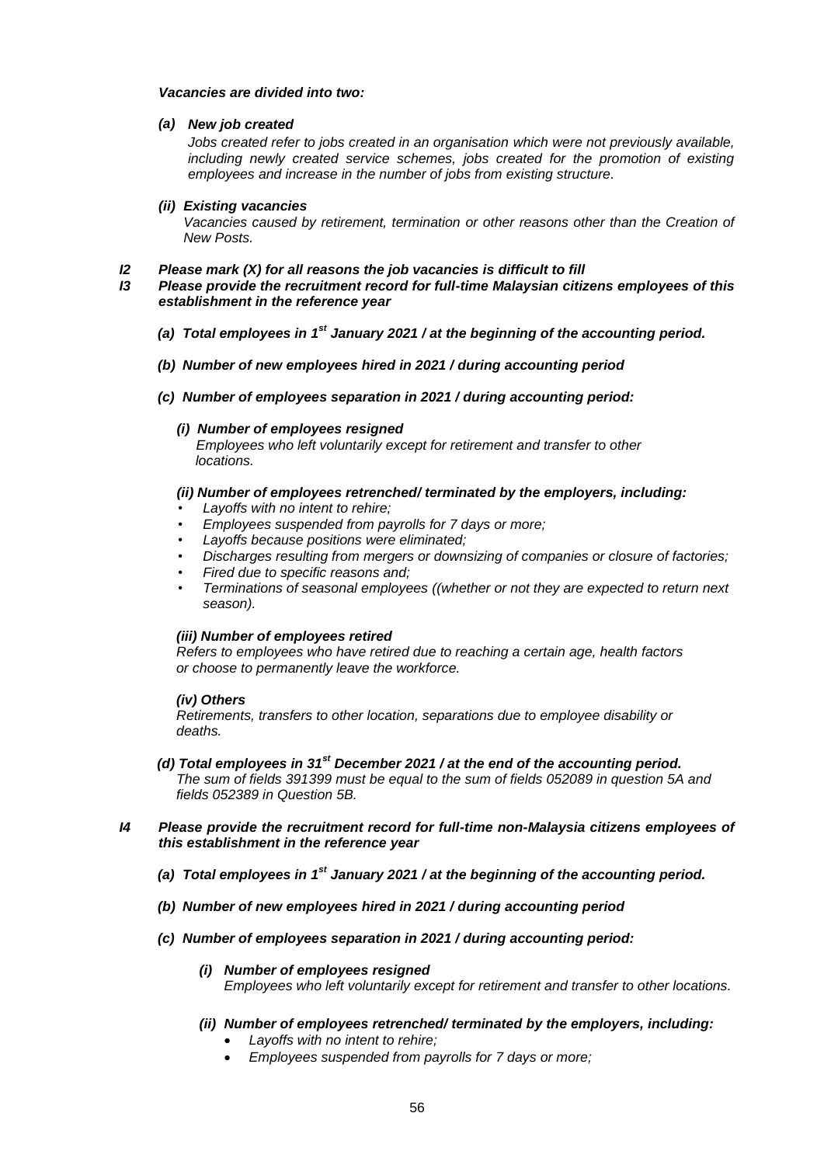### *Vacancies are divided into two:*

### *(a) New job created*

*Jobs created refer to jobs created in an organisation which were not previously available, including newly created service schemes, jobs created for the promotion of existing employees and increase in the number of jobs from existing structure.*

#### *(ii) Existing vacancies*

*Vacancies caused by retirement, termination or other reasons other than the Creation of New Posts.*

#### *I2 Please mark (X) for all reasons the job vacancies is difficult to fill*

- *I3 Please provide the recruitment record for full-time Malaysian citizens employees of this establishment in the reference year*
	- *(a) Total employees in 1st January 2021 / at the beginning of the accounting period.*
	- *(b) Number of new employees hired in 2021 / during accounting period*
	- *(c) Number of employees separation in 2021 / during accounting period:*
		- *(i) Number of employees resigned*

 *Employees who left voluntarily except for retirement and transfer to other locations.*

## *(ii) Number of employees retrenched/ terminated by the employers, including:*

- *Layoffs with no intent to rehire;*
- *Employees suspended from payrolls for 7 days or more;*
- *Layoffs because positions were eliminated;*
- *Discharges resulting from mergers or downsizing of companies or closure of factories;*
- *Fired due to specific reasons and;*
- *Terminations of seasonal employees ((whether or not they are expected to return next season).*

#### *(iii) Number of employees retired*

 *Refers to employees who have retired due to reaching a certain age, health factors or choose to permanently leave the workforce.*

## *(iv) Others*

 *Retirements, transfers to other location, separations due to employee disability or deaths.*

- *(d) Total employees in 31st December 2021 / at the end of the accounting period. The sum of fields 391399 must be equal to the sum of fields 052089 in question 5A and fields 052389 in Question 5B.*
- *I4 Please provide the recruitment record for full-time non-Malaysia citizens employees of this establishment in the reference year*
	- *(a) Total employees in 1st January 2021 / at the beginning of the accounting period.*
	- *(b) Number of new employees hired in 2021 / during accounting period*
	- *(c) Number of employees separation in 2021 / during accounting period:* 
		- *(i) Number of employees resigned Employees who left voluntarily except for retirement and transfer to other locations.*
		- *(ii) Number of employees retrenched/ terminated by the employers, including:* 
			- *Layoffs with no intent to rehire;*
			- *Employees suspended from payrolls for 7 days or more;*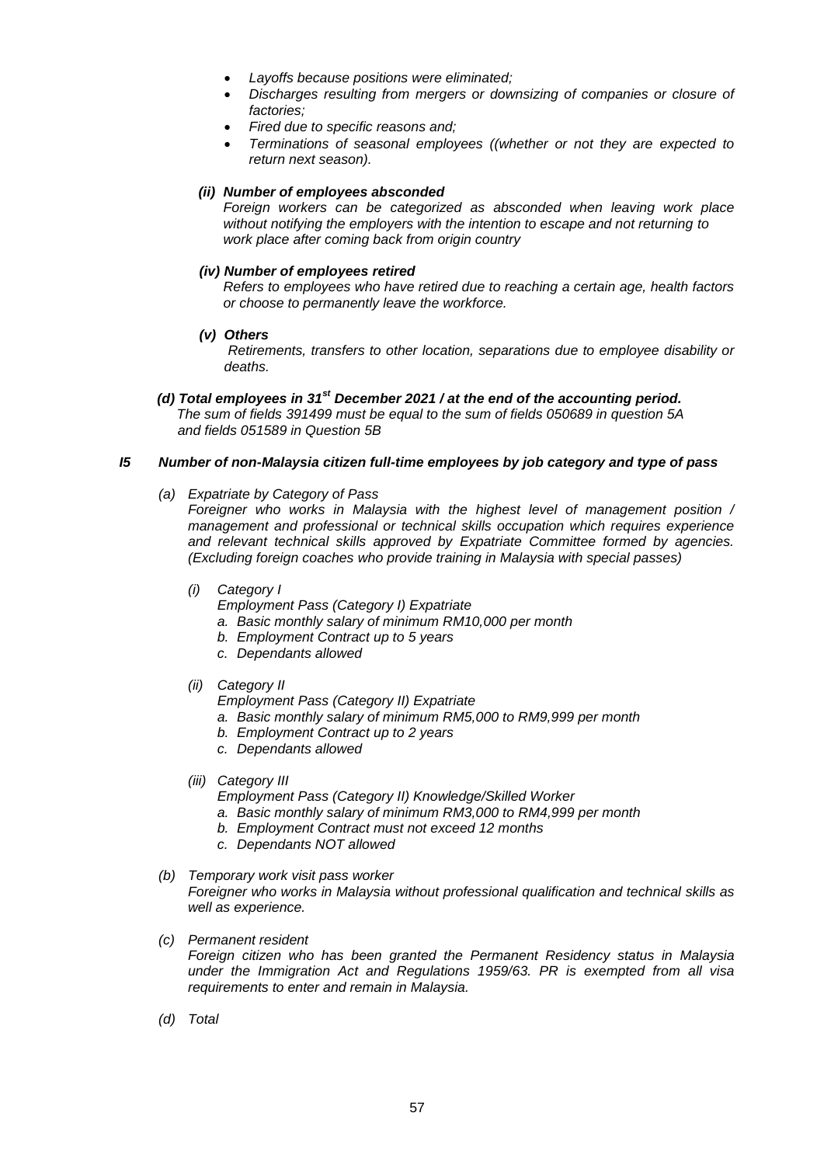- *Layoffs because positions were eliminated;*
- *Discharges resulting from mergers or downsizing of companies or closure of factories;*
- *Fired due to specific reasons and;*
- *Terminations of seasonal employees ((whether or not they are expected to return next season).*

## *(ii) Number of employees absconded*

*Foreign workers can be categorized as absconded when leaving work place without notifying the employers with the intention to escape and not returning to work place after coming back from origin country*

## *(iv) Number of employees retired*

*Refers to employees who have retired due to reaching a certain age, health factors or choose to permanently leave the workforce.*

*(v) Others*

*Retirements, transfers to other location, separations due to employee disability or deaths.*

 *(d) Total employees in 31st December 2021 / at the end of the accounting period. The sum of fields 391499 must be equal to the sum of fields 050689 in question 5A and fields 051589 in Question 5B* 

## *I5 Number of non-Malaysia citizen full-time employees by job category and type of pass*

*(a) Expatriate by Category of Pass*

*Foreigner who works in Malaysia with the highest level of management position / management and professional or technical skills occupation which requires experience and relevant technical skills approved by Expatriate Committee formed by agencies. (Excluding foreign coaches who provide training in Malaysia with special passes)*

- *(i) Category I*
	- *Employment Pass (Category I) Expatriate*
	- *a. Basic monthly salary of minimum RM10,000 per month*
	- *b. Employment Contract up to 5 years*
	- *c. Dependants allowed*
- *(ii) Category II*
	- *Employment Pass (Category II) Expatriate*
	- *a. Basic monthly salary of minimum RM5,000 to RM9,999 per month*
	- *b. Employment Contract up to 2 years*
	- *c. Dependants allowed*
- *(iii) Category III*
	- *Employment Pass (Category II) Knowledge/Skilled Worker*
	- *a. Basic monthly salary of minimum RM3,000 to RM4,999 per month*
	- *b. Employment Contract must not exceed 12 months*
	- *c. Dependants NOT allowed*
- *(b) Temporary work visit pass worker*

*Foreigner who works in Malaysia without professional qualification and technical skills as well as experience.*

*(c) Permanent resident*

*Foreign citizen who has been granted the Permanent Residency status in Malaysia under the Immigration Act and Regulations 1959/63. PR is exempted from all visa requirements to enter and remain in Malaysia.*

*(d) Total*